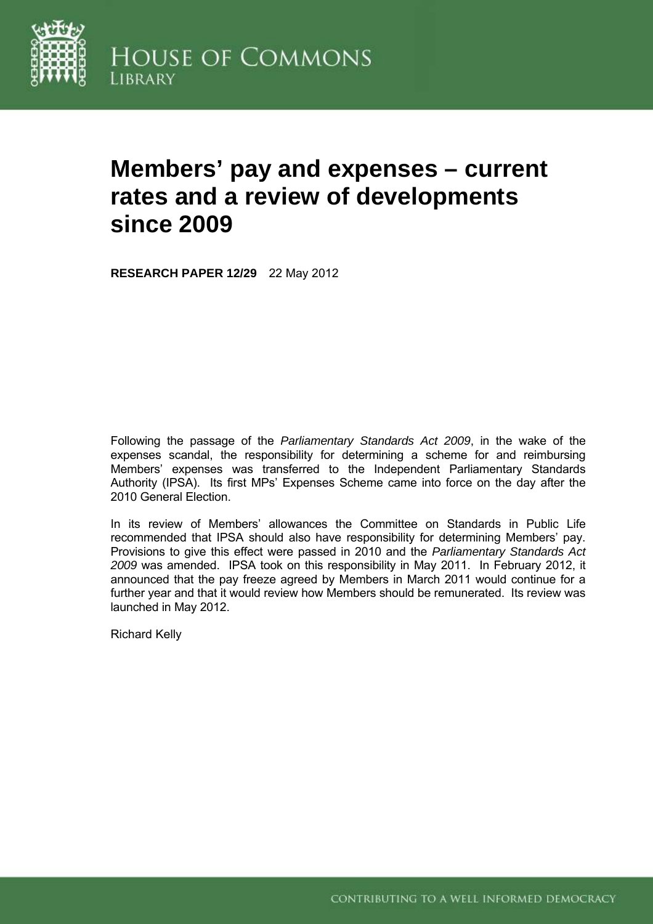

# **Members' pay and expenses – current rates and a review of developments since 2009**

**RESEARCH PAPER 12/29** 22 May 2012

Following the passage of the *Parliamentary Standards Act 2009*, in the wake of the expenses scandal, the responsibility for determining a scheme for and reimbursing Members' expenses was transferred to the Independent Parliamentary Standards Authority (IPSA). Its first MPs' Expenses Scheme came into force on the day after the 2010 General Election.

In its review of Members' allowances the Committee on Standards in Public Life recommended that IPSA should also have responsibility for determining Members' pay. Provisions to give this effect were passed in 2010 and the *Parliamentary Standards Act 2009* was amended. IPSA took on this responsibility in May 2011. In February 2012, it announced that the pay freeze agreed by Members in March 2011 would continue for a further year and that it would review how Members should be remunerated. Its review was launched in May 2012.

Richard Kelly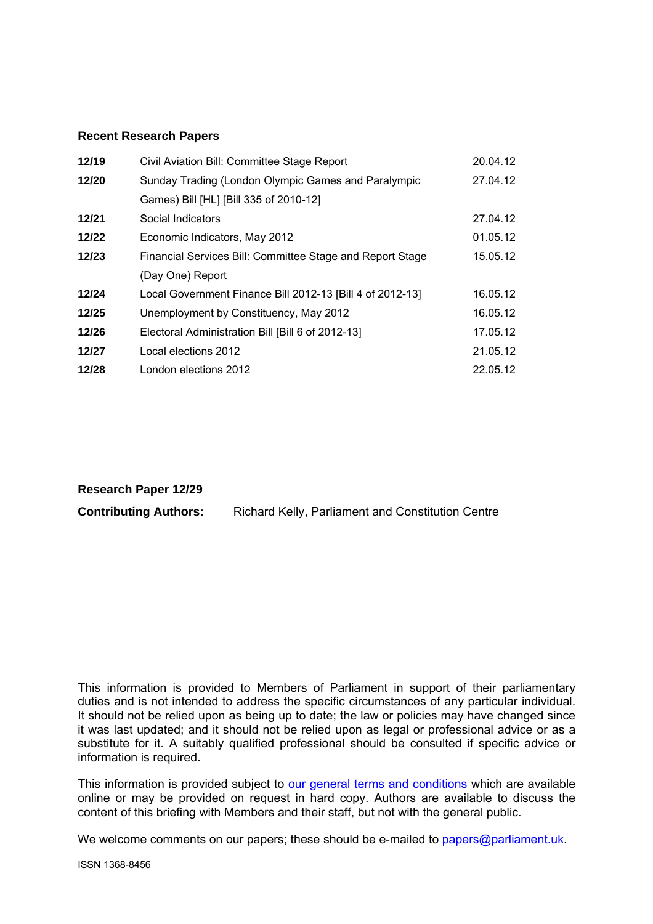#### **Recent Research Papers**

| 12/19 | Civil Aviation Bill: Committee Stage Report               | 20.04.12 |
|-------|-----------------------------------------------------------|----------|
| 12/20 | Sunday Trading (London Olympic Games and Paralympic       | 27.04.12 |
|       | Games) Bill [HL] [Bill 335 of 2010-12]                    |          |
| 12/21 | Social Indicators                                         | 27.04.12 |
| 12/22 | Economic Indicators, May 2012                             | 01.05.12 |
| 12/23 | Financial Services Bill: Committee Stage and Report Stage | 15.05.12 |
|       | (Day One) Report                                          |          |
| 12/24 | Local Government Finance Bill 2012-13 [Bill 4 of 2012-13] | 16.05.12 |
| 12/25 | Unemployment by Constituency, May 2012                    | 16.05.12 |
| 12/26 | Electoral Administration Bill [Bill 6 of 2012-13]         | 17.05.12 |
| 12/27 | Local elections 2012                                      | 21.05.12 |
| 12/28 | London elections 2012                                     | 22.05.12 |

**Research Paper 12/29** 

**Contributing Authors:** Richard Kelly, Parliament and Constitution Centre

This information is provided to Members of Parliament in support of their parliamentary duties and is not intended to address the specific circumstances of any particular individual. It should not be relied upon as being up to date; the law or policies may have changed since it was last updated; and it should not be relied upon as legal or professional advice or as a substitute for it. A suitably qualified professional should be consulted if specific advice or information is required.

This information is provided subject to [our general terms and conditions](http://www.parliament.uk/site-information/copyright/) which are available online or may be provided on request in hard copy. Authors are available to discuss the content of this briefing with Members and their staff, but not with the general public.

We welcome comments on our papers; these should be e-mailed to [papers@parliament.uk.](mailto:papers@parliament.uk)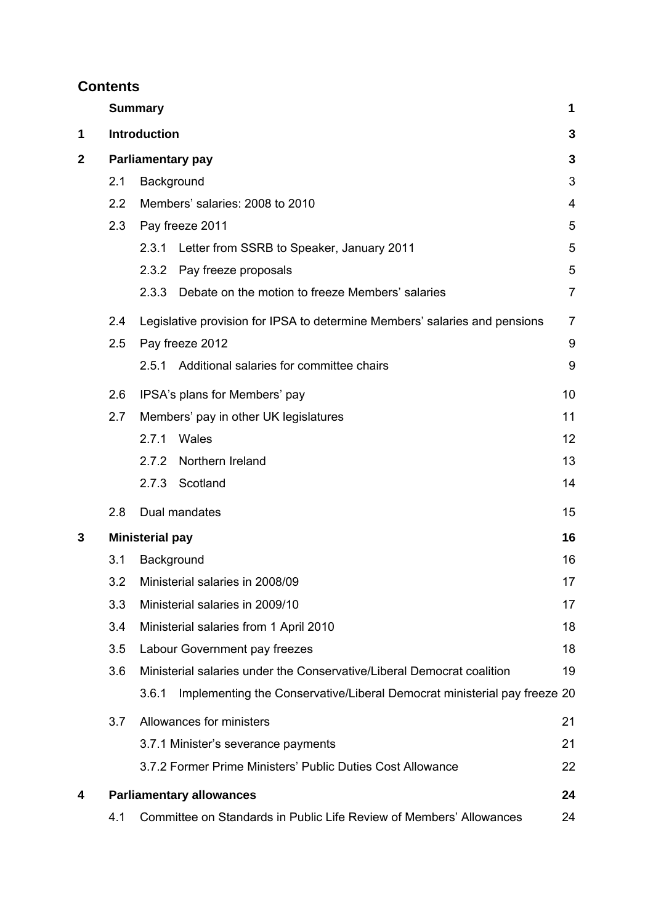# **Contents**

|             |     | <b>Summary</b>                                                                    | 1              |
|-------------|-----|-----------------------------------------------------------------------------------|----------------|
| 1           |     | <b>Introduction</b>                                                               | 3              |
| $\mathbf 2$ |     | <b>Parliamentary pay</b>                                                          | 3              |
|             | 2.1 | Background                                                                        | 3              |
|             | 2.2 | Members' salaries: 2008 to 2010                                                   | 4              |
|             | 2.3 | Pay freeze 2011                                                                   | 5              |
|             |     | Letter from SSRB to Speaker, January 2011<br>2.3.1                                | 5              |
|             |     | 2.3.2 Pay freeze proposals                                                        | 5              |
|             |     | 2.3.3<br>Debate on the motion to freeze Members' salaries                         | $\overline{7}$ |
|             | 2.4 | Legislative provision for IPSA to determine Members' salaries and pensions        | 7              |
|             | 2.5 | Pay freeze 2012                                                                   | 9              |
|             |     | Additional salaries for committee chairs<br>2.5.1                                 | 9              |
|             | 2.6 | IPSA's plans for Members' pay                                                     | 10             |
|             | 2.7 | Members' pay in other UK legislatures                                             | 11             |
|             |     | 2.7.1<br>Wales                                                                    | 12             |
|             |     | Northern Ireland<br>2.7.2                                                         | 13             |
|             |     | 2.7.3 Scotland                                                                    | 14             |
|             | 2.8 | Dual mandates                                                                     | 15             |
| 3           |     | <b>Ministerial pay</b>                                                            | 16             |
|             | 3.1 | Background                                                                        | 16             |
|             | 3.2 | Ministerial salaries in 2008/09                                                   | 17             |
|             | 3.3 | Ministerial salaries in 2009/10                                                   | 17             |
|             | 3.4 | Ministerial salaries from 1 April 2010                                            | 18             |
|             | 3.5 | Labour Government pay freezes                                                     | 18             |
|             | 3.6 | Ministerial salaries under the Conservative/Liberal Democrat coalition            | 19             |
|             |     | Implementing the Conservative/Liberal Democrat ministerial pay freeze 20<br>3.6.1 |                |
|             | 3.7 | Allowances for ministers                                                          | 21             |
|             |     | 3.7.1 Minister's severance payments                                               | 21             |
|             |     | 3.7.2 Former Prime Ministers' Public Duties Cost Allowance                        | 22             |
| 4           |     | <b>Parliamentary allowances</b>                                                   | 24             |
|             | 4.1 | Committee on Standards in Public Life Review of Members' Allowances               | 24             |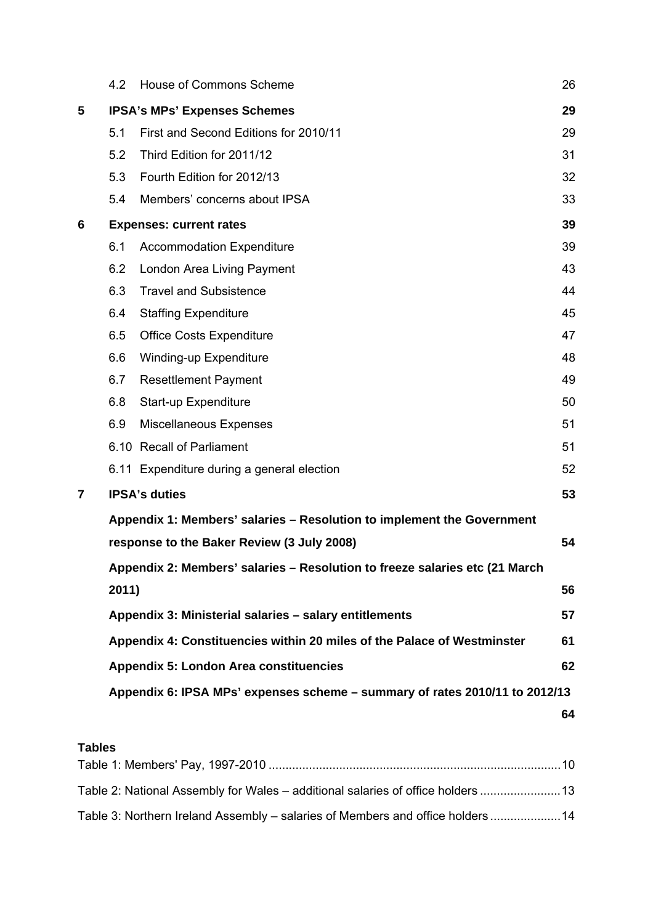|   | 4.2   | <b>House of Commons Scheme</b>                                              | 26 |
|---|-------|-----------------------------------------------------------------------------|----|
| 5 |       | <b>IPSA's MPs' Expenses Schemes</b>                                         | 29 |
|   | 5.1   | First and Second Editions for 2010/11                                       | 29 |
|   | 5.2   | Third Edition for 2011/12                                                   | 31 |
|   | 5.3   | Fourth Edition for 2012/13                                                  | 32 |
|   | 5.4   | Members' concerns about IPSA                                                | 33 |
| 6 |       | <b>Expenses: current rates</b>                                              | 39 |
|   | 6.1   | <b>Accommodation Expenditure</b>                                            | 39 |
|   | 6.2   | London Area Living Payment                                                  | 43 |
|   | 6.3   | <b>Travel and Subsistence</b>                                               | 44 |
|   | 6.4   | <b>Staffing Expenditure</b>                                                 | 45 |
|   | 6.5   | <b>Office Costs Expenditure</b>                                             | 47 |
|   | 6.6   | <b>Winding-up Expenditure</b>                                               | 48 |
|   | 6.7   | <b>Resettlement Payment</b>                                                 | 49 |
|   | 6.8   | Start-up Expenditure                                                        | 50 |
|   | 6.9   | <b>Miscellaneous Expenses</b>                                               | 51 |
|   |       | 6.10 Recall of Parliament                                                   | 51 |
|   |       | 6.11 Expenditure during a general election                                  | 52 |
| 7 |       | <b>IPSA's duties</b>                                                        | 53 |
|   |       | Appendix 1: Members' salaries - Resolution to implement the Government      |    |
|   |       | response to the Baker Review (3 July 2008)                                  | 54 |
|   |       | Appendix 2: Members' salaries - Resolution to freeze salaries etc (21 March |    |
|   | 2011) |                                                                             | 56 |
|   |       | Appendix 3: Ministerial salaries - salary entitlements                      | 57 |
|   |       | Appendix 4: Constituencies within 20 miles of the Palace of Westminster     | 61 |
|   |       | <b>Appendix 5: London Area constituencies</b>                               | 62 |
|   |       | Appendix 6: IPSA MPs' expenses scheme – summary of rates 2010/11 to 2012/13 |    |
|   |       |                                                                             | 64 |
|   |       |                                                                             |    |

# **Tables**

| Table 2: National Assembly for Wales – additional salaries of office holders  13 |  |
|----------------------------------------------------------------------------------|--|
| Table 3: Northern Ireland Assembly – salaries of Members and office holders 14   |  |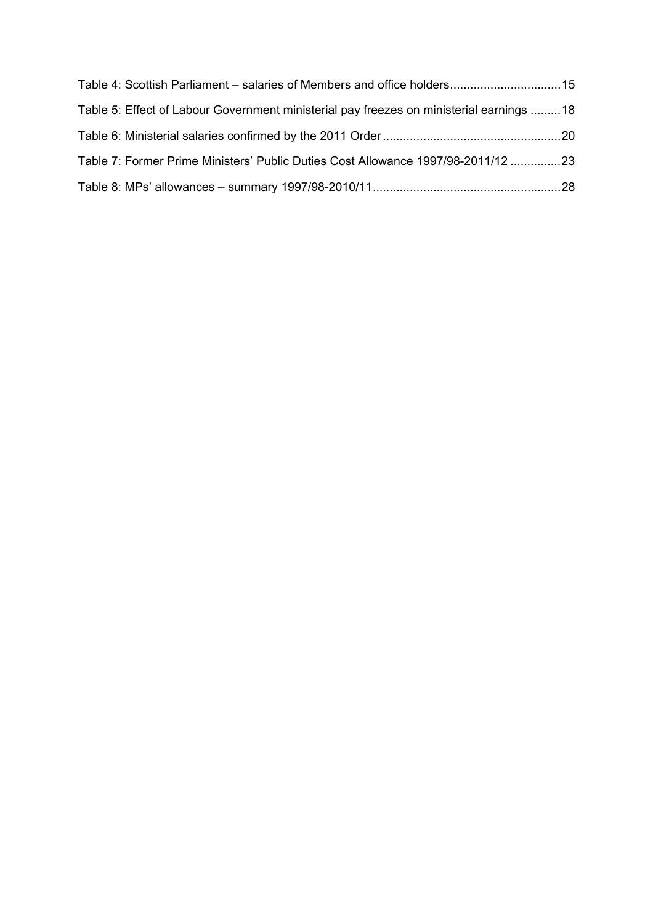| Table 4: Scottish Parliament – salaries of Members and office holders15                 |  |
|-----------------------------------------------------------------------------------------|--|
| Table 5: Effect of Labour Government ministerial pay freezes on ministerial earnings 18 |  |
|                                                                                         |  |
| Table 7: Former Prime Ministers' Public Duties Cost Allowance 1997/98-2011/12 23        |  |
|                                                                                         |  |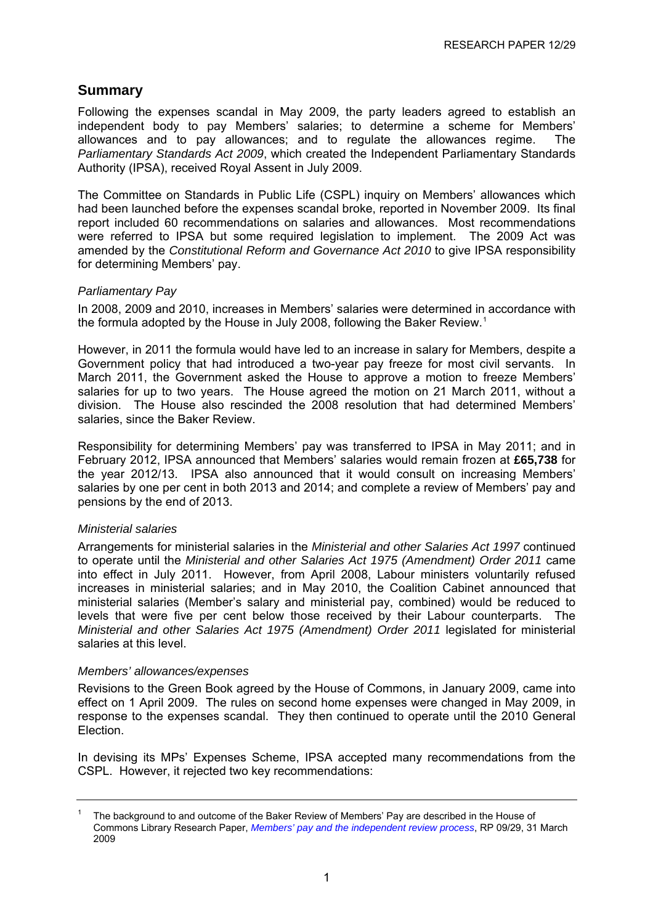# <span id="page-5-0"></span>**Summary**

Following the expenses scandal in May 2009, the party leaders agreed to establish an independent body to pay Members' salaries; to determine a scheme for Members' allowances and to pay allowances; and to regulate the allowances regime. The *Parliamentary Standards Act 2009*, which created the Independent Parliamentary Standards Authority (IPSA), received Royal Assent in July 2009.

The Committee on Standards in Public Life (CSPL) inquiry on Members' allowances which had been launched before the expenses scandal broke, reported in November 2009. Its final report included 60 recommendations on salaries and allowances. Most recommendations were referred to IPSA but some required legislation to implement. The 2009 Act was amended by the *Constitutional Reform and Governance Act 2010* to give IPSA responsibility for determining Members' pay.

#### *Parliamentary Pay*

In 2008, 2009 and 2010, increases in Members' salaries were determined in accordance with the formula adopted by the House in July 2008, following the Baker Review.<sup>[1](#page-5-1)</sup>

However, in 2011 the formula would have led to an increase in salary for Members, despite a Government policy that had introduced a two-year pay freeze for most civil servants. In March 2011, the Government asked the House to approve a motion to freeze Members' salaries for up to two years. The House agreed the motion on 21 March 2011, without a division. The House also rescinded the 2008 resolution that had determined Members' salaries, since the Baker Review.

Responsibility for determining Members' pay was transferred to IPSA in May 2011; and in February 2012, IPSA announced that Members' salaries would remain frozen at **£65,738** for the year 2012/13. IPSA also announced that it would consult on increasing Members' salaries by one per cent in both 2013 and 2014; and complete a review of Members' pay and pensions by the end of 2013.

#### *Ministerial salaries*

Arrangements for ministerial salaries in the *Ministerial and other Salaries Act 1997* continued to operate until the *Ministerial and other Salaries Act 1975 (Amendment) Order 2011* came into effect in July 2011. However, from April 2008, Labour ministers voluntarily refused increases in ministerial salaries; and in May 2010, the Coalition Cabinet announced that ministerial salaries (Member's salary and ministerial pay, combined) would be reduced to levels that were five per cent below those received by their Labour counterparts. The *Ministerial and other Salaries Act 1975 (Amendment) Order 2011* legislated for ministerial salaries at this level.

#### *Members' allowances/expenses*

Revisions to the Green Book agreed by the House of Commons, in January 2009, came into effect on 1 April 2009. The rules on second home expenses were changed in May 2009, in response to the expenses scandal. They then continued to operate until the 2010 General Election.

In devising its MPs' Expenses Scheme, IPSA accepted many recommendations from the CSPL. However, it rejected two key recommendations:

<span id="page-5-1"></span><sup>1</sup> The background to and outcome of the Baker Review of Members' Pay are described in the House of Commons Library Research Paper, *[Members' pay and the independent review process](http://www.parliament.uk/briefing-papers/RP09-29)*, RP 09/29, 31 March 2009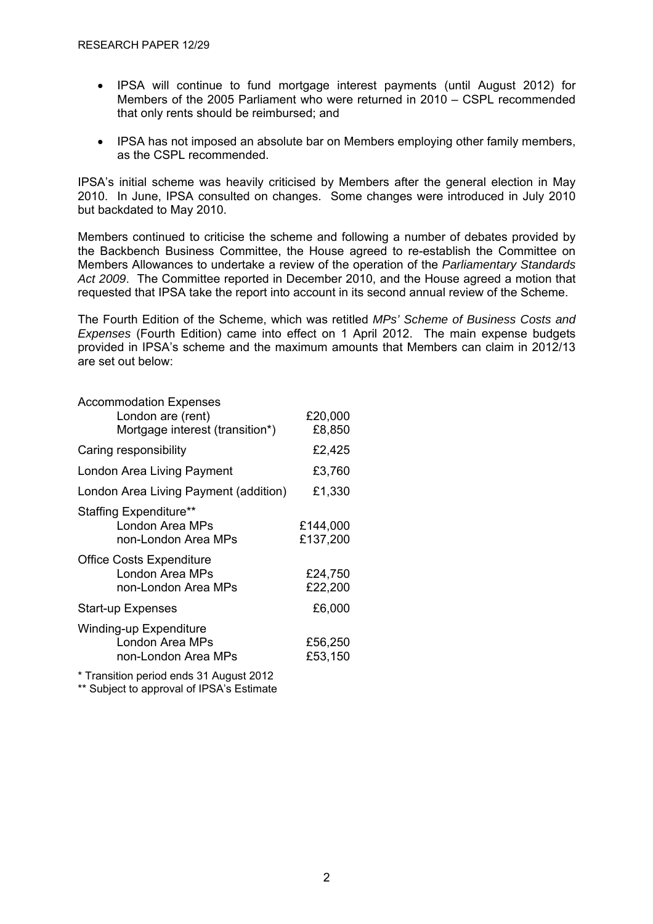- IPSA will continue to fund mortgage interest payments (until August 2012) for Members of the 2005 Parliament who were returned in 2010 – CSPL recommended that only rents should be reimbursed; and
- IPSA has not imposed an absolute bar on Members employing other family members, as the CSPL recommended.

IPSA's initial scheme was heavily criticised by Members after the general election in May 2010. In June, IPSA consulted on changes. Some changes were introduced in July 2010 but backdated to May 2010.

Members continued to criticise the scheme and following a number of debates provided by the Backbench Business Committee, the House agreed to re-establish the Committee on Members Allowances to undertake a review of the operation of the *Parliamentary Standards Act 2009*. The Committee reported in December 2010, and the House agreed a motion that requested that IPSA take the report into account in its second annual review of the Scheme.

The Fourth Edition of the Scheme, which was retitled *MPs' Scheme of Business Costs and Expenses* (Fourth Edition) came into effect on 1 April 2012. The main expense budgets provided in IPSA's scheme and the maximum amounts that Members can claim in 2012/13 are set out below:

| <b>Accommodation Expenses</b>                    |          |
|--------------------------------------------------|----------|
| London are (rent)                                | £20,000  |
| Mortgage interest (transition*)                  | £8,850   |
| Caring responsibility                            | £2,425   |
| London Area Living Payment                       | £3,760   |
| London Area Living Payment (addition)            | £1,330   |
| Staffing Expenditure**                           |          |
| London Area MPs                                  | £144,000 |
| non-London Area MPs                              | £137,200 |
| <b>Office Costs Expenditure</b>                  |          |
| London Area MPs                                  | £24,750  |
| non-London Area MPs                              | £22,200  |
| <b>Start-up Expenses</b>                         | £6,000   |
| <b>Winding-up Expenditure</b>                    |          |
| London Area MPs                                  | £56,250  |
| non-London Area MPs                              | £53,150  |
| $\sim$ $\sim$ $\sim$ $\sim$ $\sim$ $\sim$ $\sim$ |          |

\* Transition period ends 31 August 2012

\*\* Subject to approval of IPSA's Estimate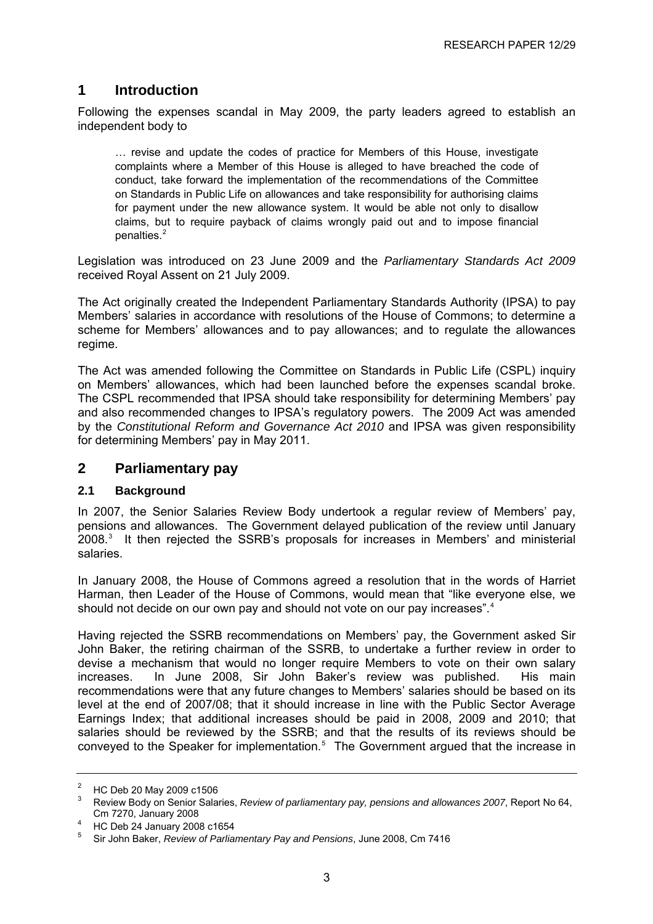# <span id="page-7-0"></span>**1 Introduction**

Following the expenses scandal in May 2009, the party leaders agreed to establish an independent body to

… revise and update the codes of practice for Members of this House, investigate complaints where a Member of this House is alleged to have breached the code of conduct, take forward the implementation of the recommendations of the Committee on Standards in Public Life on allowances and take responsibility for authorising claims for payment under the new allowance system. It would be able not only to disallow claims, but to require payback of claims wrongly paid out and to impose financial penalties. $2$ 

Legislation was introduced on 23 June 2009 and the *Parliamentary Standards Act 2009*  received Royal Assent on 21 July 2009.

The Act originally created the Independent Parliamentary Standards Authority (IPSA) to pay Members' salaries in accordance with resolutions of the House of Commons; to determine a scheme for Members' allowances and to pay allowances; and to regulate the allowances regime.

The Act was amended following the Committee on Standards in Public Life (CSPL) inquiry on Members' allowances, which had been launched before the expenses scandal broke. The CSPL recommended that IPSA should take responsibility for determining Members' pay and also recommended changes to IPSA's regulatory powers. The 2009 Act was amended by the *Constitutional Reform and Governance Act 2010* and IPSA was given responsibility for determining Members' pay in May 2011.

### **2 Parliamentary pay**

#### **2.1 Background**

In 2007, the Senior Salaries Review Body undertook a regular review of Members' pay, pensions and allowances. The Government delayed publication of the review until January  $2008.<sup>3</sup>$  $2008.<sup>3</sup>$  $2008.<sup>3</sup>$  It then rejected the SSRB's proposals for increases in Members' and ministerial salaries.

In January 2008, the House of Commons agreed a resolution that in the words of Harriet Harman, then Leader of the House of Commons, would mean that "like everyone else, we should not decide on our own pay and should not vote on our pay increases".<sup>[4](#page-7-0)</sup>

Having rejected the SSRB recommendations on Members' pay, the Government asked Sir John Baker, the retiring chairman of the SSRB, to undertake a further review in order to devise a mechanism that would no longer require Members to vote on their own salary increases. In June 2008, Sir John Baker's review was published. His main recommendations were that any future changes to Members' salaries should be based on its level at the end of 2007/08; that it should increase in line with the Public Sector Average Earnings Index; that additional increases should be paid in 2008, 2009 and 2010; that salaries should be reviewed by the SSRB; and that the results of its reviews should be conveyed to the Speaker for implementation.<sup>[5](#page-7-0)</sup> The Government argued that the increase in

<sup>2</sup> HC Deb 20 May 2009 c1506

<sup>3</sup> Review Body on Senior Salaries, *Review of parliamentary pay, pensions and allowances 2007*, Report No 64, Cm 7270, January 2008 4

HC Deb 24 January 2008 c1654

<sup>5</sup> Sir John Baker, *Review of Parliamentary Pay and Pensions*, June 2008, Cm 7416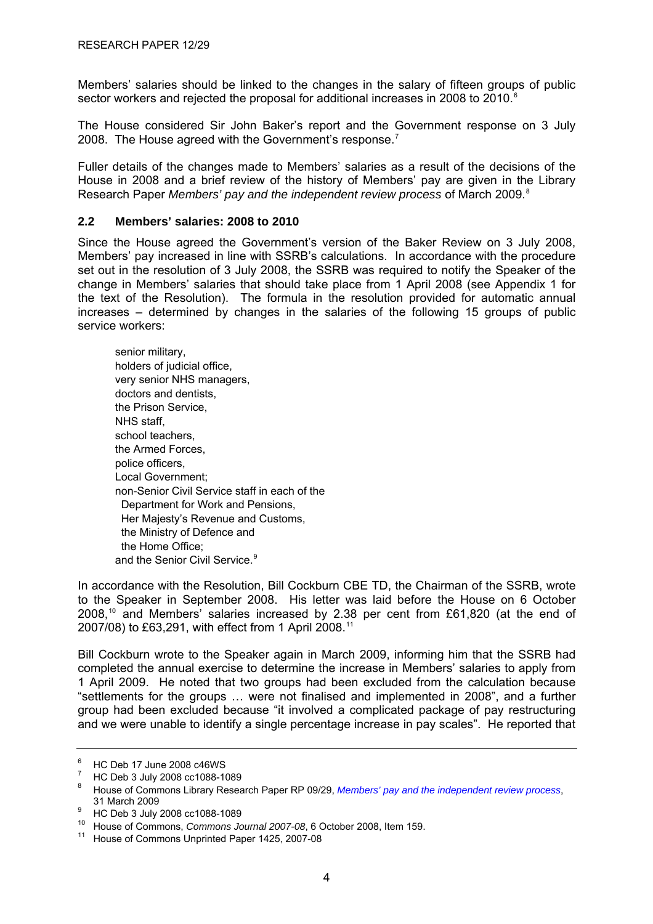<span id="page-8-0"></span>Members' salaries should be linked to the changes in the salary of fifteen groups of public sector workers and rejected the proposal for additional increases in 2008 to 2010.<sup>[6](#page-8-0)</sup>

The House considered Sir John Baker's report and the Government response on 3 July 2008. The House agreed with the Government's response.<sup>[7](#page-8-0)</sup>

Fuller details of the changes made to Members' salaries as a result of the decisions of the House in 2008 and a brief review of the history of Members' pay are given in the Library Research Paper *Members' pay and the independent review process* of March 2009.<sup>[8](#page-8-0)</sup>

#### **2.2 Members' salaries: 2008 to 2010**

Since the House agreed the Government's version of the Baker Review on 3 July 2008, Members' pay increased in line with SSRB's calculations. In accordance with the procedure set out in the resolution of 3 July 2008, the SSRB was required to notify the Speaker of the change in Members' salaries that should take place from 1 April 2008 (see Appendix 1 for the text of the Resolution). The formula in the resolution provided for automatic annual increases – determined by changes in the salaries of the following 15 groups of public service workers:

senior military, holders of judicial office, very senior NHS managers, doctors and dentists, the Prison Service, NHS staff, school teachers, the Armed Forces, police officers, Local Government; non-Senior Civil Service staff in each of the Department for Work and Pensions, Her Majesty's Revenue and Customs, the Ministry of Defence and the Home Office; and the Senior Civil Service.<sup>[9](#page-8-0)</sup>

In accordance with the Resolution, Bill Cockburn CBE TD, the Chairman of the SSRB, wrote to the Speaker in September 2008. His letter was laid before the House on 6 October 2008,[10](#page-8-0) and Members' salaries increased by 2.38 per cent from £61,820 (at the end of 2007/08) to £63,291, with effect from 1 April 2008.[11](#page-8-0)

Bill Cockburn wrote to the Speaker again in March 2009, informing him that the SSRB had completed the annual exercise to determine the increase in Members' salaries to apply from 1 April 2009. He noted that two groups had been excluded from the calculation because "settlements for the groups … were not finalised and implemented in 2008", and a further group had been excluded because "it involved a complicated package of pay restructuring and we were unable to identify a single percentage increase in pay scales". He reported that

<sup>6</sup> HC Deb 17 June 2008 c46WS

<sup>7</sup> HC Deb 3 July 2008 cc1088-1089

<sup>8</sup> House of Commons Library Research Paper RP 09/29, *[Members' pay and the independent review process](http://www.parliament.uk/briefing-papers/RP09-29)*,

<sup>31</sup> March 2009<br><sup>9</sup> HC Deb 3 July 2008 cc1088-1089

<sup>10</sup> House of Commons, *Commons Journal 2007-08*, 6 October 2008, Item 159.<br><sup>11</sup> House of Commons Unprinted Paper 1425, 2007-08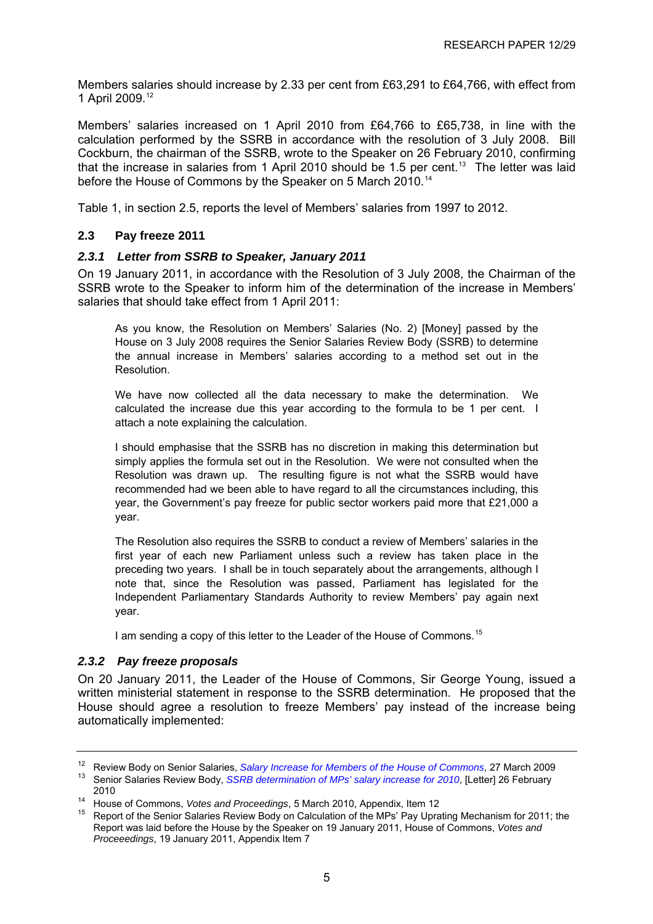<span id="page-9-0"></span>Members salaries should increase by 2.33 per cent from £63,291 to £64,766, with effect from 1 April 2009.[12](#page-9-0)

Members' salaries increased on 1 April 2010 from £64,766 to £65,738, in line with the calculation performed by the SSRB in accordance with the resolution of 3 July 2008. Bill Cockburn, the chairman of the SSRB, wrote to the Speaker on 26 February 2010, confirming that the increase in salaries from 1 April 2010 should be 1.5 per cent.<sup>[13](#page-9-0)</sup> The letter was laid before the House of Commons by the Speaker on 5 March 2010.<sup>[14](#page-9-0)</sup>

Table 1, in section 2.5, reports the level of Members' salaries from 1997 to 2012.

#### **2.3 Pay freeze 2011**

#### *2.3.1 Letter from SSRB to Speaker, January 2011*

On 19 January 2011, in accordance with the Resolution of 3 July 2008, the Chairman of the SSRB wrote to the Speaker to inform him of the determination of the increase in Members' salaries that should take effect from 1 April 2011:

As you know, the Resolution on Members' Salaries (No. 2) [Money] passed by the House on 3 July 2008 requires the Senior Salaries Review Body (SSRB) to determine the annual increase in Members' salaries according to a method set out in the Resolution.

We have now collected all the data necessary to make the determination. We calculated the increase due this year according to the formula to be 1 per cent. I attach a note explaining the calculation.

I should emphasise that the SSRB has no discretion in making this determination but simply applies the formula set out in the Resolution. We were not consulted when the Resolution was drawn up. The resulting figure is not what the SSRB would have recommended had we been able to have regard to all the circumstances including, this year, the Government's pay freeze for public sector workers paid more that £21,000 a year.

The Resolution also requires the SSRB to conduct a review of Members' salaries in the first year of each new Parliament unless such a review has taken place in the preceding two years. I shall be in touch separately about the arrangements, although I note that, since the Resolution was passed, Parliament has legislated for the Independent Parliamentary Standards Authority to review Members' pay again next year.

I am sending a copy of this letter to the Leader of the House of Commons.<sup>[15](#page-9-0)</sup>

#### *2.3.2 Pay freeze proposals*

On 20 January 2011, the Leader of the House of Commons, Sir George Young, issued a written ministerial statement in response to the SSRB determination. He proposed that the House should agree a resolution to freeze Members' pay instead of the increase being automatically implemented:

<sup>&</sup>lt;sup>12</sup>Review Body on Senior Salaries, *Salary Increase for Members of the House of Commons*, 27 March 2009 <sup>13</sup> Senior Salaries Review Body, *SSRB determination of MPs' salary increase for 2010*, [Letter] 26 February

<sup>2010&</sup>lt;br><sup>14</sup> House of Commons, *Votes and Proceedings*, 5 March 2010, Appendix, Item 12<br><sup>15</sup> Report of the Senior Salaries Review Body on Calculation of the MPs' Pay Uprating Mechanism for 2011; the Report was laid before the House by the Speaker on 19 January 2011, House of Commons, *Votes and Proceeedings*, 19 January 2011, Appendix Item 7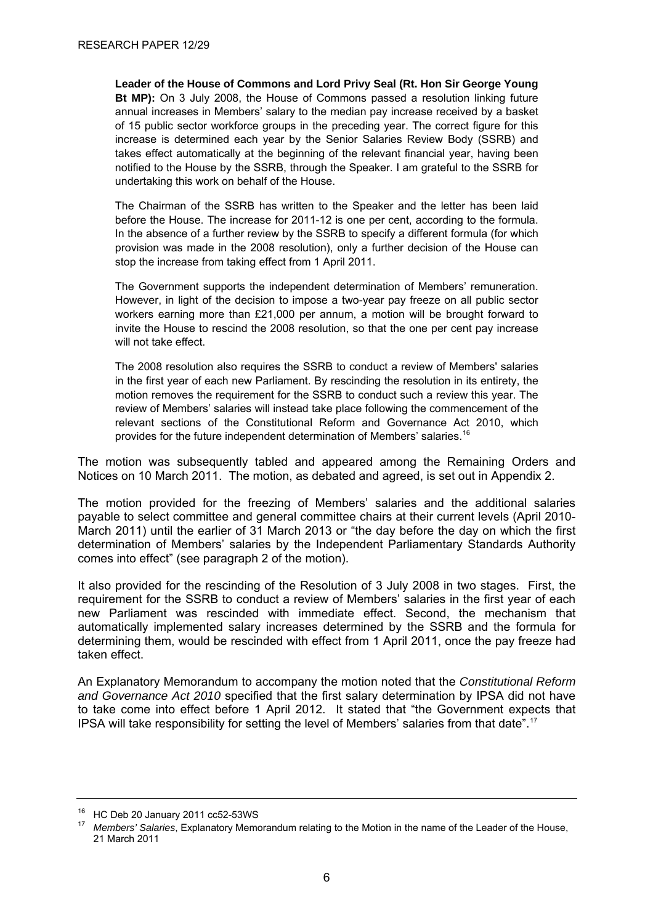<span id="page-10-0"></span>**Leader of the House of Commons and Lord Privy Seal (Rt. Hon Sir George Young Bt MP):** On 3 July 2008, the House of Commons passed a resolution linking future annual increases in Members' salary to the median pay increase received by a basket of 15 public sector workforce groups in the preceding year. The correct figure for this increase is determined each year by the Senior Salaries Review Body (SSRB) and takes effect automatically at the beginning of the relevant financial year, having been notified to the House by the SSRB, through the Speaker. I am grateful to the SSRB for undertaking this work on behalf of the House.

The Chairman of the SSRB has written to the Speaker and the letter has been laid before the House. The increase for 2011-12 is one per cent, according to the formula. In the absence of a further review by the SSRB to specify a different formula (for which provision was made in the 2008 resolution), only a further decision of the House can stop the increase from taking effect from 1 April 2011.

The Government supports the independent determination of Members' remuneration. However, in light of the decision to impose a two-year pay freeze on all public sector workers earning more than £21,000 per annum, a motion will be brought forward to invite the House to rescind the 2008 resolution, so that the one per cent pay increase will not take effect.

The 2008 resolution also requires the SSRB to conduct a review of Members' salaries in the first year of each new Parliament. By rescinding the resolution in its entirety, the motion removes the requirement for the SSRB to conduct such a review this year. The review of Members' salaries will instead take place following the commencement of the relevant sections of the Constitutional Reform and Governance Act 2010, which provides for the future independent determination of Members' salaries.<sup>[16](#page-10-0)</sup>

The motion was subsequently tabled and appeared among the Remaining Orders and Notices on 10 March 2011. The motion, as debated and agreed, is set out in Appendix 2.

The motion provided for the freezing of Members' salaries and the additional salaries payable to select committee and general committee chairs at their current levels (April 2010- March 2011) until the earlier of 31 March 2013 or "the day before the day on which the first determination of Members' salaries by the Independent Parliamentary Standards Authority comes into effect" (see paragraph 2 of the motion).

It also provided for the rescinding of the Resolution of 3 July 2008 in two stages. First, the requirement for the SSRB to conduct a review of Members' salaries in the first year of each new Parliament was rescinded with immediate effect. Second, the mechanism that automatically implemented salary increases determined by the SSRB and the formula for determining them, would be rescinded with effect from 1 April 2011, once the pay freeze had taken effect.

An Explanatory Memorandum to accompany the motion noted that the *Constitutional Reform and Governance Act 2010* specified that the first salary determination by IPSA did not have to take come into effect before 1 April 2012. It stated that "the Government expects that IPSA will take responsibility for setting the level of Members' salaries from that date".[17](#page-10-0)

<sup>16</sup> HC Deb 20 January 2011 cc52-53WS

<sup>17</sup> *Members' Salaries*, Explanatory Memorandum relating to the Motion in the name of the Leader of the House, 21 March 2011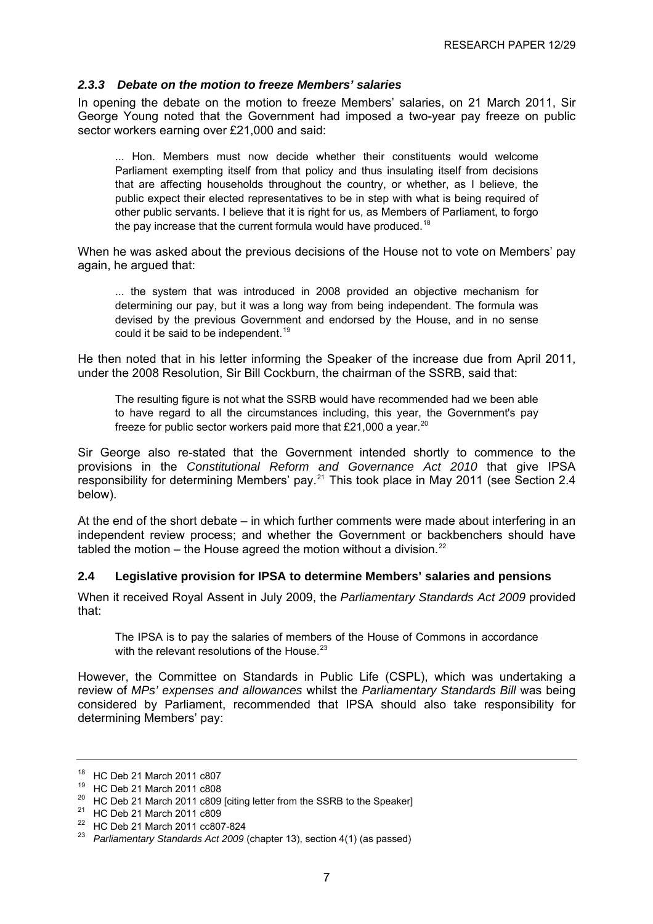#### <span id="page-11-0"></span>*2.3.3 Debate on the motion to freeze Members' salaries*

In opening the debate on the motion to freeze Members' salaries, on 21 March 2011, Sir George Young noted that the Government had imposed a two-year pay freeze on public sector workers earning over £21,000 and said:

... Hon. Members must now decide whether their constituents would welcome Parliament exempting itself from that policy and thus insulating itself from decisions that are affecting households throughout the country, or whether, as I believe, the public expect their elected representatives to be in step with what is being required of other public servants. I believe that it is right for us, as Members of Parliament, to forgo the pay increase that the current formula would have produced.<sup>[18](#page-11-0)</sup>

When he was asked about the previous decisions of the House not to vote on Members' pay again, he argued that:

... the system that was introduced in 2008 provided an objective mechanism for determining our pay, but it was a long way from being independent. The formula was devised by the previous Government and endorsed by the House, and in no sense could it be said to be independent.<sup>[19](#page-11-0)</sup>

He then noted that in his letter informing the Speaker of the increase due from April 2011, under the 2008 Resolution, Sir Bill Cockburn, the chairman of the SSRB, said that:

The resulting figure is not what the SSRB would have recommended had we been able to have regard to all the circumstances including, this year, the Government's pay freeze for public sector workers paid more that £21,000 a year.<sup>[20](#page-11-0)</sup>

Sir George also re-stated that the Government intended shortly to commence to the provisions in the *Constitutional Reform and Governance Act 2010* that give IPSA responsibility for determining Members' pay.[21](#page-11-0) This took place in May 2011 (see Section 2.4 below).

At the end of the short debate – in which further comments were made about interfering in an independent review process; and whether the Government or backbenchers should have tabled the motion – the House agreed the motion without a division.<sup>[22](#page-11-0)</sup>

#### **2.4 Legislative provision for IPSA to determine Members' salaries and pensions**

When it received Royal Assent in July 2009, the *Parliamentary Standards Act 2009* provided that:

The IPSA is to pay the salaries of members of the House of Commons in accordance with the relevant resolutions of the House. $23$ 

However, the Committee on Standards in Public Life (CSPL), which was undertaking a review of *MPs' expenses and allowances* whilst the *Parliamentary Standards Bill* was being considered by Parliament, recommended that IPSA should also take responsibility for determining Members' pay:

<sup>18</sup> HC Deb 21 March 2011 c807

<sup>19</sup> HC Deb 21 March 2011 c808

<sup>&</sup>lt;sup>20</sup> HC Deb 21 March 2011 c809 [citing letter from the SSRB to the Speaker]

<sup>21</sup> HC Deb 21 March 2011 c809

<sup>22</sup> HC Deb 21 March 2011 cc807-824

<sup>23</sup> *Parliamentary Standards Act 2009* (chapter 13), section 4(1) (as passed)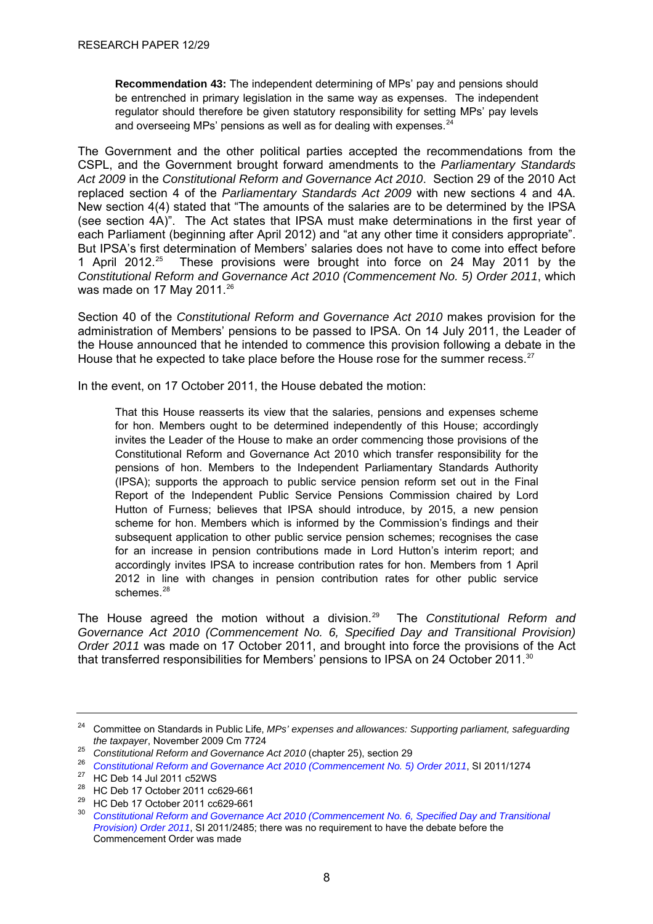<span id="page-12-0"></span>**Recommendation 43:** The independent determining of MPs' pay and pensions should be entrenched in primary legislation in the same way as expenses. The independent regulator should therefore be given statutory responsibility for setting MPs' pay levels and overseeing MPs' pensions as well as for dealing with expenses. $<sup>24</sup>$  $<sup>24</sup>$  $<sup>24</sup>$ </sup>

The Government and the other political parties accepted the recommendations from the CSPL, and the Government brought forward amendments to the *Parliamentary Standards Act 2009* in the *Constitutional Reform and Governance Act 2010*. Section 29 of the 2010 Act replaced section 4 of the *Parliamentary Standards Act 2009* with new sections 4 and 4A. New section 4(4) stated that "The amounts of the salaries are to be determined by the IPSA (see section 4A)". The Act states that IPSA must make determinations in the first year of each Parliament (beginning after April 2012) and "at any other time it considers appropriate". But IPSA's first determination of Members' salaries does not have to come into effect before 1 April 2012.[25](#page-12-0) These provisions were brought into force on 24 May 2011 by the *Constitutional Reform and Governance Act 2010 (Commencement No. 5) Order 2011*, which was made on 17 May 2011.<sup>[26](#page-12-0)</sup>

Section 40 of the *Constitutional Reform and Governance Act 2010* makes provision for the administration of Members' pensions to be passed to IPSA. On 14 July 2011, the Leader of the House announced that he intended to commence this provision following a debate in the House that he expected to take place before the House rose for the summer recess.<sup>[27](#page-12-0)</sup>

In the event, on 17 October 2011, the House debated the motion:

That this House reasserts its view that the salaries, pensions and expenses scheme for hon. Members ought to be determined independently of this House; accordingly invites the Leader of the House to make an order commencing those provisions of the Constitutional Reform and Governance Act 2010 which transfer responsibility for the pensions of hon. Members to the Independent Parliamentary Standards Authority (IPSA); supports the approach to public service pension reform set out in the Final Report of the Independent Public Service Pensions Commission chaired by Lord Hutton of Furness; believes that IPSA should introduce, by 2015, a new pension scheme for hon. Members which is informed by the Commission's findings and their subsequent application to other public service pension schemes; recognises the case for an increase in pension contributions made in Lord Hutton's interim report; and accordingly invites IPSA to increase contribution rates for hon. Members from 1 April 2012 in line with changes in pension contribution rates for other public service schemes<sup>[28](#page-12-0)</sup>

The House agreed the motion without a division.[29](#page-12-0) The *Constitutional Reform and Governance Act 2010 (Commencement No. 6, Specified Day and Transitional Provision) Order 2011* was made on 17 October 2011, and brought into force the provisions of the Act that transferred responsibilities for Members' pensions to IPSA on 24 October 2011.<sup>[30](#page-12-0)</sup>

28 HC Deb 17 October 2011 cc629-661

<sup>&</sup>lt;sup>24</sup> Committee on Standards in Public Life, *MPs' expenses and allowances: Supporting parliament, safeguarding the taxpayer, November 2009 Cm 7724* 

<sup>25&</sup>lt;br>
Constitutional Reform and Governance Act 2010 (chapter 25), section 29<br>
26 Constitutional Reform and Governance Act 2010 (Commencement No. 5) Order 2011, SI 2011/1274<br>
27 HC Deb 14 Jul 2011 c52WS

<sup>29</sup> HC Deb 17 October 2011 cc629-661

<sup>30</sup> *[Constitutional Reform and Governance Act 2010 \(Commencement No. 6, Specified Day and Transitional](http://www.legislation.gov.uk/uksi/2011/2485/contents/made)  [Provision\) Order 2011](http://www.legislation.gov.uk/uksi/2011/2485/contents/made)*, SI 2011/2485; there was no requirement to have the debate before the Commencement Order was made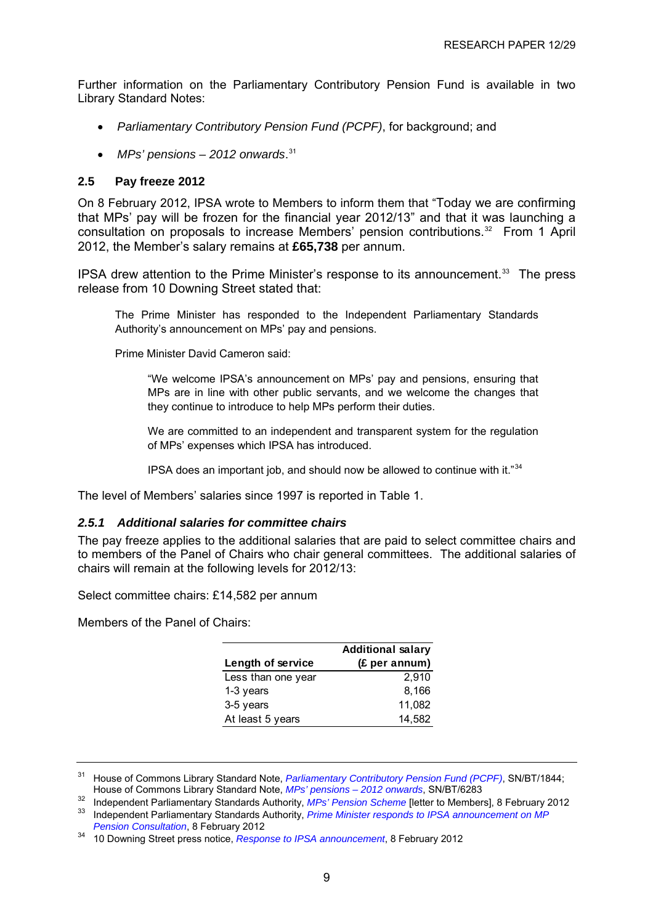<span id="page-13-0"></span>Further information on the Parliamentary Contributory Pension Fund is available in two Library Standard Notes:

- *Parliamentary Contributory Pension Fund (PCPF)*, for background; and
- *MPs' pensions 2012 onwards*. [31](#page-13-0)

#### **2.5 Pay freeze 2012**

On 8 February 2012, IPSA wrote to Members to inform them that "Today we are confirming that MPs' pay will be frozen for the financial year 2012/13" and that it was launching a consultation on proposals to increase Members' pension contributions.[32](#page-13-0) From 1 April 2012, the Member's salary remains at **£65,738** per annum.

IPSA drew attention to the Prime Minister's response to its announcement.<sup>[33](#page-13-0)</sup> The press release from 10 Downing Street stated that:

The Prime Minister has responded to the Independent Parliamentary Standards Authority's announcement on MPs' pay and pensions.

Prime Minister David Cameron said:

"We welcome IPSA's announcement on MPs' pay and pensions, ensuring that MPs are in line with other public servants, and we welcome the changes that they continue to introduce to help MPs perform their duties.

We are committed to an independent and transparent system for the regulation of MPs' expenses which IPSA has introduced.

IPSA does an important job, and should now be allowed to continue with it."[34](#page-13-0)

The level of Members' salaries since 1997 is reported in Table 1.

#### *2.5.1 Additional salaries for committee chairs*

The pay freeze applies to the additional salaries that are paid to select committee chairs and to members of the Panel of Chairs who chair general committees. The additional salaries of chairs will remain at the following levels for 2012/13:

Select committee chairs: £14,582 per annum

Members of the Panel of Chairs:

|                    | <b>Additional salary</b> |
|--------------------|--------------------------|
| Length of service  | (£ per annum)            |
| Less than one year | 2.910                    |
| 1-3 years          | 8,166                    |
| 3-5 years          | 11,082                   |
| At least 5 years   | 14,582                   |

<sup>31</sup> House of Commons Library Standard Note, *[Parliamentary Contributory Pension Fund \(PCPF\)](http://www.parliament.uk/briefing-papers/SN01844)*, SN/BT/1844;<br>House of Commons Library Standard Note, *MPs' pensions – 2012 onwards*, SN/BT/6283

<sup>32</sup> Independent Parliamentary Standards Authority, MPs' Pension Scheme [letter to Members], 8 February 2012<br><sup>33</sup> Independent Parliamentary Standards Authority, Prime Minister responds to IPSA announcement on MP<br>Pension Co

<sup>34</sup> 10 Downing Street press notice, *[Response to IPSA announcement](http://www.number10.gov.uk/news/response-to-ipsa-announcement/)*, 8 February 2012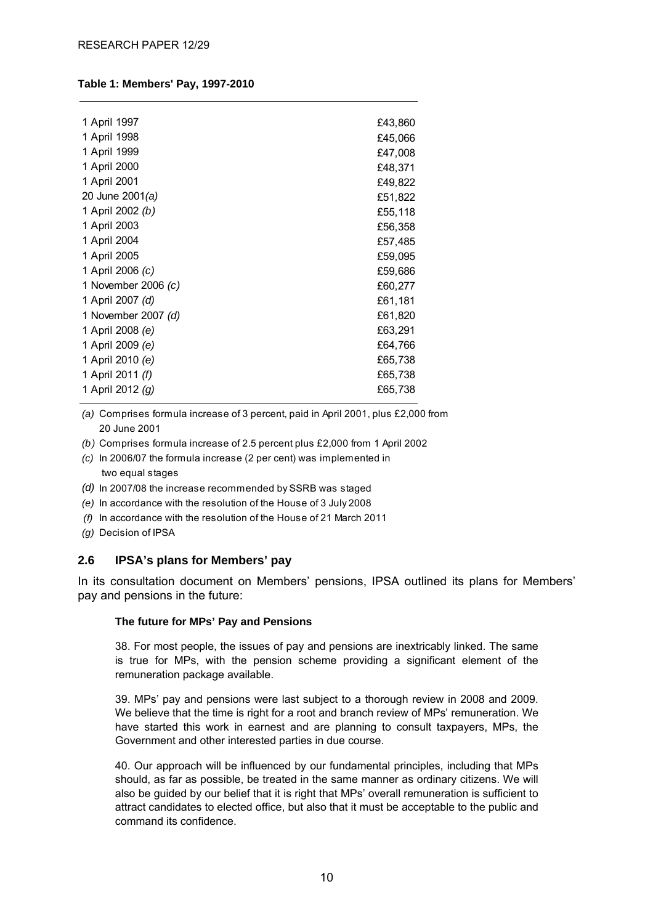#### <span id="page-14-0"></span>**Table 1: Members' Pay, 1997-2010**

| 1 April 1997            | £43,860 |
|-------------------------|---------|
| 1 April 1998            | £45,066 |
| 1 April 1999            | £47,008 |
| 1 April 2000            | £48,371 |
| 1 April 2001            | £49,822 |
| 20 June 2001(a)         | £51,822 |
| 1 April 2002 (b)        | £55,118 |
| 1 April 2003            | £56,358 |
| 1 April 2004            | £57,485 |
| 1 April 2005            | £59,095 |
| 1 April 2006 (c)        | £59,686 |
| 1 November 2006 (c)     | £60,277 |
| 1 April 2007 (d)        | £61,181 |
| 1 November 2007 (d)     | £61,820 |
| 1 April 2008 <i>(e)</i> | £63,291 |
| 1 April 2009 (e)        | £64,766 |
| 1 April 2010 (e)        | £65,738 |
| 1 April 2011 (f)        | £65,738 |
| 1 April 2012 (g)        | £65,738 |
|                         |         |

*(a)*  Comprises formula increase of 3 percent, paid in April 2001, plus £2,000 from 20 June 2001

- *(b)* Comprises formula increase of 2.5 percent plus £2,000 from 1 April 2002
- *(c)* In 2006/07 the formula increase (2 per cent) was implemented in two equal stages
- *(d)* In 2007/08 the increase recommended by SSRB was staged
- *(e)* In accordance with the resolution of the House of 3 July 2008
- *(f)* In accordance with the resolution of the House of 21 March 2011
- *(g)* Decision of IPSA

#### **2.6 IPSA's plans for Members' pay**

In its consultation document on Members' pensions, IPSA outlined its plans for Members' pay and pensions in the future:

#### **The future for MPs' Pay and Pensions**

38. For most people, the issues of pay and pensions are inextricably linked. The same is true for MPs, with the pension scheme providing a significant element of the remuneration package available.

39. MPs' pay and pensions were last subject to a thorough review in 2008 and 2009. We believe that the time is right for a root and branch review of MPs' remuneration. We have started this work in earnest and are planning to consult taxpayers, MPs, the Government and other interested parties in due course.

40. Our approach will be influenced by our fundamental principles, including that MPs should, as far as possible, be treated in the same manner as ordinary citizens. We will also be guided by our belief that it is right that MPs' overall remuneration is sufficient to attract candidates to elected office, but also that it must be acceptable to the public and command its confidence.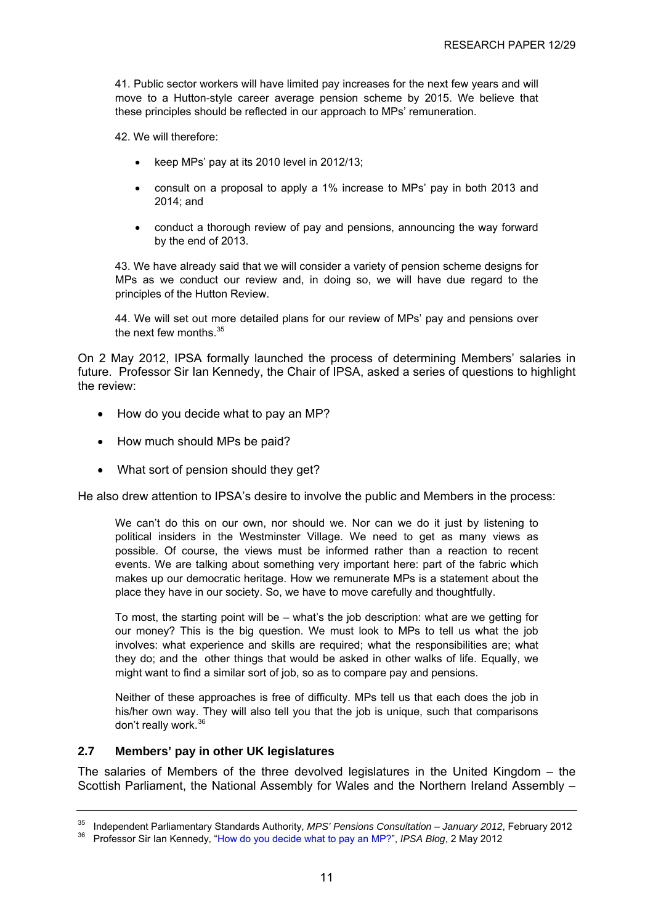<span id="page-15-0"></span>41. Public sector workers will have limited pay increases for the next few years and will move to a Hutton-style career average pension scheme by 2015. We believe that these principles should be reflected in our approach to MPs' remuneration.

42. We will therefore:

- keep MPs' pay at its 2010 level in 2012/13;
- consult on a proposal to apply a 1% increase to MPs' pay in both 2013 and 2014; and
- conduct a thorough review of pay and pensions, announcing the way forward by the end of 2013.

43. We have already said that we will consider a variety of pension scheme designs for MPs as we conduct our review and, in doing so, we will have due regard to the principles of the Hutton Review.

44. We will set out more detailed plans for our review of MPs' pay and pensions over the next few months  $35$ 

On 2 May 2012, IPSA formally launched the process of determining Members' salaries in future. Professor Sir Ian Kennedy, the Chair of IPSA, asked a series of questions to highlight the review:

- How do you decide what to pay an MP?
- How much should MPs be paid?
- What sort of pension should they get?

He also drew attention to IPSA's desire to involve the public and Members in the process:

We can't do this on our own, nor should we. Nor can we do it just by listening to political insiders in the Westminster Village. We need to get as many views as possible. Of course, the views must be informed rather than a reaction to recent events. We are talking about something very important here: part of the fabric which makes up our democratic heritage. How we remunerate MPs is a statement about the place they have in our society. So, we have to move carefully and thoughtfully.

To most, the starting point will be – what's the job description: what are we getting for our money? This is the big question. We must look to MPs to tell us what the job involves: what experience and skills are required; what the responsibilities are; what they do; and the other things that would be asked in other walks of life. Equally, we might want to find a similar sort of job, so as to compare pay and pensions.

Neither of these approaches is free of difficulty. MPs tell us that each does the job in his/her own way. They will also tell you that the job is unique, such that comparisons don't really work.[36](#page-15-0)

#### **2.7 Members' pay in other UK legislatures**

The salaries of Members of the three devolved legislatures in the United Kingdom – the Scottish Parliament, the National Assembly for Wales and the Northern Ireland Assembly –

<sup>&</sup>lt;sup>35</sup> Independent Parliamentary Standards Authority, *MPS' Pensions Consultation – January 2012*, February 2012<br><sup>36</sup> Professor Sir Ian Kennedy, ["How do you decide what to pay an MP?"](http://parliamentarystandards.org.uk/sites/ipsablog/default.aspx), *IPSA Blog*, 2 May 2012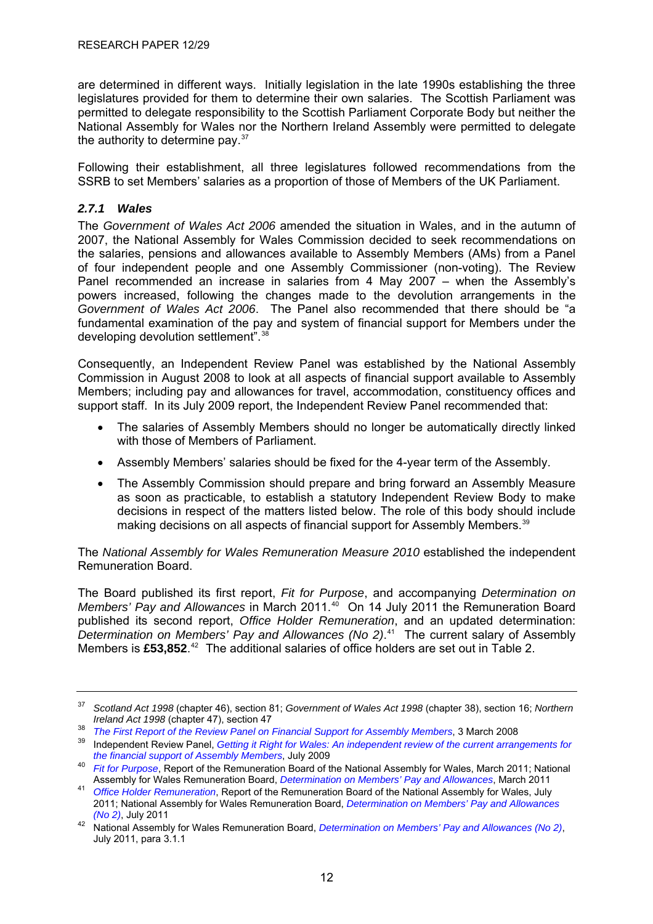<span id="page-16-0"></span>are determined in different ways. Initially legislation in the late 1990s establishing the three legislatures provided for them to determine their own salaries. The Scottish Parliament was permitted to delegate responsibility to the Scottish Parliament Corporate Body but neither the National Assembly for Wales nor the Northern Ireland Assembly were permitted to delegate the authority to determine pay.<sup>[37](#page-16-0)</sup>

Following their establishment, all three legislatures followed recommendations from the SSRB to set Members' salaries as a proportion of those of Members of the UK Parliament.

#### *2.7.1 Wales*

The *Government of Wales Act 2006* amended the situation in Wales, and in the autumn of 2007, the National Assembly for Wales Commission decided to seek recommendations on the salaries, pensions and allowances available to Assembly Members (AMs) from a Panel of four independent people and one Assembly Commissioner (non-voting). The Review Panel recommended an increase in salaries from 4 May 2007 – when the Assembly's powers increased, following the changes made to the devolution arrangements in the *Government of Wales Act 2006*. The Panel also recommended that there should be "a fundamental examination of the pay and system of financial support for Members under the developing devolution settlement".<sup>[38](#page-16-0)</sup>

Consequently, an Independent Review Panel was established by the National Assembly Commission in August 2008 to look at all aspects of financial support available to Assembly Members; including pay and allowances for travel, accommodation, constituency offices and support staff. In its July 2009 report, the Independent Review Panel recommended that:

- The salaries of Assembly Members should no longer be automatically directly linked with those of Members of Parliament.
- Assembly Members' salaries should be fixed for the 4-year term of the Assembly.
- The Assembly Commission should prepare and bring forward an Assembly Measure as soon as practicable, to establish a statutory Independent Review Body to make decisions in respect of the matters listed below. The role of this body should include making decisions on all aspects of financial support for Assembly Members.<sup>[39](#page-16-0)</sup>

The *National Assembly for Wales Remuneration Measure 2010* established the independent Remuneration Board.

The Board published its first report, *Fit for Purpose*, and accompanying *Determination on Members' Pav and Allowances* in March 2011.<sup>[40](#page-16-0)</sup> On 14 July 2011 the Remuneration Board published its second report, *Office Holder Remuneration*, and an updated determination: *Determination on Members' Pay and Allowances (No 2)*. [41](#page-16-0) The current salary of Assembly Members is £53,852.<sup>[42](#page-16-0)</sup> The additional salaries of office holders are set out in Table 2.

<sup>37</sup> *Scotland Act 1998* (chapter 46), section 81; *Government of Wales Act 1998* (chapter 38), section 16; *Northern* 

Ireland Act 1998 (chapter 47), section 47<br><sup>38</sup> The First Report of the Review Panel on Financial Support for Assembly Members, 3 March 2008<br><sup>39</sup> Independent Review Panel, Getting it Right for Wales: An independent review o

*the financial support of Assembly Fit for Purpose*, Report of the Remuneration Board of the National Assembly for Wales, March 2011; National Assembly for Wales Remuneration Board, *Determination on Members' Pay and Allow* 

Assembly for Wales Remuneration, Report of the Remuneration Board of the National Assembly for Wales, July 2011; National Assembly for Wales Remuneration Board, *[Determination on Members' Pay and Allowances](http://www.assemblywales.org/bus-home/bus-business-fourth-assembly-laid-docs.htm?act=dis&id=219758&ds=7/2011)* 

*<sup>(</sup>No 2)*, July 2011 42 National Assembly for Wales Remuneration Board, *[Determination on Members' Pay and Allowances \(No 2\)](http://www.assemblywales.org/bus-home/bus-business-fourth-assembly-laid-docs.htm?act=dis&id=219758&ds=7/2011)*, July 2011, para 3.1.1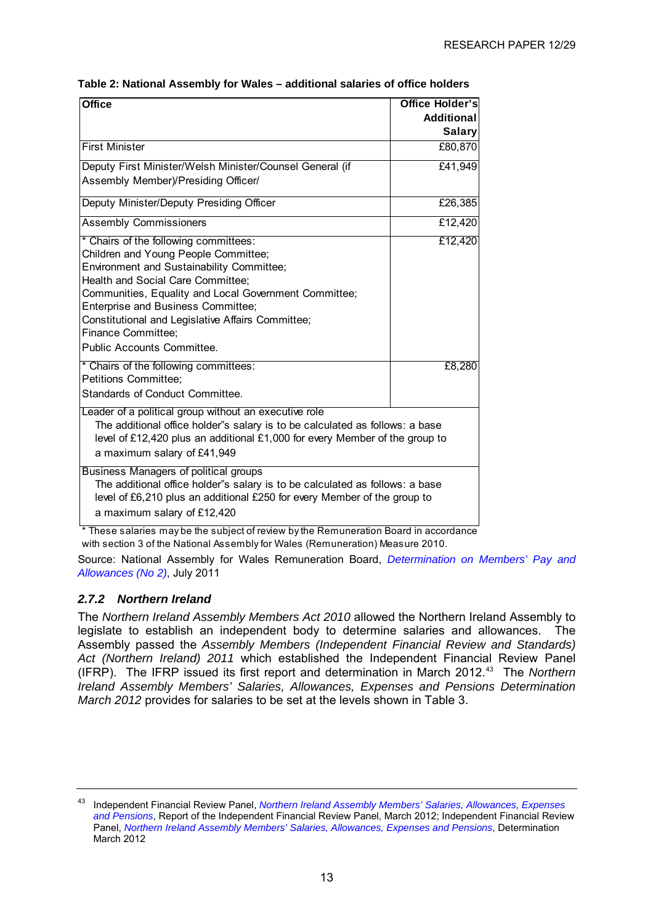<span id="page-17-0"></span>

| Table 2: National Assembly for Wales – additional salaries of office holders |  |
|------------------------------------------------------------------------------|--|
|------------------------------------------------------------------------------|--|

| <b>Additional</b><br><b>Salary</b><br>£80,870<br>£41,949<br>£26,385<br>£12,420<br>£12,420<br>Children and Young People Committee;<br><b>Environment and Sustainability Committee;</b><br>Health and Social Care Committee:<br>Communities, Equality and Local Government Committee;<br>Enterprise and Business Committee;<br>Constitutional and Legislative Affairs Committee;<br><b>Finance Committee;</b><br>Public Accounts Committee.<br>£8,280<br>The additional office holder"s salary is to be calculated as follows: a base | <b>Office</b>                                                               | Office Holder's |
|-------------------------------------------------------------------------------------------------------------------------------------------------------------------------------------------------------------------------------------------------------------------------------------------------------------------------------------------------------------------------------------------------------------------------------------------------------------------------------------------------------------------------------------|-----------------------------------------------------------------------------|-----------------|
|                                                                                                                                                                                                                                                                                                                                                                                                                                                                                                                                     |                                                                             |                 |
|                                                                                                                                                                                                                                                                                                                                                                                                                                                                                                                                     |                                                                             |                 |
|                                                                                                                                                                                                                                                                                                                                                                                                                                                                                                                                     | <b>First Minister</b>                                                       |                 |
|                                                                                                                                                                                                                                                                                                                                                                                                                                                                                                                                     | Deputy First Minister/Welsh Minister/Counsel General (if                    |                 |
|                                                                                                                                                                                                                                                                                                                                                                                                                                                                                                                                     | Assembly Member)/Presiding Officer/                                         |                 |
|                                                                                                                                                                                                                                                                                                                                                                                                                                                                                                                                     | Deputy Minister/Deputy Presiding Officer                                    |                 |
|                                                                                                                                                                                                                                                                                                                                                                                                                                                                                                                                     | <b>Assembly Commissioners</b>                                               |                 |
|                                                                                                                                                                                                                                                                                                                                                                                                                                                                                                                                     | * Chairs of the following committees:                                       |                 |
|                                                                                                                                                                                                                                                                                                                                                                                                                                                                                                                                     |                                                                             |                 |
|                                                                                                                                                                                                                                                                                                                                                                                                                                                                                                                                     |                                                                             |                 |
|                                                                                                                                                                                                                                                                                                                                                                                                                                                                                                                                     |                                                                             |                 |
|                                                                                                                                                                                                                                                                                                                                                                                                                                                                                                                                     |                                                                             |                 |
|                                                                                                                                                                                                                                                                                                                                                                                                                                                                                                                                     |                                                                             |                 |
|                                                                                                                                                                                                                                                                                                                                                                                                                                                                                                                                     |                                                                             |                 |
|                                                                                                                                                                                                                                                                                                                                                                                                                                                                                                                                     |                                                                             |                 |
|                                                                                                                                                                                                                                                                                                                                                                                                                                                                                                                                     |                                                                             |                 |
|                                                                                                                                                                                                                                                                                                                                                                                                                                                                                                                                     | * Chairs of the following committees:                                       |                 |
|                                                                                                                                                                                                                                                                                                                                                                                                                                                                                                                                     | <b>Petitions Committee:</b>                                                 |                 |
|                                                                                                                                                                                                                                                                                                                                                                                                                                                                                                                                     | <b>Standards of Conduct Committee.</b>                                      |                 |
|                                                                                                                                                                                                                                                                                                                                                                                                                                                                                                                                     | Leader of a political group without an executive role                       |                 |
|                                                                                                                                                                                                                                                                                                                                                                                                                                                                                                                                     |                                                                             |                 |
|                                                                                                                                                                                                                                                                                                                                                                                                                                                                                                                                     | level of £12,420 plus an additional £1,000 for every Member of the group to |                 |
| a maximum salary of £41,949                                                                                                                                                                                                                                                                                                                                                                                                                                                                                                         |                                                                             |                 |
|                                                                                                                                                                                                                                                                                                                                                                                                                                                                                                                                     | Business Managers of political groups                                       |                 |
| The additional office holder"s salary is to be calculated as follows: a base                                                                                                                                                                                                                                                                                                                                                                                                                                                        |                                                                             |                 |
| level of £6,210 plus an additional £250 for every Member of the group to                                                                                                                                                                                                                                                                                                                                                                                                                                                            |                                                                             |                 |
| a maximum salary of £12,420                                                                                                                                                                                                                                                                                                                                                                                                                                                                                                         |                                                                             |                 |

\* These salaries may be the subject of review by the Remuneration Board in accordance with section 3 of the National Assembly for Wales (Remuneration) Measure 2010.

Source: National Assembly for Wales Remuneration Board, *[Determination on Members' Pay and](http://www.assemblywales.org/bus-home/bus-business-fourth-assembly-laid-docs.htm?act=dis&id=219758&ds=7/2011)  [Allowances \(No 2\)](http://www.assemblywales.org/bus-home/bus-business-fourth-assembly-laid-docs.htm?act=dis&id=219758&ds=7/2011)*, July 2011

#### *2.7.2 Northern Ireland*

The *Northern Ireland Assembly Members Act 2010* allowed the Northern Ireland Assembly to legislate to establish an independent body to determine salaries and allowances. The Assembly passed the *Assembly Members (Independent Financial Review and Standards) Act (Northern Ireland) 2011* which established the Independent Financial Review Panel (IFRP). The IFRP issued its first report and determination in March 2012.[43](#page-17-0) The *Northern Ireland Assembly Members' Salaries, Allowances, Expenses and Pensions Determination March 2012* provides for salaries to be set at the levels shown in Table 3.

<sup>43</sup> Independent Financial Review Panel, *[Northern Ireland Assembly Members' Salaries, Allowances, Expenses](http://ifrp.org.uk/wp-content/uploads/2012/03/The-Report-of-the-Independent-Financial-Review-Panel-March-2012.pdf)  [and Pensions](http://ifrp.org.uk/wp-content/uploads/2012/03/The-Report-of-the-Independent-Financial-Review-Panel-March-2012.pdf)*, Report of the Independent Financial Review Panel, March 2012; Independent Financial Review Panel, *[Northern Ireland Assembly Members' Salaries, Allowances, Expenses and Pensions](http://ifrp.org.uk/wp-content/uploads/2012/03/Determination-2012.pdf)*, Determination March 2012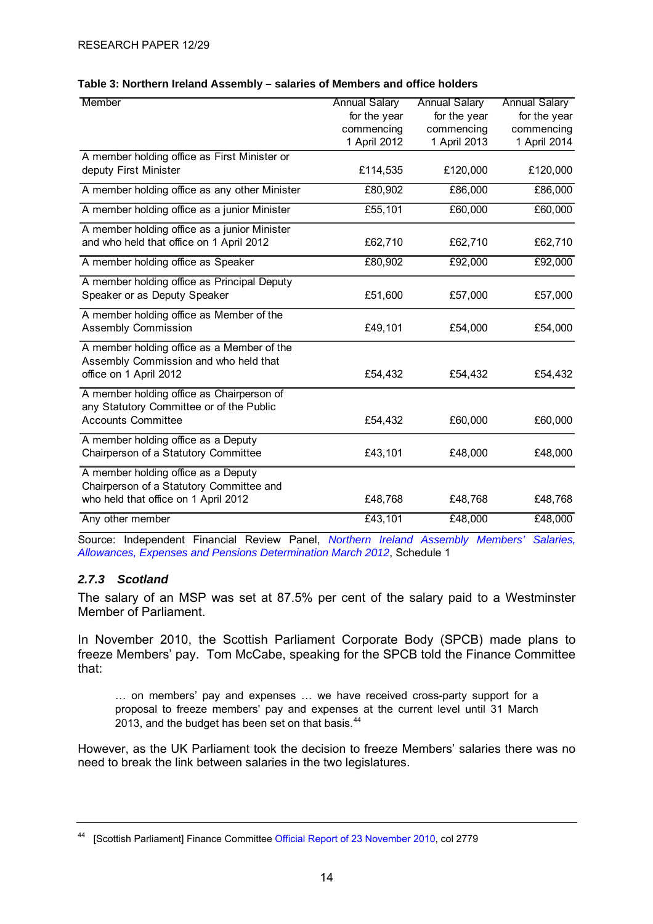#### <span id="page-18-0"></span>**Table 3: Northern Ireland Assembly – salaries of Members and office holders**

| Member                                        | <b>Annual Salary</b> | <b>Annual Salary</b> | <b>Annual Salary</b> |
|-----------------------------------------------|----------------------|----------------------|----------------------|
|                                               | for the year         | for the year         | for the year         |
|                                               | commencing           | commencing           | commencing           |
|                                               | 1 April 2012         | 1 April 2013         | 1 April 2014         |
| A member holding office as First Minister or  |                      |                      |                      |
| deputy First Minister                         | £114,535             | £120,000             | £120,000             |
| A member holding office as any other Minister | £80,902              | £86,000              | £86,000              |
| A member holding office as a junior Minister  | £55,101              | £60,000              | £60,000              |
| A member holding office as a junior Minister  |                      |                      |                      |
| and who held that office on 1 April 2012      | £62,710              | £62,710              | £62,710              |
| A member holding office as Speaker            | £80,902              | £92,000              | £92,000              |
| A member holding office as Principal Deputy   |                      |                      |                      |
| Speaker or as Deputy Speaker                  | £51,600              | £57,000              | £57,000              |
| A member holding office as Member of the      |                      |                      |                      |
| <b>Assembly Commission</b>                    | £49,101              | £54,000              | £54,000              |
| A member holding office as a Member of the    |                      |                      |                      |
| Assembly Commission and who held that         |                      |                      |                      |
| office on 1 April 2012                        | £54,432              | £54,432              | £54,432              |
| A member holding office as Chairperson of     |                      |                      |                      |
| any Statutory Committee or of the Public      |                      |                      |                      |
| <b>Accounts Committee</b>                     | £54,432              | £60,000              | £60,000              |
| A member holding office as a Deputy           |                      |                      |                      |
| Chairperson of a Statutory Committee          | £43,101              | £48,000              | £48,000              |
| A member holding office as a Deputy           |                      |                      |                      |
| Chairperson of a Statutory Committee and      |                      |                      |                      |
| who held that office on 1 April 2012          | £48,768              | £48,768              | £48,768              |
| Any other member                              | £43,101              | £48,000              | £48,000              |

Source: Independent Financial Review Panel, *[Northern Ireland Assembly Members' Salaries,](http://ifrp.org.uk/wp-content/uploads/2012/03/Determination-2012.pdf)  [Allowances, Expenses and Pensions Determination March 2012](http://ifrp.org.uk/wp-content/uploads/2012/03/Determination-2012.pdf)*, Schedule 1

#### *2.7.3 Scotland*

The salary of an MSP was set at 87.5% per cent of the salary paid to a Westminster Member of Parliament.

In November 2010, the Scottish Parliament Corporate Body (SPCB) made plans to freeze Members' pay. Tom McCabe, speaking for the SPCB told the Finance Committee that:

… on members' pay and expenses … we have received cross-party support for a proposal to freeze members' pay and expenses at the current level until 31 March 2013, and the budget has been set on that basis.<sup>[44](#page-18-0)</sup>

However, as the UK Parliament took the decision to freeze Members' salaries there was no need to break the link between salaries in the two legislatures.

<sup>44 [</sup>Scottish Parliament] Finance Committee [Official Report of 23 November 2010,](http://archive.scottish.parliament.uk/s3/committees/finance/or-10/fi10-2602.htm#Col2778) col 2779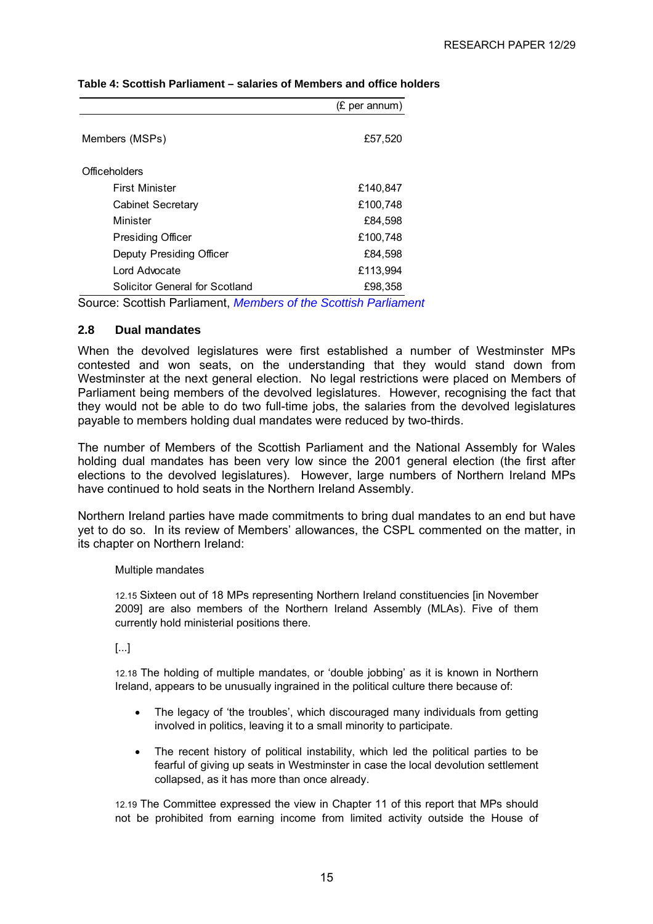|                                | (£ per annum) |
|--------------------------------|---------------|
| Members (MSPs)                 | £57,520       |
| <b>Officeholders</b>           |               |
| <b>First Minister</b>          | £140,847      |
| Cabinet Secretary              | £100,748      |
| Minister                       | £84,598       |
| <b>Presiding Officer</b>       | £100,748      |
| Deputy Presiding Officer       | £84,598       |
| Lord Advocate                  | £113,994      |
| Solicitor General for Scotland | £98,358       |

#### <span id="page-19-0"></span>**Table 4: Scottish Parliament – salaries of Members and office holders**

Source: Scottish Parliament, *[Members of the Scottish Parliament](http://www.scottish.parliament.uk/help/17024.aspx)*

#### **2.8 Dual mandates**

When the devolved legislatures were first established a number of Westminster MPs contested and won seats, on the understanding that they would stand down from Westminster at the next general election. No legal restrictions were placed on Members of Parliament being members of the devolved legislatures. However, recognising the fact that they would not be able to do two full-time jobs, the salaries from the devolved legislatures payable to members holding dual mandates were reduced by two-thirds.

The number of Members of the Scottish Parliament and the National Assembly for Wales holding dual mandates has been very low since the 2001 general election (the first after elections to the devolved legislatures). However, large numbers of Northern Ireland MPs have continued to hold seats in the Northern Ireland Assembly.

Northern Ireland parties have made commitments to bring dual mandates to an end but have yet to do so. In its review of Members' allowances, the CSPL commented on the matter, in its chapter on Northern Ireland:

#### Multiple mandates

12.15 Sixteen out of 18 MPs representing Northern Ireland constituencies [in November 2009] are also members of the Northern Ireland Assembly (MLAs). Five of them currently hold ministerial positions there.

[...]

12.18 The holding of multiple mandates, or 'double jobbing' as it is known in Northern Ireland, appears to be unusually ingrained in the political culture there because of:

- The legacy of 'the troubles', which discouraged many individuals from getting involved in politics, leaving it to a small minority to participate.
- The recent history of political instability, which led the political parties to be fearful of giving up seats in Westminster in case the local devolution settlement collapsed, as it has more than once already.

12.19 The Committee expressed the view in Chapter 11 of this report that MPs should not be prohibited from earning income from limited activity outside the House of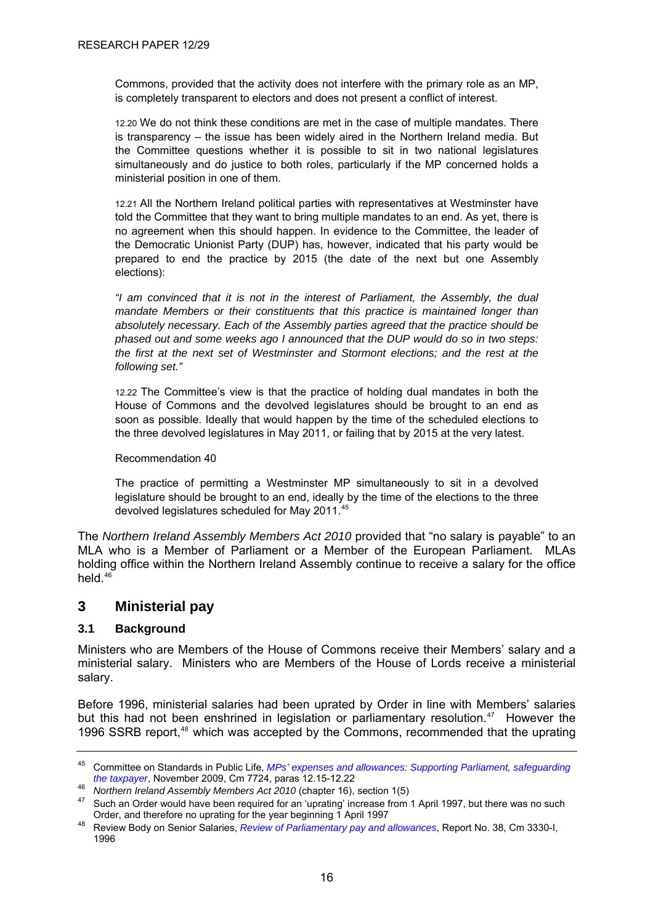<span id="page-20-0"></span>Commons, provided that the activity does not interfere with the primary role as an MP, is completely transparent to electors and does not present a conflict of interest.

12.20 We do not think these conditions are met in the case of multiple mandates. There is transparency – the issue has been widely aired in the Northern Ireland media. But the Committee questions whether it is possible to sit in two national legislatures simultaneously and do justice to both roles, particularly if the MP concerned holds a ministerial position in one of them.

12.21 All the Northern Ireland political parties with representatives at Westminster have told the Committee that they want to bring multiple mandates to an end. As yet, there is no agreement when this should happen. In evidence to the Committee, the leader of the Democratic Unionist Party (DUP) has, however, indicated that his party would be prepared to end the practice by 2015 (the date of the next but one Assembly elections):

*"I am convinced that it is not in the interest of Parliament, the Assembly, the dual mandate Members or their constituents that this practice is maintained longer than absolutely necessary. Each of the Assembly parties agreed that the practice should be phased out and some weeks ago I announced that the DUP would do so in two steps: the first at the next set of Westminster and Stormont elections; and the rest at the following set."* 

12.22 The Committee's view is that the practice of holding dual mandates in both the House of Commons and the devolved legislatures should be brought to an end as soon as possible. Ideally that would happen by the time of the scheduled elections to the three devolved legislatures in May 2011, or failing that by 2015 at the very latest.

Recommendation 40

The practice of permitting a Westminster MP simultaneously to sit in a devolved legislature should be brought to an end, ideally by the time of the elections to the three devolved legislatures scheduled for May 2011.<sup>[45](#page-20-0)</sup>

The *Northern Ireland Assembly Members Act 2010* provided that "no salary is payable" to an MLA who is a Member of Parliament or a Member of the European Parliament. MLAs holding office within the Northern Ireland Assembly continue to receive a salary for the office held.<sup>[46](#page-20-0)</sup>

### **3 Ministerial pay**

#### **3.1 Background**

Ministers who are Members of the House of Commons receive their Members' salary and a ministerial salary. Ministers who are Members of the House of Lords receive a ministerial salary.

Before 1996, ministerial salaries had been uprated by Order in line with Members' salaries but this had not been enshrined in legislation or parliamentary resolution.<sup>[47](#page-20-0)</sup> However the 1996 SSRB report,<sup>[48](#page-20-0)</sup> which was accepted by the Commons, recommended that the uprating

<sup>45</sup> Committee on Standards in Public Life, *[MPs' expenses and allowances: Supporting Parliament, safeguarding](http://www.public-standards.gov.uk/Library/MP_expenses_main_report.pdf)*  the taxpayer[,](http://www.public-standards.gov.uk/Library/MP_expenses_main_report.pdf) November 2009, Cm 7724, paras 12.15-12.22<br><sup>46</sup> Northern Ireland Assembly Members Act 2010 (chapter 16), section 1(5)<br><sup>47</sup> Such an Order would have been required for an 'uprating' increase from 1 April 1997, b

Order, and therefore no uprating for the year beginning 1 April 1997<br><sup>48</sup> Review Body on Senior Salaries, *[Review of Parliamentary pay and allowances](http://www.ome.uk.com/downloads/volume1.pdf)*, Report No. 38, Cm 3330-I,

<sup>1996</sup>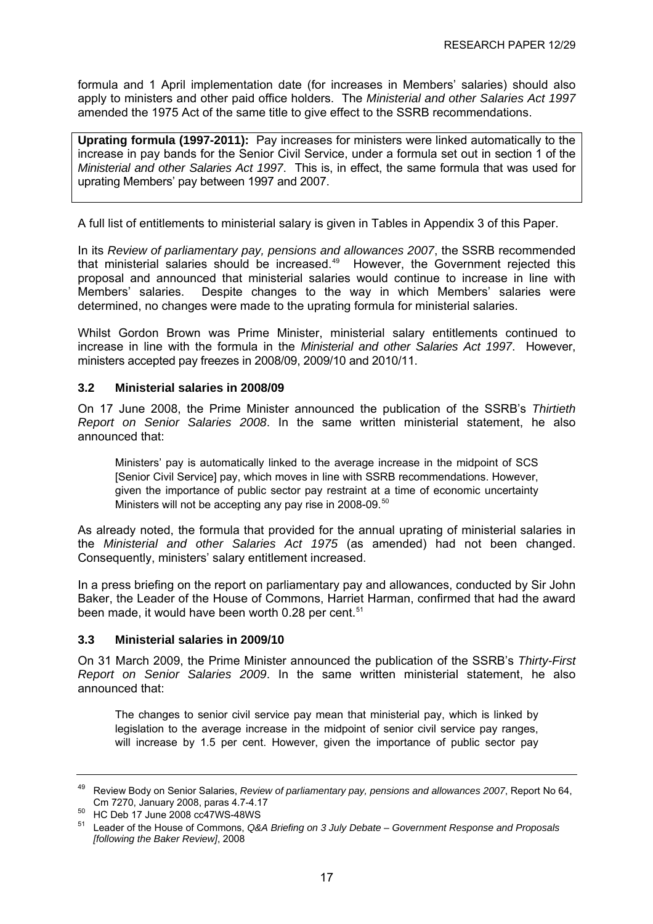<span id="page-21-0"></span>formula and 1 April implementation date (for increases in Members' salaries) should also apply to ministers and other paid office holders. The *Ministerial and other Salaries Act 1997* amended the 1975 Act of the same title to give effect to the SSRB recommendations.

**Uprating formula (1997-2011):** Pay increases for ministers were linked automatically to the increase in pay bands for the Senior Civil Service, under a formula set out in section 1 of the *Ministerial and other Salaries Act 1997*. This is, in effect, the same formula that was used for uprating Members' pay between 1997 and 2007.

A full list of entitlements to ministerial salary is given in Tables in Appendix 3 of this Paper.

In its *Review of parliamentary pay, pensions and allowances 2007*, the SSRB recommended that ministerial salaries should be increased.[49](#page-21-0) However, the Government rejected this proposal and announced that ministerial salaries would continue to increase in line with Members' salaries. Despite changes to the way in which Members' salaries were determined, no changes were made to the uprating formula for ministerial salaries.

Whilst Gordon Brown was Prime Minister, ministerial salary entitlements continued to increase in line with the formula in the *Ministerial and other Salaries Act 1997*. However, ministers accepted pay freezes in 2008/09, 2009/10 and 2010/11.

#### **3.2 Ministerial salaries in 2008/09**

On 17 June 2008, the Prime Minister announced the publication of the SSRB's *Thirtieth Report on Senior Salaries 2008*. In the same written ministerial statement, he also announced that:

Ministers' pay is automatically linked to the average increase in the midpoint of SCS [Senior Civil Service] pay, which moves in line with SSRB recommendations. However, given the importance of public sector pay restraint at a time of economic uncertainty Ministers will not be accepting any pay rise in 2008-09.<sup>[50](#page-21-0)</sup>

As already noted, the formula that provided for the annual uprating of ministerial salaries in the *Ministerial and other Salaries Act 1975* (as amended) had not been changed. Consequently, ministers' salary entitlement increased.

In a press briefing on the report on parliamentary pay and allowances, conducted by Sir John Baker, the Leader of the House of Commons, Harriet Harman, confirmed that had the award been made, it would have been worth 0.28 per cent.<sup>[51](#page-21-0)</sup>

#### **3.3 Ministerial salaries in 2009/10**

On 31 March 2009, the Prime Minister announced the publication of the SSRB's *Thirty-First Report on Senior Salaries 2009*. In the same written ministerial statement, he also announced that:

The changes to senior civil service pay mean that ministerial pay, which is linked by legislation to the average increase in the midpoint of senior civil service pay ranges, will increase by 1.5 per cent. However, given the importance of public sector pay

<sup>49</sup> Review Body on Senior Salaries, *Review of parliamentary pay, pensions and allowances 2007*, Report No 64,

Cm 7270, January 2008, paras 4.7-4.17 50 HC Deb 17 June 2008 cc47WS-48WS

<sup>51</sup> Leader of the House of Commons, *Q&A Briefing on 3 July Debate – Government Response and Proposals [following the Baker Review]*, 2008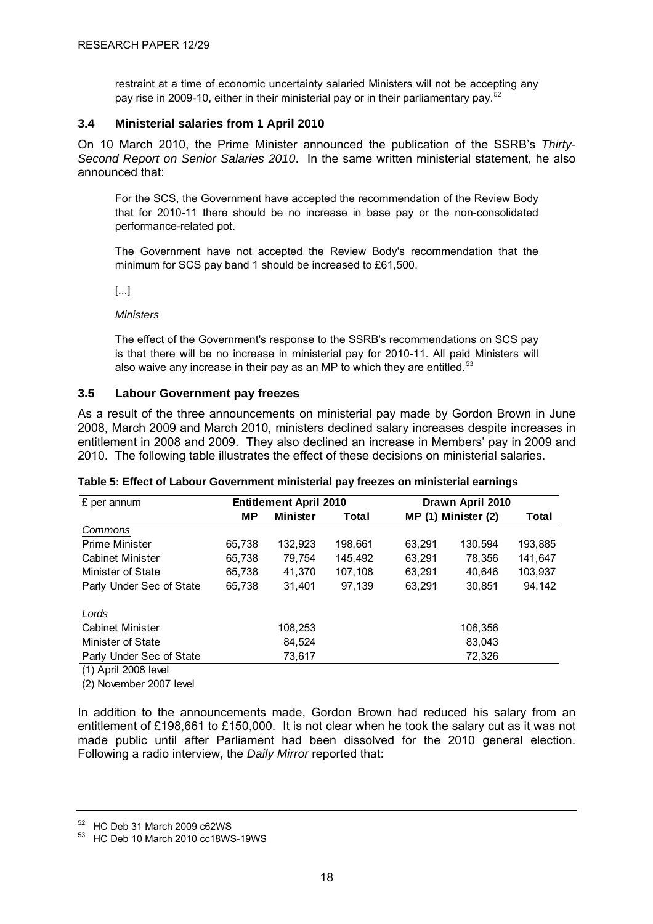<span id="page-22-0"></span>restraint at a time of economic uncertainty salaried Ministers will not be accepting any pay rise in 2009-10, either in their ministerial pay or in their parliamentary pay.<sup>[52](#page-22-0)</sup>

#### **3.4 Ministerial salaries from 1 April 2010**

On 10 March 2010, the Prime Minister announced the publication of the SSRB's *Thirty-Second Report on Senior Salaries 2010*. In the same written ministerial statement, he also announced that:

For the SCS, the Government have accepted the recommendation of the Review Body that for 2010-11 there should be no increase in base pay or the non-consolidated performance-related pot.

The Government have not accepted the Review Body's recommendation that the minimum for SCS pay band 1 should be increased to £61,500.

[...]

*Ministers* 

The effect of the Government's response to the SSRB's recommendations on SCS pay is that there will be no increase in ministerial pay for 2010-11. All paid Ministers will also waive any increase in their pay as an MP to which they are entitled.<sup>[53](#page-22-0)</sup>

#### **3.5 Labour Government pay freezes**

As a result of the three announcements on ministerial pay made by Gordon Brown in June 2008, March 2009 and March 2010, ministers declined salary increases despite increases in entitlement in 2008 and 2009. They also declined an increase in Members' pay in 2009 and 2010. The following table illustrates the effect of these decisions on ministerial salaries.

| £ per annum                                                 |        | <b>Entitlement April 2010</b> |         | Drawn April 2010    |         |         |  |
|-------------------------------------------------------------|--------|-------------------------------|---------|---------------------|---------|---------|--|
|                                                             | МP     | <b>Minister</b>               | Total   | MP (1) Minister (2) | Total   |         |  |
| Commons                                                     |        |                               |         |                     |         |         |  |
| <b>Prime Minister</b>                                       | 65,738 | 132,923                       | 198,661 | 63.291              | 130,594 | 193,885 |  |
| <b>Cabinet Minister</b>                                     | 65,738 | 79,754                        | 145.492 | 63,291              | 78,356  | 141,647 |  |
| Minister of State                                           | 65,738 | 41,370                        | 107,108 | 63.291              | 40,646  | 103,937 |  |
| Parly Under Sec of State                                    | 65,738 | 31.401                        | 97.139  | 63,291              | 30,851  | 94,142  |  |
| Lords                                                       |        |                               |         |                     |         |         |  |
| <b>Cabinet Minister</b>                                     |        | 108,253                       |         |                     | 106,356 |         |  |
| Minister of State                                           |        | 84,524                        |         |                     | 83,043  |         |  |
| Parly Under Sec of State                                    |        | 73,617                        |         |                     | 72,326  |         |  |
| $(4)$ A $\approx$ $\approx$ 0.000 L $\approx$ $\approx$ 1.1 |        |                               |         |                     |         |         |  |

(1) April 2008 level

(2) November 2007 level

In addition to the announcements made, Gordon Brown had reduced his salary from an entitlement of £198,661 to £150,000. It is not clear when he took the salary cut as it was not made public until after Parliament had been dissolved for the 2010 general election. Following a radio interview, the *Daily Mirror* reported that:

 $52$  HC Deb 31 March 2009 c62WS

<sup>53</sup> HC Deb 10 March 2010 cc18WS-19WS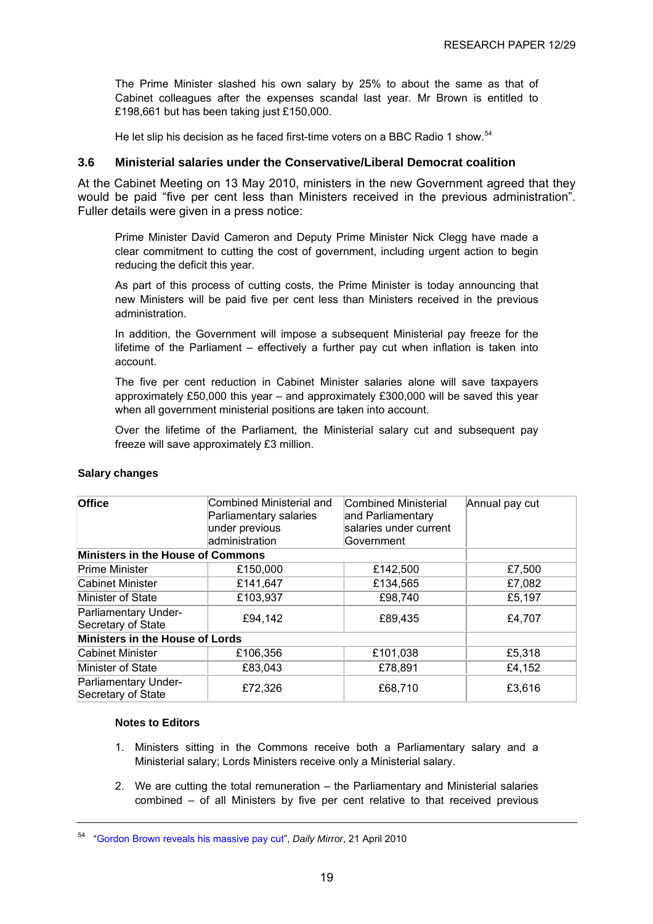<span id="page-23-0"></span>The Prime Minister slashed his own salary by 25% to about the same as that of Cabinet colleagues after the expenses scandal last year. Mr Brown is entitled to £198,661 but has been taking just £150,000.

He let slip his decision as he faced first-time voters on a BBC Radio 1 show.<sup>[54](#page-23-0)</sup>

#### **3.6 Ministerial salaries under the Conservative/Liberal Democrat coalition**

At the Cabinet Meeting on 13 May 2010, ministers in the new Government agreed that they would be paid "five per cent less than Ministers received in the previous administration". Fuller details were given in a press notice:

Prime Minister David Cameron and Deputy Prime Minister Nick Clegg have made a clear commitment to cutting the cost of government, including urgent action to begin reducing the deficit this year.

As part of this process of cutting costs, the Prime Minister is today announcing that new Ministers will be paid five per cent less than Ministers received in the previous administration.

In addition, the Government will impose a subsequent Ministerial pay freeze for the lifetime of the Parliament – effectively a further pay cut when inflation is taken into account.

The five per cent reduction in Cabinet Minister salaries alone will save taxpayers approximately £50,000 this year – and approximately £300,000 will be saved this year when all government ministerial positions are taken into account.

Over the lifetime of the Parliament, the Ministerial salary cut and subsequent pay freeze will save approximately £3 million.

| <b>Office</b>                              | Combined Ministerial<br>Combined Ministerial and<br>Parliamentary salaries<br>and Parliamentary<br>salaries under current<br>under previous<br>administration<br>Government |          | Annual pay cut |  |  |  |  |  |  |  |  |
|--------------------------------------------|-----------------------------------------------------------------------------------------------------------------------------------------------------------------------------|----------|----------------|--|--|--|--|--|--|--|--|
| <b>Ministers in the House of Commons</b>   |                                                                                                                                                                             |          |                |  |  |  |  |  |  |  |  |
| <b>Prime Minister</b>                      | £150,000                                                                                                                                                                    | £142,500 | £7,500         |  |  |  |  |  |  |  |  |
| Cabinet Minister                           | £141,647                                                                                                                                                                    | £134,565 | £7,082         |  |  |  |  |  |  |  |  |
| Minister of State                          | £103,937                                                                                                                                                                    | £98,740  | £5,197         |  |  |  |  |  |  |  |  |
| Parliamentary Under-<br>Secretary of State | £94,142                                                                                                                                                                     | £89,435  | £4,707         |  |  |  |  |  |  |  |  |
| Ministers in the House of Lords            |                                                                                                                                                                             |          |                |  |  |  |  |  |  |  |  |
| Cabinet Minister                           | £106,356                                                                                                                                                                    | £101,038 | £5,318         |  |  |  |  |  |  |  |  |
| Minister of State                          | £83,043                                                                                                                                                                     | £78,891  | £4,152         |  |  |  |  |  |  |  |  |
| Parliamentary Under-<br>Secretary of State | £72,326                                                                                                                                                                     | £68,710  | £3,616         |  |  |  |  |  |  |  |  |

#### **Salary changes**

#### **Notes to Editors**

- 1. Ministers sitting in the Commons receive both a Parliamentary salary and a Ministerial salary; Lords Ministers receive only a Ministerial salary.
- 2. We are cutting the total remuneration the Parliamentary and Ministerial salaries combined – of all Ministers by five per cent relative to that received previous

<sup>54</sup> ["Gordon Brown reveals his massive pay cut"](http://www.mirror.co.uk/news/politics/news/2010/04/21/gordon-brown-reveals-his-massive-pay-cut-115875-22200118/), *Daily Mirror*, 21 April 2010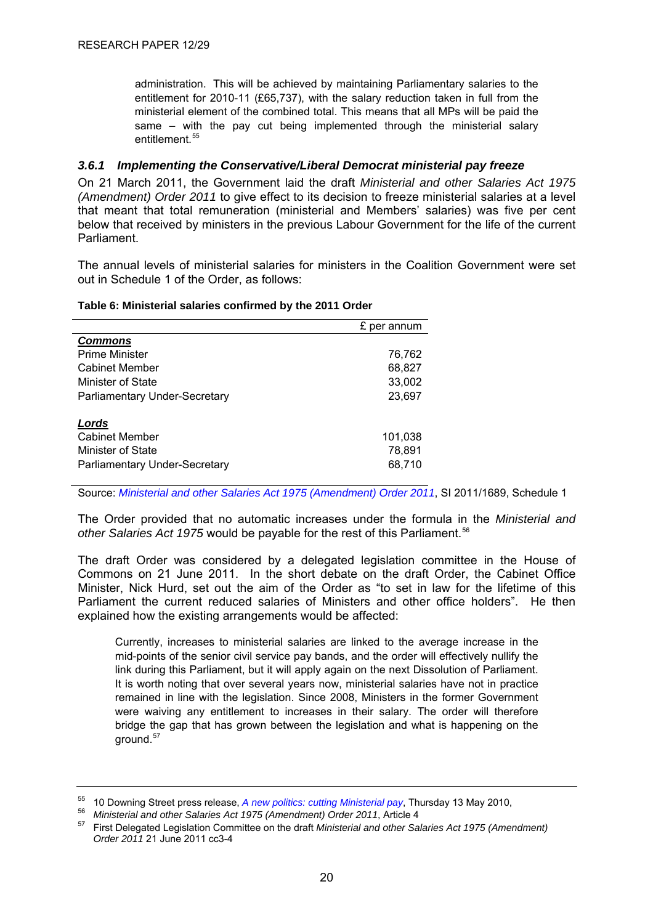<span id="page-24-0"></span>administration. This will be achieved by maintaining Parliamentary salaries to the entitlement for 2010-11 (£65,737), with the salary reduction taken in full from the ministerial element of the combined total. This means that all MPs will be paid the same – with the pay cut being implemented through the ministerial salary entitlement.<sup>55</sup>

#### *3.6.1 Implementing the Conservative/Liberal Democrat ministerial pay freeze*

On 21 March 2011, the Government laid the draft *Ministerial and other Salaries Act 1975 (Amendment) Order 2011* to give effect to its decision to freeze ministerial salaries at a level that meant that total remuneration (ministerial and Members' salaries) was five per cent below that received by ministers in the previous Labour Government for the life of the current Parliament.

The annual levels of ministerial salaries for ministers in the Coalition Government were set out in Schedule 1 of the Order, as follows:

|                               | £ per annum |
|-------------------------------|-------------|
| <b>Commons</b>                |             |
| <b>Prime Minister</b>         | 76,762      |
| <b>Cabinet Member</b>         | 68,827      |
| Minister of State             | 33,002      |
| Parliamentary Under-Secretary | 23,697      |
| Lords                         |             |
| <b>Cabinet Member</b>         | 101,038     |
| Minister of State             | 78,891      |
| Parliamentary Under-Secretary | 68,710      |

#### **Table 6: Ministerial salaries confirmed by the 2011 Order**

Source: *[Ministerial and other Salaries Act 1975 \(Amendment\) Order 2011](http://www.legislation.gov.uk/uksi/2011/1689/made)*, SI 2011/1689, Schedule 1

The Order provided that no automatic increases under the formula in the *Ministerial and*  other Salaries Act 1975 would be payable for the rest of this Parliament.<sup>[56](#page-24-0)</sup>

The draft Order was considered by a delegated legislation committee in the House of Commons on 21 June 2011. In the short debate on the draft Order, the Cabinet Office Minister, Nick Hurd, set out the aim of the Order as "to set in law for the lifetime of this Parliament the current reduced salaries of Ministers and other office holders". He then explained how the existing arrangements would be affected:

Currently, increases to ministerial salaries are linked to the average increase in the mid-points of the senior civil service pay bands, and the order will effectively nullify the link during this Parliament, but it will apply again on the next Dissolution of Parliament. It is worth noting that over several years now, ministerial salaries have not in practice remained in line with the legislation. Since 2008, Ministers in the former Government were waiving any entitlement to increases in their salary. The order will therefore bridge the gap that has grown between the legislation and what is happening on the ground.[57](#page-24-0)

<sup>&</sup>lt;sup>55</sup> 10 Downing Street press release, A new politics: cutting Ministerial pay, Thursday 13 May 2010,<br><sup>56</sup> Ministerial and other Salaries Act 1975 (Amendment) Order 2011, Article 4<br><sup>57</sup> First Delegated Legislation Committe

*Order 2011* 21 June 2011 cc3-4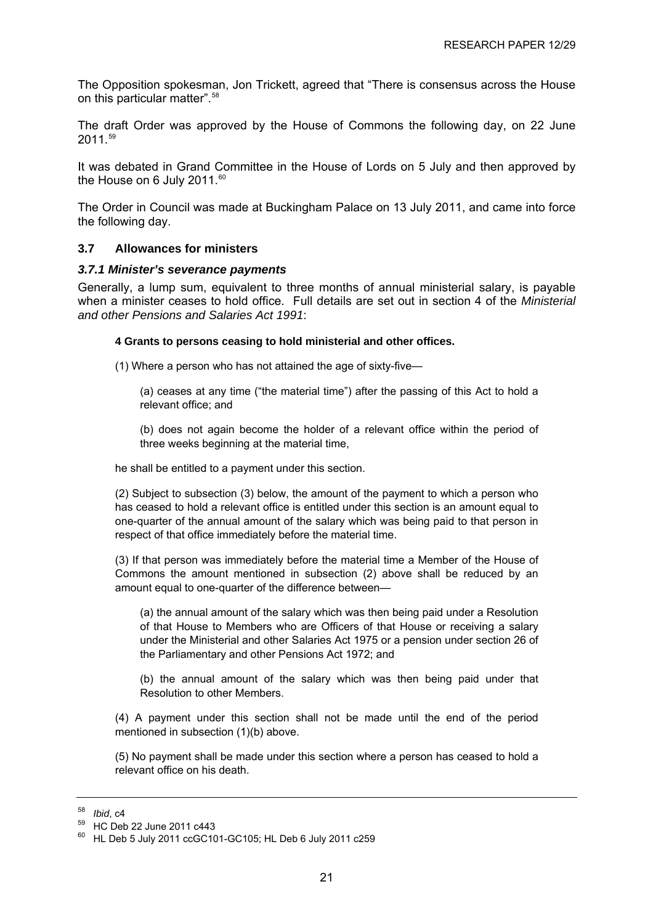<span id="page-25-0"></span>The Opposition spokesman, Jon Trickett, agreed that "There is consensus across the House on this particular matter".<sup>[58](#page-25-0)</sup>

The draft Order was approved by the House of Commons the following day, on 22 June 2011.[59](#page-25-0)

It was debated in Grand Committee in the House of Lords on 5 July and then approved by the House on 6 July 2011.<sup>[60](#page-25-0)</sup>

The Order in Council was made at Buckingham Palace on 13 July 2011, and came into force the following day.

#### **3.7 Allowances for ministers**

#### *3.7.1 Minister's severance payments*

Generally, a lump sum, equivalent to three months of annual ministerial salary, is payable when a minister ceases to hold office. Full details are set out in section 4 of the *Ministerial and other Pensions and Salaries Act 1991*:

#### **4 Grants to persons ceasing to hold ministerial and other offices.**

(1) Where a person who has not attained the age of sixty-five—

(a) ceases at any time ("the material time") after the passing of this Act to hold a relevant office; and

(b) does not again become the holder of a relevant office within the period of three weeks beginning at the material time,

he shall be entitled to a payment under this section.

(2) Subject to subsection (3) below, the amount of the payment to which a person who has ceased to hold a relevant office is entitled under this section is an amount equal to one-quarter of the annual amount of the salary which was being paid to that person in respect of that office immediately before the material time.

(3) If that person was immediately before the material time a Member of the House of Commons the amount mentioned in subsection (2) above shall be reduced by an amount equal to one-quarter of the difference between—

(a) the annual amount of the salary which was then being paid under a Resolution of that House to Members who are Officers of that House or receiving a salary under the Ministerial and other Salaries Act 1975 or a pension under section 26 of the Parliamentary and other Pensions Act 1972; and

(b) the annual amount of the salary which was then being paid under that Resolution to other Members.

(4) A payment under this section shall not be made until the end of the period mentioned in subsection (1)(b) above.

(5) No payment shall be made under this section where a person has ceased to hold a relevant office on his death.

*Ihid* c<sub>4</sub>

<sup>59</sup> HC Deb 22 June 2011 c443

 $60$  HL Deb 5 July 2011 ccGC101-GC105; HL Deb 6 July 2011 c259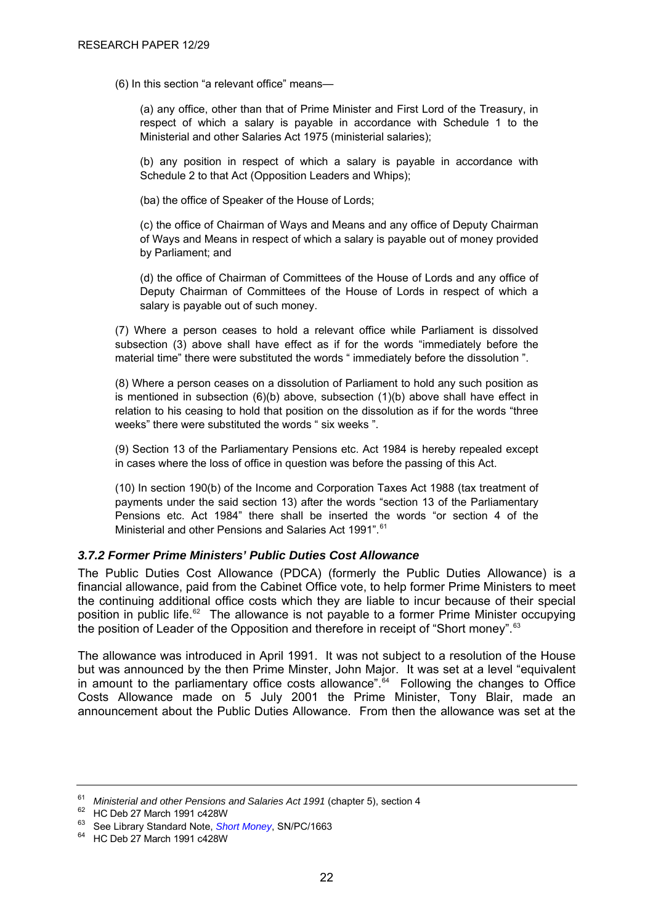<span id="page-26-0"></span>(6) In this section "a relevant office" means—

(a) any office, other than that of Prime Minister and First Lord of the Treasury, in respect of which a salary is payable in accordance with Schedule 1 to the Ministerial and other Salaries Act 1975 (ministerial salaries);

(b) any position in respect of which a salary is payable in accordance with Schedule 2 to that Act (Opposition Leaders and Whips);

(ba) the office of Speaker of the House of Lords;

(c) the office of Chairman of Ways and Means and any office of Deputy Chairman of Ways and Means in respect of which a salary is payable out of money provided by Parliament; and

(d) the office of Chairman of Committees of the House of Lords and any office of Deputy Chairman of Committees of the House of Lords in respect of which a salary is payable out of such money.

(7) Where a person ceases to hold a relevant office while Parliament is dissolved subsection (3) above shall have effect as if for the words "immediately before the material time" there were substituted the words " immediately before the dissolution ".

(8) Where a person ceases on a dissolution of Parliament to hold any such position as is mentioned in subsection  $(6)(b)$  above, subsection  $(1)(b)$  above shall have effect in relation to his ceasing to hold that position on the dissolution as if for the words "three weeks" there were substituted the words " six weeks".

(9) Section 13 of the Parliamentary Pensions etc. Act 1984 is hereby repealed except in cases where the loss of office in question was before the passing of this Act.

(10) In section 190(b) of the Income and Corporation Taxes Act 1988 (tax treatment of payments under the said section 13) after the words "section 13 of the Parliamentary Pensions etc. Act 1984" there shall be inserted the words "or section 4 of the Ministerial and other Pensions and Salaries Act 1991".<sup>[61](#page-26-0)</sup>

#### *3.7.2 Former Prime Ministers' Public Duties Cost Allowance*

The Public Duties Cost Allowance (PDCA) (formerly the Public Duties Allowance) is a financial allowance, paid from the Cabinet Office vote, to help former Prime Ministers to meet the continuing additional office costs which they are liable to incur because of their special position in public life.<sup>[62](#page-26-0)</sup> The allowance is not payable to a former Prime Minister occupying the position of Leader of the Opposition and therefore in receipt of "Short money".<sup>[63](#page-26-0)</sup>

The allowance was introduced in April 1991. It was not subject to a resolution of the House but was announced by the then Prime Minster, John Major. It was set at a level "equivalent in amount to the parliamentary office costs allowance".<sup>[64](#page-26-0)</sup> Following the changes to Office Costs Allowance made on 5 July 2001 the Prime Minister, Tony Blair, made an announcement about the Public Duties Allowance. From then the allowance was set at the

<sup>&</sup>lt;sup>61</sup> Ministerial and other Pensions and Salaries Act 1991 (chapter 5)[,](http://www.parliament.uk/briefing-papers/SN01663) section 4<br><sup>62</sup> HC Deb 27 March 1991 c428W<br><sup>63</sup> See Library Standard Note, *Short Money*, SN/PC/1663<br><sup>64</sup> HC Deb 27 March 1991 c428W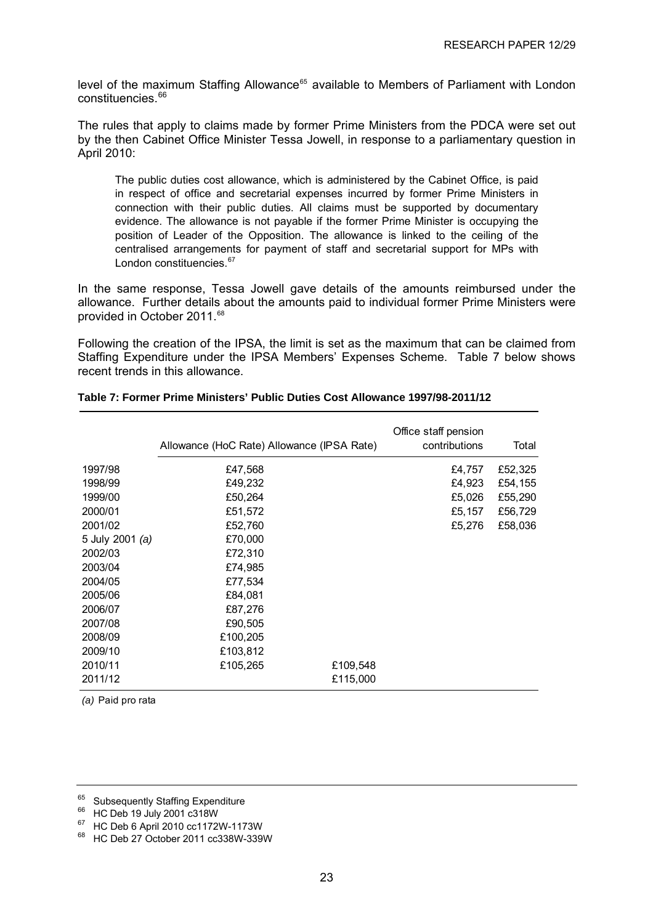<span id="page-27-0"></span>level of the maximum Staffing Allowance<sup>[65](#page-27-0)</sup> available to Members of Parliament with London constituencies.<sup>[66](#page-27-0)</sup>

The rules that apply to claims made by former Prime Ministers from the PDCA were set out by the then Cabinet Office Minister Tessa Jowell, in response to a parliamentary question in April 2010:

The public duties cost allowance, which is administered by the Cabinet Office, is paid in respect of office and secretarial expenses incurred by former Prime Ministers in connection with their public duties. All claims must be supported by documentary evidence. The allowance is not payable if the former Prime Minister is occupying the position of Leader of the Opposition. The allowance is linked to the ceiling of the centralised arrangements for payment of staff and secretarial support for MPs with London constituencies.<sup>[67](#page-27-0)</sup>

In the same response, Tessa Jowell gave details of the amounts reimbursed under the allowance. Further details about the amounts paid to individual former Prime Ministers were provided in October 2011.<sup>[68](#page-27-0)</sup>

Following the creation of the IPSA, the limit is set as the maximum that can be claimed from Staffing Expenditure under the IPSA Members' Expenses Scheme. Table 7 below shows recent trends in this allowance.

|                 | Allowance (HoC Rate) Allowance (IPSA Rate) |          | Office staff pension<br>contributions | Total   |
|-----------------|--------------------------------------------|----------|---------------------------------------|---------|
| 1997/98         | £47,568                                    |          | £4,757                                | £52,325 |
| 1998/99         | £49,232                                    |          | £4,923                                | £54,155 |
| 1999/00         | £50,264                                    |          | £5,026                                | £55,290 |
| 2000/01         | £51,572                                    |          | £5,157                                | £56,729 |
| 2001/02         | £52,760                                    |          | £5,276                                | £58,036 |
| 5 July 2001 (a) | £70,000                                    |          |                                       |         |
| 2002/03         | £72,310                                    |          |                                       |         |
| 2003/04         | £74,985                                    |          |                                       |         |
| 2004/05         | £77,534                                    |          |                                       |         |
| 2005/06         | £84,081                                    |          |                                       |         |
| 2006/07         | £87,276                                    |          |                                       |         |
| 2007/08         | £90,505                                    |          |                                       |         |
| 2008/09         | £100,205                                   |          |                                       |         |
| 2009/10         | £103,812                                   |          |                                       |         |
| 2010/11         | £105,265                                   | £109,548 |                                       |         |
| 2011/12         |                                            | £115,000 |                                       |         |

#### **Table 7: Former Prime Ministers' Public Duties Cost Allowance 1997/98-2011/12**

*(a)* Paid pro rata

<sup>&</sup>lt;sup>65</sup> Subsequently Staffing Expenditure

<sup>66</sup> HC Deb 19 July 2001 c318W

<sup>67</sup> HC Deb 6 April 2010 cc1172W-1173W

<sup>68</sup> HC Deb 27 October 2011 cc338W-339W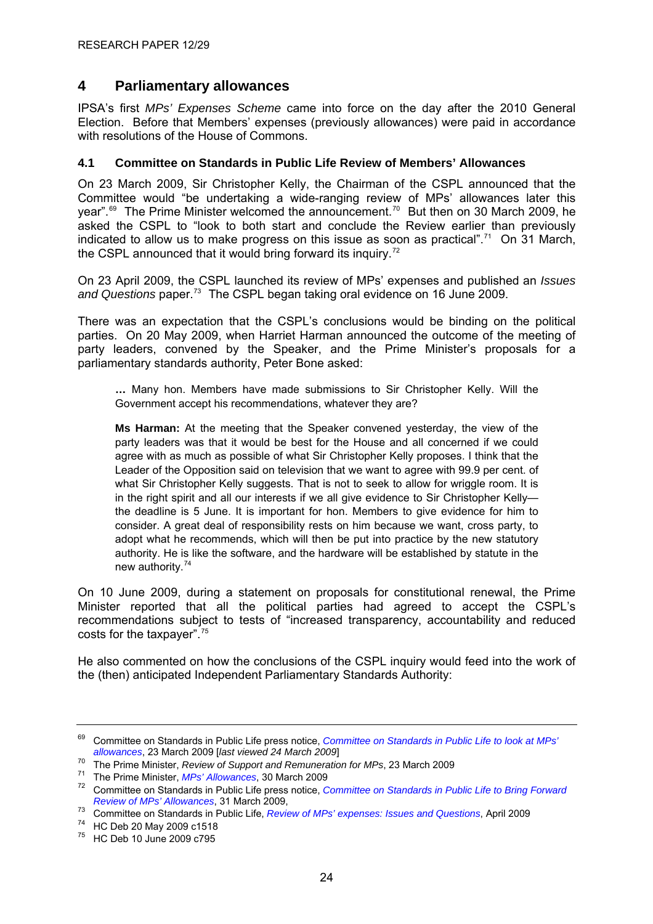# <span id="page-28-0"></span>**4 Parliamentary allowances**

IPSA's first *MPs' Expenses Scheme* came into force on the day after the 2010 General Election. Before that Members' expenses (previously allowances) were paid in accordance with resolutions of the House of Commons.

#### **4.1 Committee on Standards in Public Life Review of Members' Allowances**

On 23 March 2009, Sir Christopher Kelly, the Chairman of the CSPL announced that the Committee would "be undertaking a wide-ranging review of MPs' allowances later this year".<sup>[69](#page-28-0)</sup> The Prime Minister welcomed the announcement.<sup>[70](#page-28-0)</sup> But then on 30 March 2009, he asked the CSPL to "look to both start and conclude the Review earlier than previously indicated to allow us to make progress on this issue as soon as practical".<sup>[71](#page-28-0)</sup> On 31 March, the CSPL announced that it would bring forward its inquiry.<sup> $72$ </sup>

On 23 April 2009, the CSPL launched its review of MPs' expenses and published an *Issues and Questions* paper.[73](#page-28-0) The CSPL began taking oral evidence on 16 June 2009.

There was an expectation that the CSPL's conclusions would be binding on the political parties. On 20 May 2009, when Harriet Harman announced the outcome of the meeting of party leaders, convened by the Speaker, and the Prime Minister's proposals for a parliamentary standards authority, Peter Bone asked:

**…** Many hon. Members have made submissions to Sir Christopher Kelly. Will the Government accept his recommendations, whatever they are?

**Ms Harman:** At the meeting that the Speaker convened yesterday, the view of the party leaders was that it would be best for the House and all concerned if we could agree with as much as possible of what Sir Christopher Kelly proposes. I think that the Leader of the Opposition said on television that we want to agree with 99.9 per cent. of what Sir Christopher Kelly suggests. That is not to seek to allow for wriggle room. It is in the right spirit and all our interests if we all give evidence to Sir Christopher Kelly the deadline is 5 June. It is important for hon. Members to give evidence for him to consider. A great deal of responsibility rests on him because we want, cross party, to adopt what he recommends, which will then be put into practice by the new statutory authority. He is like the software, and the hardware will be established by statute in the new authority.[74](#page-28-0)

On 10 June 2009, during a statement on proposals for constitutional renewal, the Prime Minister reported that all the political parties had agreed to accept the CSPL's recommendations subject to tests of "increased transparency, accountability and reduced costs for the taxpayer".[75](#page-28-0)

He also commented on how the conclusions of the CSPL inquiry would feed into the work of the (then) anticipated Independent Parliamentary Standards Authority:

<sup>&</sup>lt;sup>69</sup> Committee on Standards in Public Life press notice, *Committee on Standards in Public Life to look at MPs'* allowances. 23 March 2009 [last viewed 24 March 2009]

<sup>&</sup>lt;sup>70</sup> The Prime Minister, *Review of Support and Remuneration for MPs*, 23 March 2009<br><sup>71</sup> The Prime Minister, *MPs' Allowances*, 30 March 2009<br><sup>72</sup> Committee on Standards in Public Life press notice, *Committee on Standard* 

*Review of MPs' Allowances*, 31 March 2009, 73 Committee on Standards in Public Life, *Review of MPs' expenses: Issues and Questions*[,](http://www.public-standards.org.uk/Library/IQ___final_version.pdf) April 2009 74 HC Deb 20 May 2009 c1518

<sup>75</sup> HC Deb 10 June 2009 c795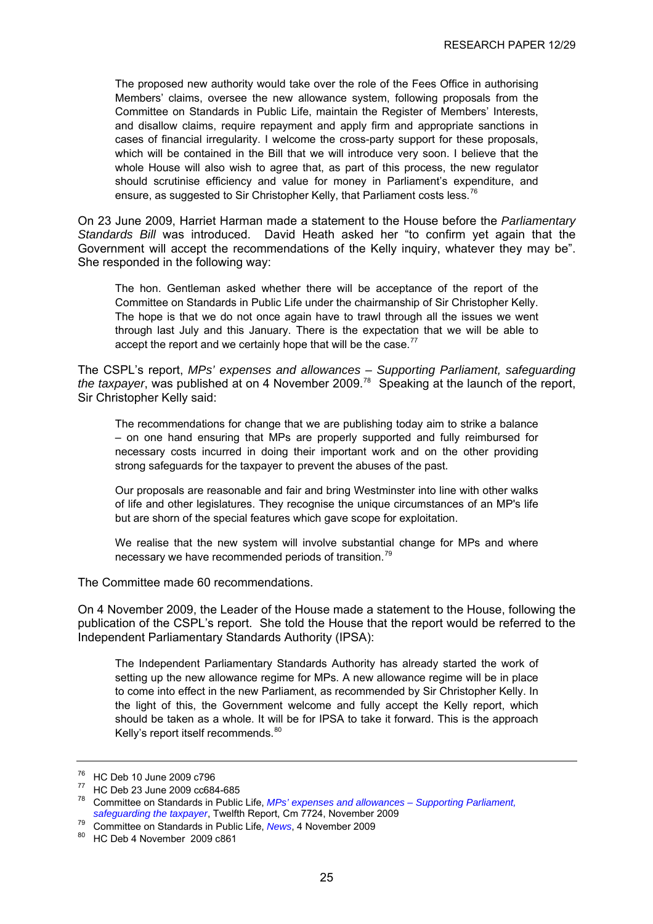<span id="page-29-0"></span>The proposed new authority would take over the role of the Fees Office in authorising Members' claims, oversee the new allowance system, following proposals from the Committee on Standards in Public Life, maintain the Register of Members' Interests, and disallow claims, require repayment and apply firm and appropriate sanctions in cases of financial irregularity. I welcome the cross-party support for these proposals, which will be contained in the Bill that we will introduce very soon. I believe that the whole House will also wish to agree that, as part of this process, the new regulator should scrutinise efficiency and value for money in Parliament's expenditure, and ensure, as suggested to Sir Christopher Kelly, that Parliament costs less.<sup>[76](#page-29-0)</sup>

On 23 June 2009, Harriet Harman made a statement to the House before the *Parliamentary Standards Bill* was introduced. David Heath asked her "to confirm yet again that the Government will accept the recommendations of the Kelly inquiry, whatever they may be". She responded in the following way:

The hon. Gentleman asked whether there will be acceptance of the report of the Committee on Standards in Public Life under the chairmanship of Sir Christopher Kelly. The hope is that we do not once again have to trawl through all the issues we went through last July and this January. There is the expectation that we will be able to accept the report and we certainly hope that will be the case. $77$ 

The CSPL's report, *MPs' expenses and allowances – Supporting Parliament, safeguarding the taxpayer*, was published at on 4 November 2009.[78](#page-29-0) Speaking at the launch of the report, Sir Christopher Kelly said:

The recommendations for change that we are publishing today aim to strike a balance – on one hand ensuring that MPs are properly supported and fully reimbursed for necessary costs incurred in doing their important work and on the other providing strong safeguards for the taxpayer to prevent the abuses of the past.

Our proposals are reasonable and fair and bring Westminster into line with other walks of life and other legislatures. They recognise the unique circumstances of an MP's life but are shorn of the special features which gave scope for exploitation.

We realise that the new system will involve substantial change for MPs and where necessary we have recommended periods of transition.<sup>[79](#page-29-0)</sup>

The Committee made 60 recommendations.

On 4 November 2009, the Leader of the House made a statement to the House, following the publication of the CSPL's report. She told the House that the report would be referred to the Independent Parliamentary Standards Authority (IPSA):

The Independent Parliamentary Standards Authority has already started the work of setting up the new allowance regime for MPs. A new allowance regime will be in place to come into effect in the new Parliament, as recommended by Sir Christopher Kelly. In the light of this, the Government welcome and fully accept the Kelly report, which should be taken as a whole. It will be for IPSA to take it forward. This is the approach Kelly's report itself recommends.<sup>[80](#page-29-0)</sup>

 $^{76}$  HC Deb 10 June 2009 c796

 $77$  HC Deb 23 June 2009 cc684-685

<sup>78</sup> Committee on Standards in Public Life, *[MPs' expenses and allowances – Supporting Parliament,](http://www.public-standards.gov.uk/Library/MP_expenses_main_report.pdf)  [safeguarding the taxpayer](http://www.public-standards.gov.uk/Library/MP_expenses_main_report.pdf)*, Twelfth Report, Cm 7724, November 2009

<sup>79</sup> Committee on Standards in Public Life[,](http://www.public-standards.gov.uk/index.html) *News*, 4 November 2009<br><sup>80</sup> HC Deb 4 November 2009 c861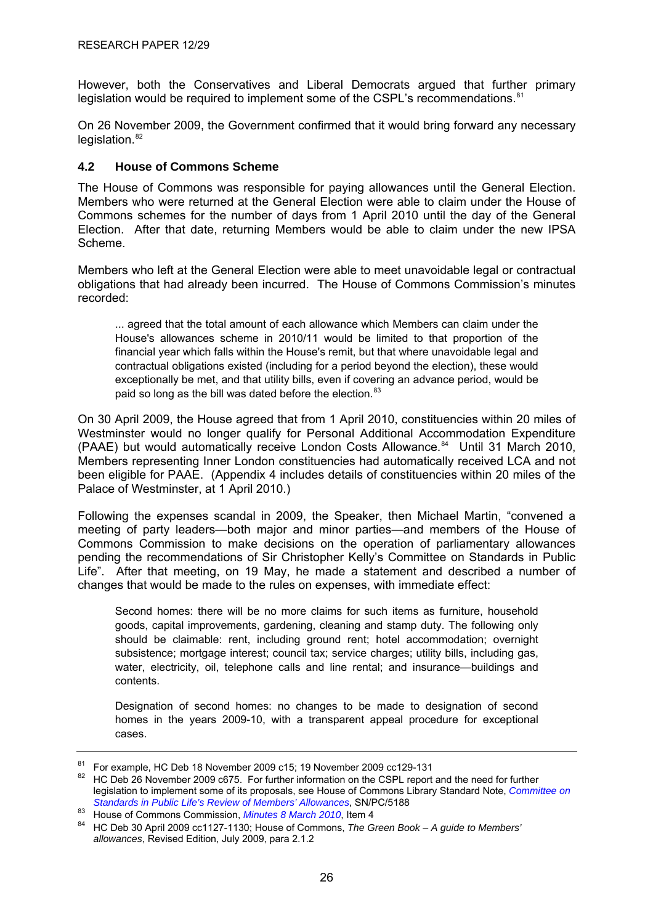<span id="page-30-0"></span>However, both the Conservatives and Liberal Democrats argued that further primary legislation would be required to implement some of the CSPL's recommendations.<sup>[81](#page-30-0)</sup>

On 26 November 2009, the Government confirmed that it would bring forward any necessary legislation.<sup>[82](#page-30-0)</sup>

#### **4.2 House of Commons Scheme**

The House of Commons was responsible for paying allowances until the General Election. Members who were returned at the General Election were able to claim under the House of Commons schemes for the number of days from 1 April 2010 until the day of the General Election. After that date, returning Members would be able to claim under the new IPSA Scheme.

Members who left at the General Election were able to meet unavoidable legal or contractual obligations that had already been incurred. The House of Commons Commission's minutes recorded:

... agreed that the total amount of each allowance which Members can claim under the House's allowances scheme in 2010/11 would be limited to that proportion of the financial year which falls within the House's remit, but that where unavoidable legal and contractual obligations existed (including for a period beyond the election), these would exceptionally be met, and that utility bills, even if covering an advance period, would be paid so long as the bill was dated before the election.<sup>[83](#page-30-0)</sup>

On 30 April 2009, the House agreed that from 1 April 2010, constituencies within 20 miles of Westminster would no longer qualify for Personal Additional Accommodation Expenditure (PAAE) but would automatically receive London Costs Allowance.<sup>[84](#page-30-0)</sup> Until 31 March 2010, Members representing Inner London constituencies had automatically received LCA and not been eligible for PAAE. (Appendix 4 includes details of constituencies within 20 miles of the Palace of Westminster, at 1 April 2010.)

Following the expenses scandal in 2009, the Speaker, then Michael Martin, "convened a meeting of party leaders—both major and minor parties—and members of the House of Commons Commission to make decisions on the operation of parliamentary allowances pending the recommendations of Sir Christopher Kelly's Committee on Standards in Public Life". After that meeting, on 19 May, he made a statement and described a number of changes that would be made to the rules on expenses, with immediate effect:

Second homes: there will be no more claims for such items as furniture, household goods, capital improvements, gardening, cleaning and stamp duty. The following only should be claimable: rent, including ground rent; hotel accommodation; overnight subsistence; mortgage interest; council tax; service charges; utility bills, including gas, water, electricity, oil, telephone calls and line rental; and insurance—buildings and contents.

Designation of second homes: no changes to be made to designation of second homes in the years 2009-10, with a transparent appeal procedure for exceptional cases.

<sup>81</sup> For example, HC Deb 18 November 2009 c15; 19 November 2009 cc129-131

<sup>&</sup>lt;sup>82</sup> HC Deb 26 November 2009 c675. For further information on the CSPL report and the need for further legislation to implement some of its proposals, see House of Commons Library Standard Note, *[Committee on](http://www.parliament.uk/briefing-papers/SN05188)* 

Standards in Public Life's Review of Members' Allowances, SN/PC/5188<br><sup>83</sup> House of Commons Commission, *Minutes 8 March 2010*, Item 4<br><sup>84</sup> HC Deb 30 April 2009 cc1127-1130; House of Commons, *The Green Book – A guide to Me allowances*, Revised Edition, July 2009, para 2.1.2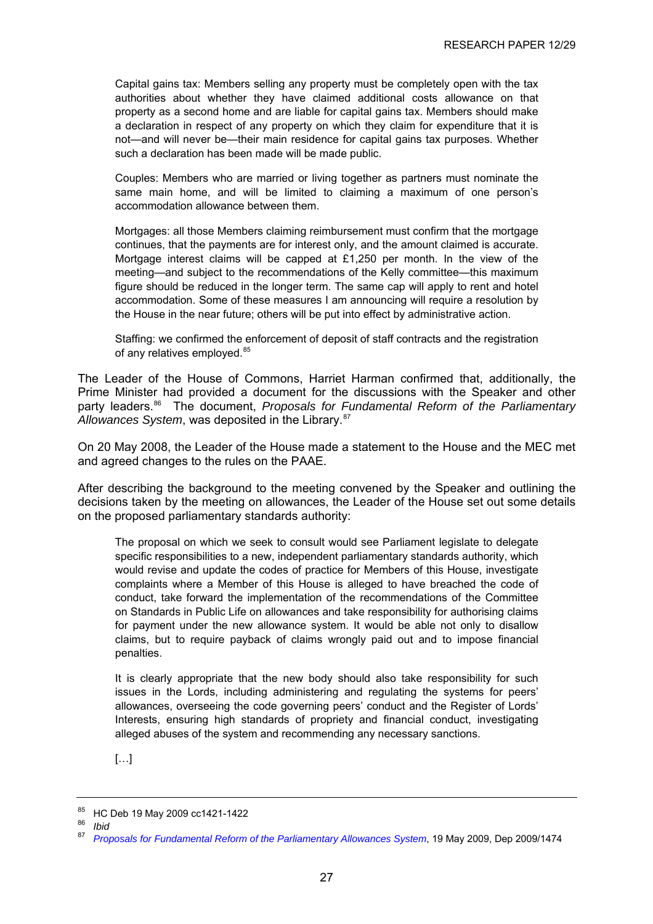<span id="page-31-0"></span>Capital gains tax: Members selling any property must be completely open with the tax authorities about whether they have claimed additional costs allowance on that property as a second home and are liable for capital gains tax. Members should make a declaration in respect of any property on which they claim for expenditure that it is not—and will never be—their main residence for capital gains tax purposes. Whether such a declaration has been made will be made public.

Couples: Members who are married or living together as partners must nominate the same main home, and will be limited to claiming a maximum of one person's accommodation allowance between them.

Mortgages: all those Members claiming reimbursement must confirm that the mortgage continues, that the payments are for interest only, and the amount claimed is accurate. Mortgage interest claims will be capped at £1,250 per month. In the view of the meeting—and subject to the recommendations of the Kelly committee—this maximum figure should be reduced in the longer term. The same cap will apply to rent and hotel accommodation. Some of these measures I am announcing will require a resolution by the House in the near future; others will be put into effect by administrative action.

Staffing: we confirmed the enforcement of deposit of staff contracts and the registration of any relatives employed.<sup>[85](#page-31-0)</sup>

The Leader of the House of Commons, Harriet Harman confirmed that, additionally, the Prime Minister had provided a document for the discussions with the Speaker and other party leaders.<sup>[86](#page-31-0)</sup> The document, *Proposals for Fundamental Reform of the Parliamentary* Allowances System, was deposited in the Library.<sup>[87](#page-31-0)</sup>

On 20 May 2008, the Leader of the House made a statement to the House and the MEC met and agreed changes to the rules on the PAAE.

After describing the background to the meeting convened by the Speaker and outlining the decisions taken by the meeting on allowances, the Leader of the House set out some details on the proposed parliamentary standards authority:

The proposal on which we seek to consult would see Parliament legislate to delegate specific responsibilities to a new, independent parliamentary standards authority, which would revise and update the codes of practice for Members of this House, investigate complaints where a Member of this House is alleged to have breached the code of conduct, take forward the implementation of the recommendations of the Committee on Standards in Public Life on allowances and take responsibility for authorising claims for payment under the new allowance system. It would be able not only to disallow claims, but to require payback of claims wrongly paid out and to impose financial penalties.

It is clearly appropriate that the new body should also take responsibility for such issues in the Lords, including administering and regulating the systems for peers' allowances, overseeing the code governing peers' conduct and the Register of Lords' Interests, ensuring high standards of propriety and financial conduct, investigating alleged abuses of the system and recommending any necessary sanctions.

[…]

 $^{85}$  HC Deb 19 May 2009 cc1421-1422

<sup>86</sup> *Ibid* 

<sup>87</sup> *[Proposals for Fundamental Reform of the Parliamentary Allowances System](http://www.parliament.uk/deposits/depositedpapers/2009/DEP2009-1474.doc)*, 19 May 2009, Dep 2009/1474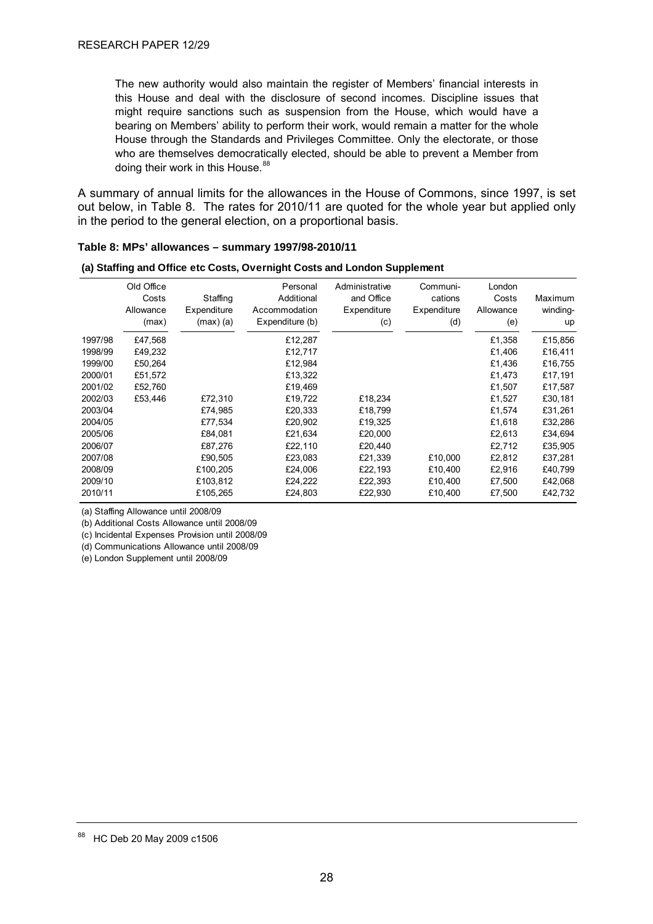<span id="page-32-0"></span>The new authority would also maintain the register of Members' financial interests in this House and deal with the disclosure of second incomes. Discipline issues that might require sanctions such as suspension from the House, which would have a bearing on Members' ability to perform their work, would remain a matter for the whole House through the Standards and Privileges Committee. Only the electorate, or those who are themselves democratically elected, should be able to prevent a Member from doing their work in this House.<sup>[88](#page-32-0)</sup>

A summary of annual limits for the allowances in the House of Commons, since 1997, is set out below, in Table 8. The rates for 2010/11 are quoted for the whole year but applied only in the period to the general election, on a proportional basis.

| (a) Staffing and Office etc Costs, Overnight Costs and London Supplement |                                           |                                        |                                                            |                                                    |                                           |                                     |                           |  |  |  |  |
|--------------------------------------------------------------------------|-------------------------------------------|----------------------------------------|------------------------------------------------------------|----------------------------------------------------|-------------------------------------------|-------------------------------------|---------------------------|--|--|--|--|
|                                                                          | Old Office<br>Costs<br>Allowance<br>(max) | Staffing<br>Expenditure<br>$(max)$ (a) | Personal<br>Additional<br>Accommodation<br>Expenditure (b) | Administrative<br>and Office<br>Expenditure<br>(c) | Communi-<br>cations<br>Expenditure<br>(d) | London<br>Costs<br>Allowance<br>(e) | Maximum<br>winding-<br>up |  |  |  |  |
| 1997/98                                                                  | £47,568                                   |                                        | £12,287                                                    |                                                    |                                           | £1,358                              | £15,856                   |  |  |  |  |
| 1998/99                                                                  | £49,232                                   |                                        | £12,717                                                    |                                                    |                                           | £1,406                              | £16,411                   |  |  |  |  |
| 1999/00                                                                  | £50,264                                   |                                        | £12,984                                                    |                                                    |                                           | £1,436                              | £16,755                   |  |  |  |  |
| 2000/01                                                                  | £51,572                                   |                                        | £13,322                                                    |                                                    |                                           | £1,473                              | £17,191                   |  |  |  |  |
| 2001/02                                                                  | £52,760                                   |                                        | £19,469                                                    |                                                    |                                           | £1,507                              | £17,587                   |  |  |  |  |
| 2002/03                                                                  | £53.446                                   | £72,310                                | £19,722                                                    | £18,234                                            |                                           | £1,527                              | £30,181                   |  |  |  |  |
| 2003/04                                                                  |                                           | £74,985                                | £20,333                                                    | £18,799                                            |                                           | £1,574                              | £31,261                   |  |  |  |  |
| 2004/05                                                                  |                                           | £77,534                                | £20,902                                                    | £19,325                                            |                                           | £1,618                              | £32,286                   |  |  |  |  |
| 2005/06                                                                  |                                           | £84,081                                | £21,634                                                    | £20,000                                            |                                           | £2,613                              | £34,694                   |  |  |  |  |
| 2006/07                                                                  |                                           | £87,276                                | £22,110                                                    | £20,440                                            |                                           | £2,712                              | £35,905                   |  |  |  |  |
| 2007/08                                                                  |                                           | £90,505                                | £23,083                                                    | £21,339                                            | £10.000                                   | £2,812                              | £37,281                   |  |  |  |  |
| 2008/09                                                                  |                                           | £100,205                               | £24,006                                                    | £22,193                                            | £10,400                                   | £2,916                              | £40,799                   |  |  |  |  |
| 2009/10                                                                  |                                           | £103,812                               | £24,222                                                    | £22,393                                            | £10,400                                   | £7,500                              | £42,068                   |  |  |  |  |
| 2010/11                                                                  |                                           | £105,265                               | £24,803                                                    | £22,930                                            | £10,400                                   | £7,500                              | £42,732                   |  |  |  |  |

#### **Table 8: MPs' allowances – summary 1997/98-2010/11**

(a) Staffing Allowance until 2008/09

(b) Additional Costs Allowance until 2008/09

(c) Incidental Expenses Provision until 2008/09

(d) Communications Allowance until 2008/09

(e) London Supplement until 2008/09

<sup>88</sup> HC Deb 20 May 2009 c1506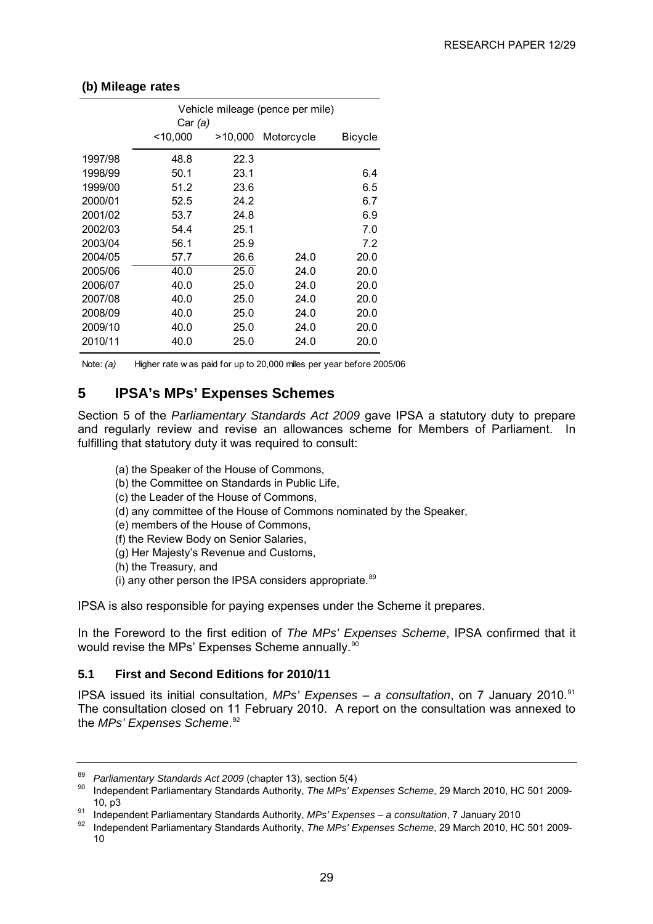|         | Vehicle mileage (pence per mile) |         |            |         |  |  |  |  |  |  |
|---------|----------------------------------|---------|------------|---------|--|--|--|--|--|--|
|         | Car (a)                          |         |            |         |  |  |  |  |  |  |
|         | $<$ 10,000                       | >10,000 | Motorcycle | Bicycle |  |  |  |  |  |  |
| 1997/98 | 48.8                             | 22.3    |            |         |  |  |  |  |  |  |
| 1998/99 | 50.1                             | 23.1    |            | 6.4     |  |  |  |  |  |  |
| 1999/00 | 51.2                             | 23.6    |            | 6.5     |  |  |  |  |  |  |
| 2000/01 | 52.5                             | 24.2    |            | 6.7     |  |  |  |  |  |  |
| 2001/02 | 53.7                             | 24.8    |            | 6.9     |  |  |  |  |  |  |
| 2002/03 | 54.4                             | 25.1    |            | 7.0     |  |  |  |  |  |  |
| 2003/04 | 56.1                             | 25.9    |            | 7.2     |  |  |  |  |  |  |
| 2004/05 | 57.7                             | 26.6    | 24.0       | 20.0    |  |  |  |  |  |  |
| 2005/06 | 40.0                             | 25.0    | 24.0       | 20.0    |  |  |  |  |  |  |
| 2006/07 | 40.0                             | 25.0    | 24.0       | 20.0    |  |  |  |  |  |  |
| 2007/08 | 40.0                             | 25.0    | 24.0       | 20.0    |  |  |  |  |  |  |
| 2008/09 | 40.0                             | 25.0    | 24.0       | 20.0    |  |  |  |  |  |  |
| 2009/10 | 40.0                             | 25.0    | 24.0       | 20.0    |  |  |  |  |  |  |
| 2010/11 | 40.0                             | 25.0    | 24.0       | 20.0    |  |  |  |  |  |  |

#### <span id="page-33-0"></span>**(b) Mileage rates**

Note: *(a)* Higher rate w as paid for up to 20,000 miles per year before 2005/06

# **5 IPSA's MPs' Expenses Schemes**

Section 5 of the *Parliamentary Standards Act 2009* gave IPSA a statutory duty to prepare and regularly review and revise an allowances scheme for Members of Parliament. In fulfilling that statutory duty it was required to consult:

- (a) the Speaker of the House of Commons,
- (b) the Committee on Standards in Public Life,
- (c) the Leader of the House of Commons,
- (d) any committee of the House of Commons nominated by the Speaker,
- (e) members of the House of Commons,
- (f) the Review Body on Senior Salaries,
- (g) Her Majesty's Revenue and Customs,
- (h) the Treasury, and
- (i) any other person the IPSA considers appropriate. $89$

IPSA is also responsible for paying expenses under the Scheme it prepares.

In the Foreword to the first edition of *The MPs' Expenses Scheme*, IPSA confirmed that it would revise the MPs' Expenses Scheme annually.<sup>[90](#page-33-0)</sup>

#### **5.1 First and Second Editions for 2010/11**

IPSA issued its initial consultation, MPs' Expenses – a consultation, on 7 January 2010.<sup>[91](#page-33-0)</sup> The consultation closed on 11 February 2010. A report on the consultation was annexed to the *MPs' Expenses Scheme*. [92](#page-33-0)

<sup>&</sup>lt;sup>89</sup> Parliamentary Standards Act 2009 (chapter 13), section 5(4)<br><sup>90</sup> Independent Parliamentary Standards Authority, *The MPs' Expenses Scheme*, 29 March 2010, HC 501 2009-10, p3 91 Independent Parliamentary Standards Authority, *MPs' Expenses – a consultation*, 7 January 2010 92 Independent Parliamentary Standards Authority, *The MPs' Expenses Scheme*, 29 March 2010, HC 501 2009-

<sup>10</sup>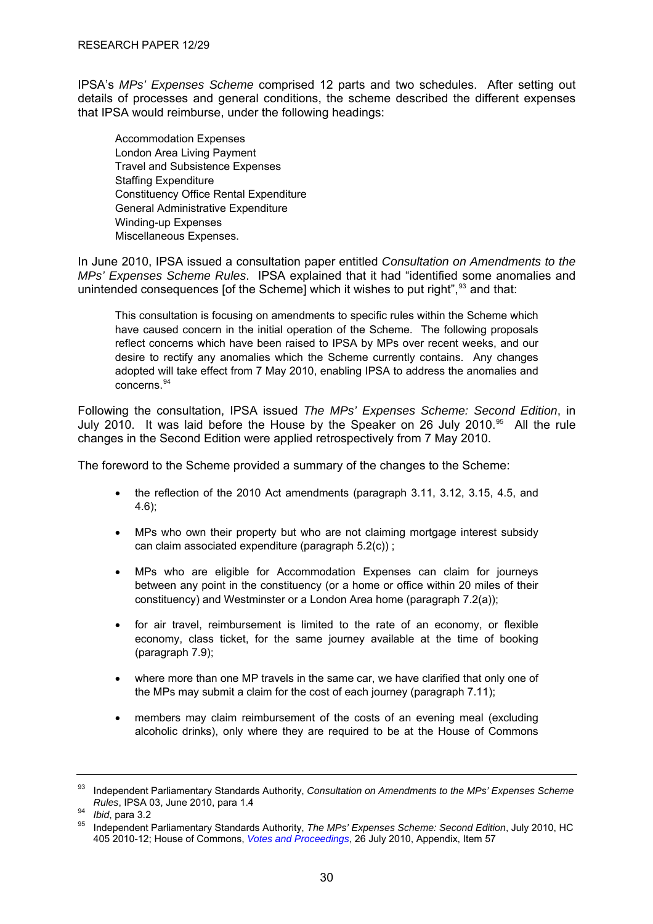<span id="page-34-0"></span>IPSA's *MPs' Expenses Scheme* comprised 12 parts and two schedules. After setting out details of processes and general conditions, the scheme described the different expenses that IPSA would reimburse, under the following headings:

Accommodation Expenses London Area Living Payment Travel and Subsistence Expenses Staffing Expenditure Constituency Office Rental Expenditure General Administrative Expenditure Winding-up Expenses Miscellaneous Expenses.

In June 2010, IPSA issued a consultation paper entitled *Consultation on Amendments to the MPs' Expenses Scheme Rules*. IPSA explained that it had "identified some anomalies and unintended consequences [of the Scheme] which it wishes to put right",<sup>[93](#page-34-0)</sup> and that:

This consultation is focusing on amendments to specific rules within the Scheme which have caused concern in the initial operation of the Scheme. The following proposals reflect concerns which have been raised to IPSA by MPs over recent weeks, and our desire to rectify any anomalies which the Scheme currently contains. Any changes adopted will take effect from 7 May 2010, enabling IPSA to address the anomalies and concerns.[94](#page-34-0)

Following the consultation, IPSA issued *The MPs' Expenses Scheme: Second Edition*, in July 2010. It was laid before the House by the Speaker on 26 July 2010.<sup>[95](#page-34-0)</sup> All the rule changes in the Second Edition were applied retrospectively from 7 May 2010.

The foreword to the Scheme provided a summary of the changes to the Scheme:

- the reflection of the 2010 Act amendments (paragraph 3.11, 3.12, 3.15, 4.5, and 4.6);
- MPs who own their property but who are not claiming mortgage interest subsidy can claim associated expenditure (paragraph 5.2(c)) ;
- MPs who are eligible for Accommodation Expenses can claim for journeys between any point in the constituency (or a home or office within 20 miles of their constituency) and Westminster or a London Area home (paragraph 7.2(a));
- for air travel, reimbursement is limited to the rate of an economy, or flexible economy, class ticket, for the same journey available at the time of booking (paragraph 7.9);
- where more than one MP travels in the same car, we have clarified that only one of the MPs may submit a claim for the cost of each journey (paragraph 7.11);
- members may claim reimbursement of the costs of an evening meal (excluding alcoholic drinks), only where they are required to be at the House of Commons

<sup>93</sup> Independent Parliamentary Standards Authority, *Consultation on Amendments to the MPs' Expenses Scheme Rules*, IPSA 03, June 2010, para 1.4<br><sup>94</sup> *Ibid*, para 3.2<br><sup>95</sup> Independent Parliamentary Standards Authority, *The MPs' Expenses Scheme: Second Edition*, July 2010, HC

<sup>405 2010-12;</sup> House of Commons, *[Votes and Proceedings](http://www.publications.parliament.uk/pa/cm201011/cmvote/100726v01.htm)*, 26 July 2010, Appendix, Item 57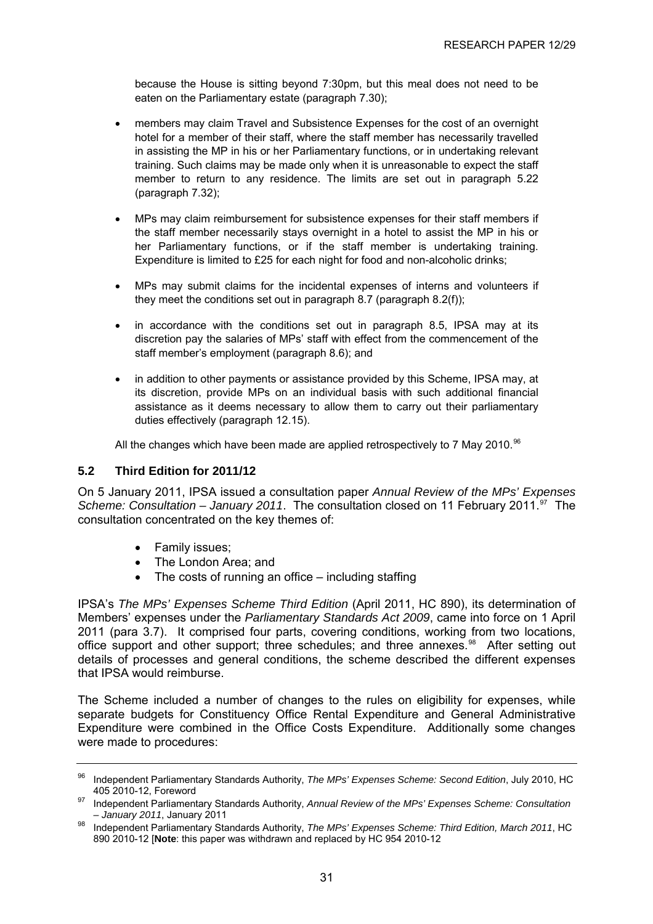<span id="page-35-0"></span>because the House is sitting beyond 7:30pm, but this meal does not need to be eaten on the Parliamentary estate (paragraph 7.30);

- members may claim Travel and Subsistence Expenses for the cost of an overnight hotel for a member of their staff, where the staff member has necessarily travelled in assisting the MP in his or her Parliamentary functions, or in undertaking relevant training. Such claims may be made only when it is unreasonable to expect the staff member to return to any residence. The limits are set out in paragraph 5.22 (paragraph 7.32);
- MPs may claim reimbursement for subsistence expenses for their staff members if the staff member necessarily stays overnight in a hotel to assist the MP in his or her Parliamentary functions, or if the staff member is undertaking training. Expenditure is limited to £25 for each night for food and non-alcoholic drinks;
- MPs may submit claims for the incidental expenses of interns and volunteers if they meet the conditions set out in paragraph 8.7 (paragraph 8.2(f));
- in accordance with the conditions set out in paragraph 8.5, IPSA may at its discretion pay the salaries of MPs' staff with effect from the commencement of the staff member's employment (paragraph 8.6); and
- in addition to other payments or assistance provided by this Scheme, IPSA may, at its discretion, provide MPs on an individual basis with such additional financial assistance as it deems necessary to allow them to carry out their parliamentary duties effectively (paragraph 12.15).

All the changes which have been made are applied retrospectively to 7 May 2010.<sup>[96](#page-35-0)</sup>

#### **5.2 Third Edition for 2011/12**

On 5 January 2011, IPSA issued a consultation paper *Annual Review of the MPs' Expenses Scheme: Consultation – January 2011.* The consultation closed on 11 February 2011.<sup>[97](#page-35-0)</sup> The consultation concentrated on the key themes of:

- Family issues;
- The London Area; and
- The costs of running an office including staffing

IPSA's *The MPs' Expenses Scheme Third Edition* (April 2011, HC 890), its determination of Members' expenses under the *Parliamentary Standards Act 2009*, came into force on 1 April 2011 (para 3.7). It comprised four parts, covering conditions, working from two locations, office support and other support; three schedules; and three annexes.<sup>[98](#page-35-0)</sup> After setting out details of processes and general conditions, the scheme described the different expenses that IPSA would reimburse.

The Scheme included a number of changes to the rules on eligibility for expenses, while separate budgets for Constituency Office Rental Expenditure and General Administrative Expenditure were combined in the Office Costs Expenditure. Additionally some changes were made to procedures:

<sup>96</sup> Independent Parliamentary Standards Authority, *The MPs' Expenses Scheme: Second Edition*, July 2010, HC 405 2010-12, Foreword 97 Independent Parliamentary Standards Authority, *Annual Review of the MPs' Expenses Scheme: Consultation* 

*<sup>–</sup> January 2011*, January 2011 98 Independent Parliamentary Standards Authority, *The MPs' Expenses Scheme: Third Edition, March 2011*, HC 890 2010-12 [**Note**: this paper was withdrawn and replaced by HC 954 2010-12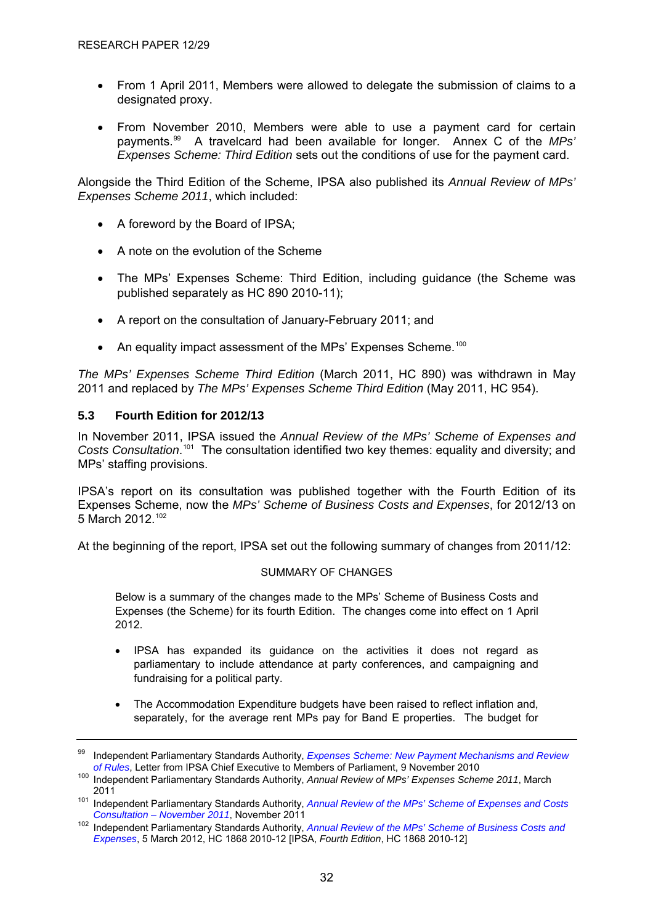- <span id="page-36-0"></span>• From 1 April 2011, Members were allowed to delegate the submission of claims to a designated proxy.
- From November 2010, Members were able to use a payment card for certain payments.[99](#page-36-0) A travelcard had been available for longer. Annex C of the *MPs' Expenses Scheme: Third Edition* sets out the conditions of use for the payment card.

Alongside the Third Edition of the Scheme, IPSA also published its *Annual Review of MPs' Expenses Scheme 2011*, which included:

- A foreword by the Board of IPSA;
- A note on the evolution of the Scheme
- The MPs' Expenses Scheme: Third Edition, including guidance (the Scheme was published separately as HC 890 2010-11);
- A report on the consultation of January-February 2011; and
- An equality impact assessment of the MPs' Expenses Scheme.<sup>[100](#page-36-0)</sup>

*The MPs' Expenses Scheme Third Edition* (March 2011, HC 890) was withdrawn in May 2011 and replaced by *The MPs' Expenses Scheme Third Edition* (May 2011, HC 954).

#### **5.3 Fourth Edition for 2012/13**

In November 2011, IPSA issued the *Annual Review of the MPs' Scheme of Expenses and*  Costs Consultation.<sup>[101](#page-36-0)</sup> The consultation identified two key themes: equality and diversity; and MPs' staffing provisions.

IPSA's report on its consultation was published together with the Fourth Edition of its Expenses Scheme, now the *MPs' Scheme of Business Costs and Expenses*, for 2012/13 on 5 March 2012.[102](#page-36-0)

At the beginning of the report, IPSA set out the following summary of changes from 2011/12:

#### SUMMARY OF CHANGES

Below is a summary of the changes made to the MPs' Scheme of Business Costs and Expenses (the Scheme) for its fourth Edition. The changes come into effect on 1 April 2012.

- IPSA has expanded its guidance on the activities it does not regard as parliamentary to include attendance at party conferences, and campaigning and fundraising for a political party.
- The Accommodation Expenditure budgets have been raised to reflect inflation and, separately, for the average rent MPs pay for Band E properties. The budget for

<sup>99</sup> Independent Parliamentary Standards Authority, *[Expenses Scheme: New Payment Mechanisms and Review](http://www.parliamentarystandards.org.uk/IPSAMPs/MP%20Bulletins%20and%20other%20communications/Letter%20to%20MPs%20091110.pdf)* 

<sup>&</sup>lt;sup>100</sup> Independent Parliamentary Standards Authority, *Annual Review of MPs' Expenses Scheme 2011*, March

<sup>2011 1011</sup> Independent Parliamentary Standards Authority, *Annual Review of the MPs' Scheme of Expenses and Costs Consultation – November 2011*, November 2011

*Consultation – November 2011*, November 2011 102 Independent Parliamentary Standards Authority, *[Annual Review of the MPs' Scheme of Business Costs and](http://www.parliamentarystandards.org.uk/transparency/Our%20consultations/2012%20Annual%20Review%20of%20the%20MPs%27%20Scheme%20of%20Business%20Costs%20and%20Expenses.pdf)  [Expenses](http://www.parliamentarystandards.org.uk/transparency/Our%20consultations/2012%20Annual%20Review%20of%20the%20MPs%27%20Scheme%20of%20Business%20Costs%20and%20Expenses.pdf)*, 5 March 2012, HC 1868 2010-12 [IPSA, *Fourth Edition*, HC 1868 2010-12]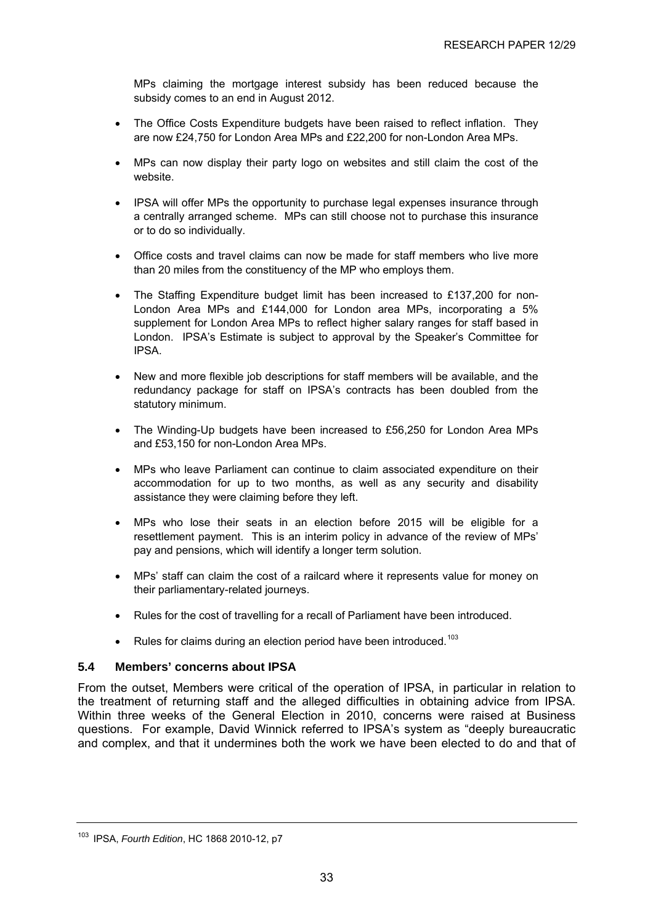<span id="page-37-0"></span>MPs claiming the mortgage interest subsidy has been reduced because the subsidy comes to an end in August 2012.

- The Office Costs Expenditure budgets have been raised to reflect inflation. They are now £24,750 for London Area MPs and £22,200 for non-London Area MPs.
- MPs can now display their party logo on websites and still claim the cost of the website.
- IPSA will offer MPs the opportunity to purchase legal expenses insurance through a centrally arranged scheme. MPs can still choose not to purchase this insurance or to do so individually.
- Office costs and travel claims can now be made for staff members who live more than 20 miles from the constituency of the MP who employs them.
- The Staffing Expenditure budget limit has been increased to £137,200 for non-London Area MPs and £144,000 for London area MPs, incorporating a 5% supplement for London Area MPs to reflect higher salary ranges for staff based in London. IPSA's Estimate is subject to approval by the Speaker's Committee for IPSA.
- New and more flexible job descriptions for staff members will be available, and the redundancy package for staff on IPSA's contracts has been doubled from the statutory minimum.
- The Winding-Up budgets have been increased to £56,250 for London Area MPs and £53,150 for non-London Area MPs.
- MPs who leave Parliament can continue to claim associated expenditure on their accommodation for up to two months, as well as any security and disability assistance they were claiming before they left.
- MPs who lose their seats in an election before 2015 will be eligible for a resettlement payment. This is an interim policy in advance of the review of MPs' pay and pensions, which will identify a longer term solution.
- MPs' staff can claim the cost of a railcard where it represents value for money on their parliamentary-related journeys.
- Rules for the cost of travelling for a recall of Parliament have been introduced.
- Rules for claims during an election period have been introduced.<sup>[103](#page-37-0)</sup>

#### **5.4 Members' concerns about IPSA**

From the outset, Members were critical of the operation of IPSA, in particular in relation to the treatment of returning staff and the alleged difficulties in obtaining advice from IPSA. Within three weeks of the General Election in 2010, concerns were raised at Business questions. For example, David Winnick referred to IPSA's system as "deeply bureaucratic and complex, and that it undermines both the work we have been elected to do and that of

<sup>103</sup> IPSA, *Fourth Edition*, HC 1868 2010-12, p7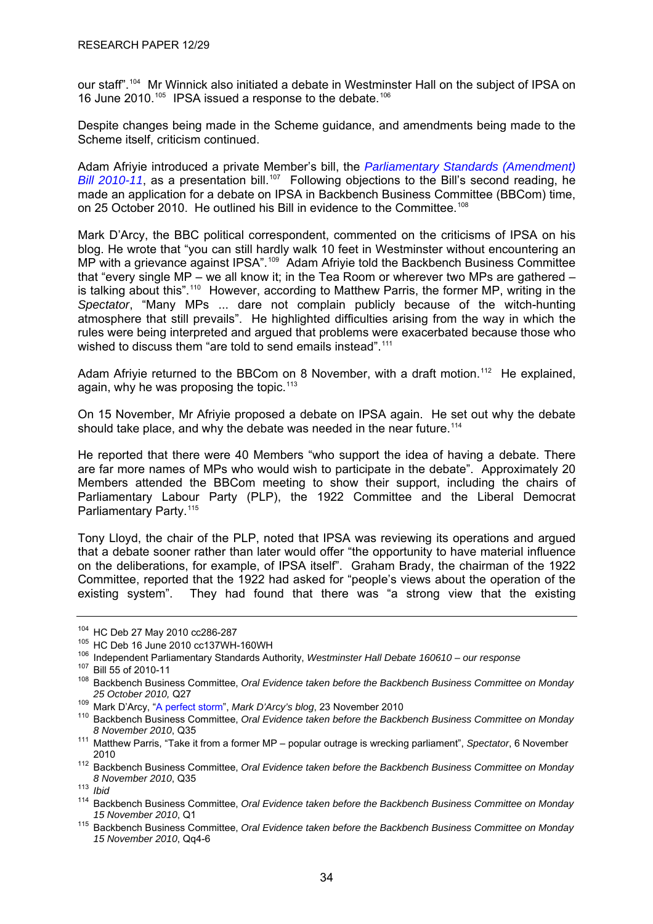<span id="page-38-0"></span>our staff".[104](#page-38-0) Mr Winnick also initiated a debate in Westminster Hall on the subject of IPSA on 16 June 2010.<sup>[105](#page-38-0)</sup> IPSA issued a response to the debate.<sup>[106](#page-38-0)</sup>

Despite changes being made in the Scheme guidance, and amendments being made to the Scheme itself, criticism continued.

Adam Afriyie introduced a private Member's bill, the *[Parliamentary Standards \(Amendment\)](http://www.publications.parliament.uk/pa/cm201011/cmbills/060/11060.i-i.html)  [Bill 2010-11](http://www.publications.parliament.uk/pa/cm201011/cmbills/060/11060.i-i.html)*, as a presentation bill.<sup>[107](#page-38-0)</sup> Following objections to the Bill's second reading, he made an application for a debate on IPSA in Backbench Business Committee (BBCom) time, on 25 October 2010. He outlined his Bill in evidence to the Committee.<sup>[108](#page-38-0)</sup>

Mark D'Arcy, the BBC political correspondent, commented on the criticisms of IPSA on his blog. He wrote that "you can still hardly walk 10 feet in Westminster without encountering an MP with a grievance against IPSA".<sup>[109](#page-38-0)</sup> Adam Afriyie told the Backbench Business Committee that "every single MP – we all know it; in the Tea Room or wherever two MPs are gathered – is talking about this".<sup>[110](#page-38-0)</sup> However, according to Matthew Parris, the former MP, writing in the *Spectator*, "Many MPs ... dare not complain publicly because of the witch-hunting atmosphere that still prevails". He highlighted difficulties arising from the way in which the rules were being interpreted and argued that problems were exacerbated because those who wished to discuss them "are told to send emails instead".<sup>[111](#page-38-0)</sup>

Adam Afriyie returned to the BBCom on 8 November, with a draft motion.<sup>[112](#page-38-0)</sup> He explained, again, why he was proposing the topic.<sup>[113](#page-38-0)</sup>

On 15 November, Mr Afriyie proposed a debate on IPSA again. He set out why the debate should take place, and why the debate was needed in the near future.<sup>[114](#page-38-0)</sup>

He reported that there were 40 Members "who support the idea of having a debate. There are far more names of MPs who would wish to participate in the debate". Approximately 20 Members attended the BBCom meeting to show their support, including the chairs of Parliamentary Labour Party (PLP), the 1922 Committee and the Liberal Democrat Parliamentary Party.<sup>[115](#page-38-0)</sup>

Tony Lloyd, the chair of the PLP, noted that IPSA was reviewing its operations and argued that a debate sooner rather than later would offer "the opportunity to have material influence on the deliberations, for example, of IPSA itself". Graham Brady, the chairman of the 1922 Committee, reported that the 1922 had asked for "people's views about the operation of the existing system". They had found that there was "a strong view that the existing

<sup>104</sup> HC Deb 27 May 2010 cc286-287<br><sup>105</sup> HC Deb 16 June 2010 cc137WH-160WH<br><sup>106</sup> Independent Parliamentary Standards Authority, *Westminster Hall Debate 160610 – our response*<br><sup>107</sup> Bill 55 of 2010-11

<sup>&</sup>lt;sup>108</sup> Backbench Business Committee, *Oral Evidence taken before the Backbench Business Committee on Monday* 

*<sup>25</sup> October 2010,* Q27 109 Mark D'Arcy, ["A perfect storm](http://www.bbc.co.uk/blogs/markdarcy/2010/11/a_perfect_storm.html)", *Mark D'Arcy's blog*, 23 November 2010 110 Backbench Business Committee, *Oral Evidence taken before the Backbench Business Committee on Monday* 

*<sup>8</sup> November 2010*, Q35 111 Matthew Parris, "Take it from a former MP – popular outrage is wrecking parliament", *Spectator*, 6 November

<sup>2010 112</sup> Backbench Business Committee, *Oral Evidence taken before the Backbench Business Committee on Monday 8 November 2010*, Q35 113 *Ibid* 

<sup>114</sup> Backbench Business Committee, *Oral Evidence taken before the Backbench Business Committee on Monday* 

*<sup>15</sup> November 2010*, Q1 115 Backbench Business Committee, *Oral Evidence taken before the Backbench Business Committee on Monday 15 November 2010*, Qq4-6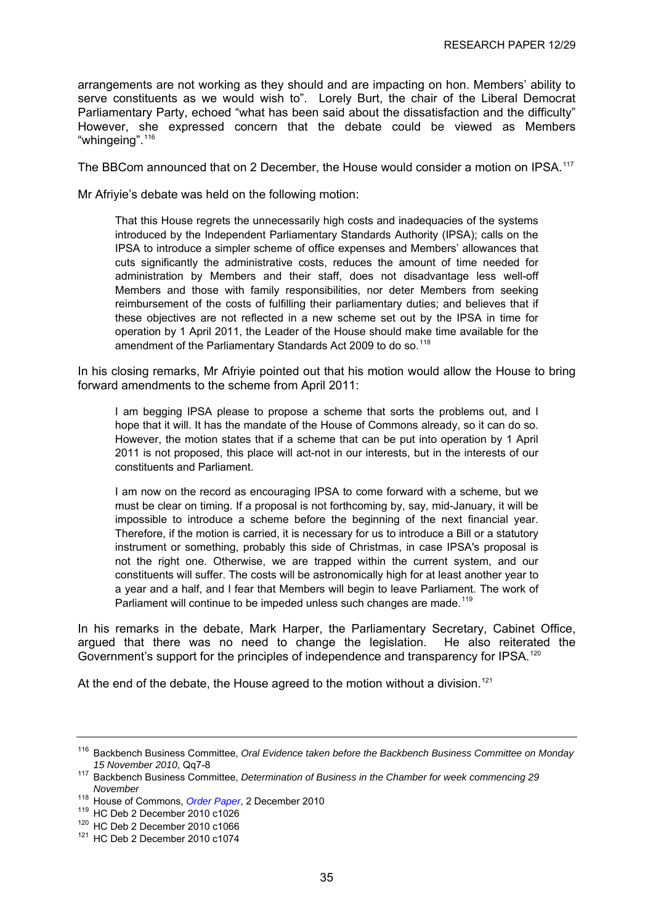<span id="page-39-0"></span>arrangements are not working as they should and are impacting on hon. Members' ability to serve constituents as we would wish to". Lorely Burt, the chair of the Liberal Democrat Parliamentary Party, echoed "what has been said about the dissatisfaction and the difficulty" However, she expressed concern that the debate could be viewed as Members "whingeing".<sup>[116](#page-39-0)</sup>

The BBCom announced that on 2 December, the House would consider a motion on IPSA.<sup>[117](#page-39-0)</sup>

Mr Afriyie's debate was held on the following motion:

That this House regrets the unnecessarily high costs and inadequacies of the systems introduced by the Independent Parliamentary Standards Authority (IPSA); calls on the IPSA to introduce a simpler scheme of office expenses and Members' allowances that cuts significantly the administrative costs, reduces the amount of time needed for administration by Members and their staff, does not disadvantage less well-off Members and those with family responsibilities, nor deter Members from seeking reimbursement of the costs of fulfilling their parliamentary duties; and believes that if these objectives are not reflected in a new scheme set out by the IPSA in time for operation by 1 April 2011, the Leader of the House should make time available for the amendment of the Parliamentary Standards Act 2009 to do so.<sup>[118](#page-39-0)</sup>

In his closing remarks, Mr Afriyie pointed out that his motion would allow the House to bring forward amendments to the scheme from April 2011:

I am begging IPSA please to propose a scheme that sorts the problems out, and I hope that it will. It has the mandate of the House of Commons already, so it can do so. However, the motion states that if a scheme that can be put into operation by 1 April 2011 is not proposed, this place will act-not in our interests, but in the interests of our constituents and Parliament.

I am now on the record as encouraging IPSA to come forward with a scheme, but we must be clear on timing. If a proposal is not forthcoming by, say, mid-January, it will be impossible to introduce a scheme before the beginning of the next financial year. Therefore, if the motion is carried, it is necessary for us to introduce a Bill or a statutory instrument or something, probably this side of Christmas, in case IPSA's proposal is not the right one. Otherwise, we are trapped within the current system, and our constituents will suffer. The costs will be astronomically high for at least another year to a year and a half, and I fear that Members will begin to leave Parliament. The work of Parliament will continue to be impeded unless such changes are made.<sup>[119](#page-39-0)</sup>

In his remarks in the debate, Mark Harper, the Parliamentary Secretary, Cabinet Office, argued that there was no need to change the legislation. He also reiterated the Government's support for the principles of independence and transparency for IPSA.<sup>[120](#page-39-0)</sup>

At the end of the debate, the House agreed to the motion without a division.<sup>[121](#page-39-0)</sup>

<sup>116</sup> Backbench Business Committee, *Oral Evidence taken before the Backbench Business Committee on Monday* 

<sup>&</sup>lt;sup>117</sup> Backbench Business Committee, *Determination of Business in the Chamber for week commencing 29 November*

<sup>&</sup>lt;sup>118</sup> House of Commons, *Order Paper*, 2 December 2010<br><sup>119</sup> HC Deb 2 December 2010 c1026<br><sup>120</sup> HC Deb 2 December 2010 c1074<br><sup>121</sup> HC Deb 2 December 2010 c1074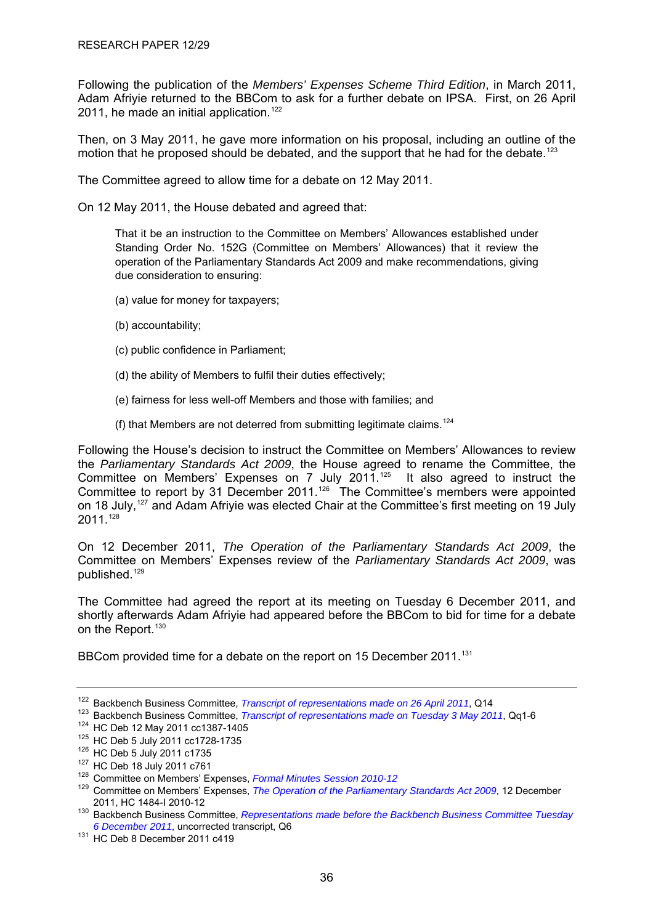<span id="page-40-0"></span>Following the publication of the *Members' Expenses Scheme Third Edition*, in March 2011, Adam Afriyie returned to the BBCom to ask for a further debate on IPSA. First, on 26 April 2011, he made an initial application.<sup>[122](#page-40-0)</sup>

Then, on 3 May 2011, he gave more information on his proposal, including an outline of the motion that he proposed should be debated, and the support that he had for the debate.<sup>[123](#page-40-0)</sup>

The Committee agreed to allow time for a debate on 12 May 2011.

On 12 May 2011, the House debated and agreed that:

That it be an instruction to the Committee on Members' Allowances established under Standing Order No. 152G (Committee on Members' Allowances) that it review the operation of the Parliamentary Standards Act 2009 and make recommendations, giving due consideration to ensuring:

- (a) value for money for taxpayers;
- (b) accountability;
- (c) public confidence in Parliament;
- (d) the ability of Members to fulfil their duties effectively;
- (e) fairness for less well-off Members and those with families; and
- (f) that Members are not deterred from submitting legitimate claims.<sup>[124](#page-40-0)</sup>

Following the House's decision to instruct the Committee on Members' Allowances to review the *Parliamentary Standards Act 2009*, the House agreed to rename the Committee, the Committee on Members' Expenses on 7 July 2011.<sup>[125](#page-40-0)</sup> It also agreed to instruct the Committee to report by 31 December 2011.<sup>[126](#page-40-0)</sup> The Committee's members were appointed on 18 July,<sup>[127](#page-40-0)</sup> and Adam Afriyie was elected Chair at the Committee's first meeting on 19 July 2011.[128](#page-40-0)

On 12 December 2011, *The Operation of the Parliamentary Standards Act 2009*, the Committee on Members' Expenses review of the *Parliamentary Standards Act 2009*, was published.[129](#page-40-0)

The Committee had agreed the report at its meeting on Tuesday 6 December 2011, and shortly afterwards Adam Afriyie had appeared before the BBCom to bid for time for a debate on the Report.<sup>[130](#page-40-0)</sup>

BBCom provided time for a debate on the report on 15 December 2011.<sup>[131](#page-40-0)</sup>

<sup>&</sup>lt;sup>122</sup> Backbench Business Committee, *Transcript of representations made on 26 April 2011*, Q14<br><sup>123</sup> Backbench Business Committee, *Transcript of representations made on Tuesday 3 May 2011*, Qq1-6<br><sup>124</sup> HC Deb 12 May 2011

<sup>2011,</sup> HC 1484-I 2010-12<br><sup>130</sup> Backbench Business Committee, *Representations made before the Backbench Business Committee Tuesday*<br>6 December 2011, uncorrected transcript, Q6

<sup>&</sup>lt;sup>131</sup> HC Deb 8 December 2011 c419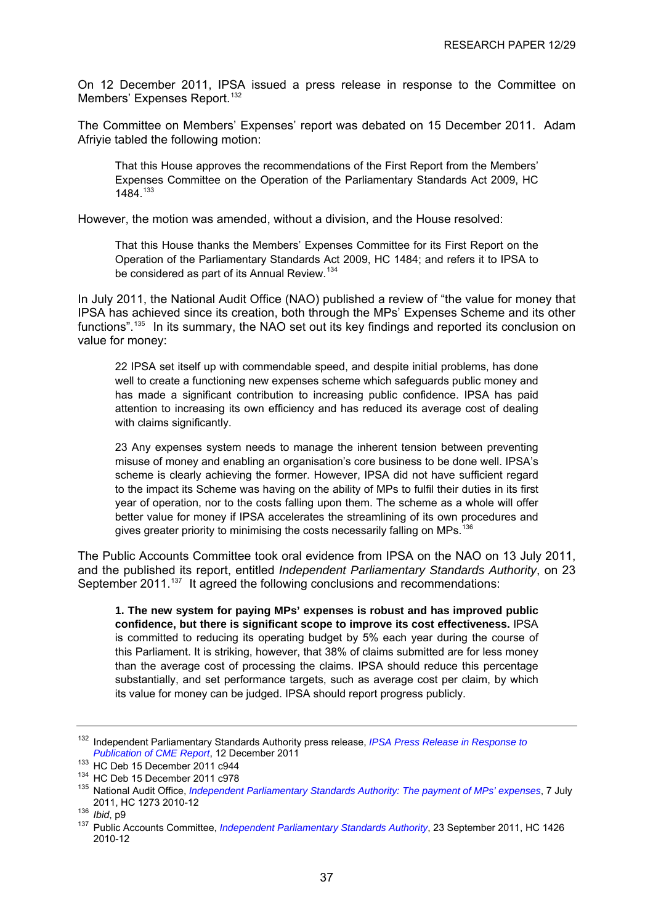<span id="page-41-0"></span>On 12 December 2011, IPSA issued a press release in response to the Committee on Members' Expenses Report.<sup>[132](#page-41-0)</sup>

The Committee on Members' Expenses' report was debated on 15 December 2011. Adam Afriyie tabled the following motion:

That this House approves the recommendations of the First Report from the Members' Expenses Committee on the Operation of the Parliamentary Standards Act 2009, HC 1484<sup>[133](#page-41-0)</sup>

However, the motion was amended, without a division, and the House resolved:

That this House thanks the Members' Expenses Committee for its First Report on the Operation of the Parliamentary Standards Act 2009, HC 1484; and refers it to IPSA to be considered as part of its Annual Review.<sup>[134](#page-41-0)</sup>

In July 2011, the National Audit Office (NAO) published a review of "the value for money that IPSA has achieved since its creation, both through the MPs' Expenses Scheme and its other functions".[135](#page-41-0) In its summary, the NAO set out its key findings and reported its conclusion on value for money:

22 IPSA set itself up with commendable speed, and despite initial problems, has done well to create a functioning new expenses scheme which safeguards public money and has made a significant contribution to increasing public confidence. IPSA has paid attention to increasing its own efficiency and has reduced its average cost of dealing with claims significantly.

23 Any expenses system needs to manage the inherent tension between preventing misuse of money and enabling an organisation's core business to be done well. IPSA's scheme is clearly achieving the former. However, IPSA did not have sufficient regard to the impact its Scheme was having on the ability of MPs to fulfil their duties in its first year of operation, nor to the costs falling upon them. The scheme as a whole will offer better value for money if IPSA accelerates the streamlining of its own procedures and gives greater priority to minimising the costs necessarily falling on MPs.<sup>[136](#page-41-0)</sup>

The Public Accounts Committee took oral evidence from IPSA on the NAO on 13 July 2011, and the published its report, entitled *Independent Parliamentary Standards Authority*, on 23 September 2011.<sup>[137](#page-41-0)</sup> It agreed the following conclusions and recommendations:

**1. The new system for paying MPs' expenses is robust and has improved public confidence, but there is significant scope to improve its cost effectiveness.** IPSA is committed to reducing its operating budget by 5% each year during the course of this Parliament. It is striking, however, that 38% of claims submitted are for less money than the average cost of processing the claims. IPSA should reduce this percentage substantially, and set performance targets, such as average cost per claim, by which its value for money can be judged. IPSA should report progress publicly.

<sup>132</sup> Independent Parliamentary Standards Authority press release, *[IPSA Press Release in Response to](http://www.parliamentarystandards.org.uk/NewsAndMedia/Pages/LatestNews2.aspx?ListNews=739f9c00-b7d4-4282-bffd-9ae51fd8d92d&NewsId=25)* 

Publication of CME Report, 12 December 2011<br><sup>133</sup> HC Deb 15 December 2011 c944<br><sup>134</sup> HC Deb 15 December 2011 c978<br><sup>135</sup> National Audit Office, *[Independent Parliamentary Standards Authority: The payment of MPs' expenses](http://www.official-documents.gov.uk/document/hc1012/hc12/1273/1273.pdf)*, 2011, HC 1273 2010-12 136 *Ibid*, p9 137 Public Accounts Committee, *[Independent Parliamentary Standards Authority](http://www.publications.parliament.uk/pa/cm201012/cmselect/cmpubacc/1426/1426.pdf)*, 23 September 2011, HC 1426

<sup>2010-12</sup>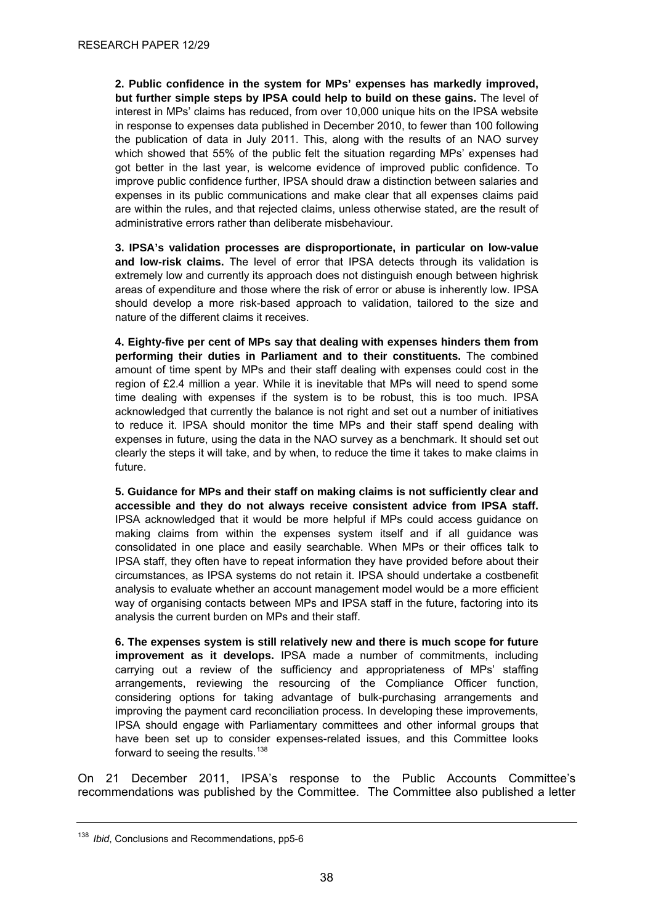<span id="page-42-0"></span>**2. Public confidence in the system for MPs' expenses has markedly improved, but further simple steps by IPSA could help to build on these gains.** The level of interest in MPs' claims has reduced, from over 10,000 unique hits on the IPSA website in response to expenses data published in December 2010, to fewer than 100 following the publication of data in July 2011. This, along with the results of an NAO survey which showed that 55% of the public felt the situation regarding MPs' expenses had got better in the last year, is welcome evidence of improved public confidence. To improve public confidence further, IPSA should draw a distinction between salaries and expenses in its public communications and make clear that all expenses claims paid are within the rules, and that rejected claims, unless otherwise stated, are the result of administrative errors rather than deliberate misbehaviour.

**3. IPSA's validation processes are disproportionate, in particular on low-value and low-risk claims.** The level of error that IPSA detects through its validation is extremely low and currently its approach does not distinguish enough between highrisk areas of expenditure and those where the risk of error or abuse is inherently low. IPSA should develop a more risk-based approach to validation, tailored to the size and nature of the different claims it receives.

**4. Eighty-five per cent of MPs say that dealing with expenses hinders them from performing their duties in Parliament and to their constituents.** The combined amount of time spent by MPs and their staff dealing with expenses could cost in the region of £2.4 million a year. While it is inevitable that MPs will need to spend some time dealing with expenses if the system is to be robust, this is too much. IPSA acknowledged that currently the balance is not right and set out a number of initiatives to reduce it. IPSA should monitor the time MPs and their staff spend dealing with expenses in future, using the data in the NAO survey as a benchmark. It should set out clearly the steps it will take, and by when, to reduce the time it takes to make claims in future.

**5. Guidance for MPs and their staff on making claims is not sufficiently clear and accessible and they do not always receive consistent advice from IPSA staff.** IPSA acknowledged that it would be more helpful if MPs could access guidance on making claims from within the expenses system itself and if all guidance was consolidated in one place and easily searchable. When MPs or their offices talk to IPSA staff, they often have to repeat information they have provided before about their circumstances, as IPSA systems do not retain it. IPSA should undertake a costbenefit analysis to evaluate whether an account management model would be a more efficient way of organising contacts between MPs and IPSA staff in the future, factoring into its analysis the current burden on MPs and their staff.

**6. The expenses system is still relatively new and there is much scope for future improvement as it develops.** IPSA made a number of commitments, including carrying out a review of the sufficiency and appropriateness of MPs' staffing arrangements, reviewing the resourcing of the Compliance Officer function, considering options for taking advantage of bulk-purchasing arrangements and improving the payment card reconciliation process. In developing these improvements, IPSA should engage with Parliamentary committees and other informal groups that have been set up to consider expenses-related issues, and this Committee looks forward to seeing the results.<sup>[138](#page-42-0)</sup>

On 21 December 2011, IPSA's response to the Public Accounts Committee's recommendations was published by the Committee. The Committee also published a letter

<sup>138</sup> *Ibid*, Conclusions and Recommendations, pp5-6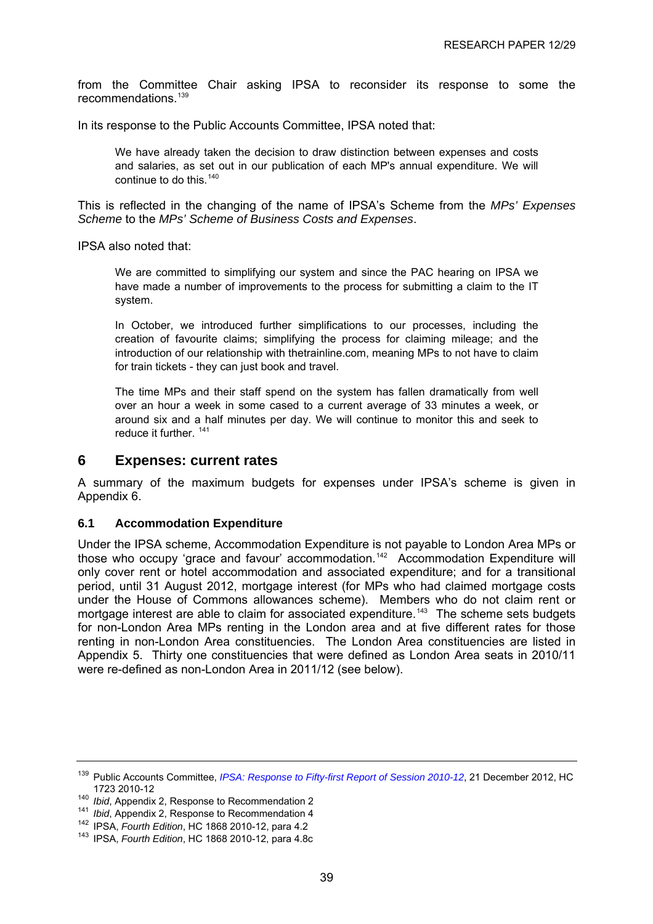<span id="page-43-0"></span>from the Committee Chair asking IPSA to reconsider its response to some the recommendations.[139](#page-43-0)

In its response to the Public Accounts Committee, IPSA noted that:

We have already taken the decision to draw distinction between expenses and costs and salaries, as set out in our publication of each MP's annual expenditure. We will continue to do this.  $140$ 

This is reflected in the changing of the name of IPSA's Scheme from the *MPs' Expenses Scheme* to the *MPs' Scheme of Business Costs and Expenses*.

IPSA also noted that:

We are committed to simplifying our system and since the PAC hearing on IPSA we have made a number of improvements to the process for submitting a claim to the IT system.

In October, we introduced further simplifications to our processes, including the creation of favourite claims; simplifying the process for claiming mileage; and the introduction of our relationship with thetrainline.com, meaning MPs to not have to claim for train tickets - they can just book and travel.

The time MPs and their staff spend on the system has fallen dramatically from well over an hour a week in some cased to a current average of 33 minutes a week, or around six and a half minutes per day. We will continue to monitor this and seek to reduce it further. <sup>[141](#page-43-0)</sup>

#### **6 Expenses: current rates**

A summary of the maximum budgets for expenses under IPSA's scheme is given in Appendix 6.

#### **6.1 Accommodation Expenditure**

Under the IPSA scheme, Accommodation Expenditure is not payable to London Area MPs or those who occupy 'grace and favour' accommodation.<sup>[142](#page-43-0)</sup> Accommodation Expenditure will only cover rent or hotel accommodation and associated expenditure; and for a transitional period, until 31 August 2012, mortgage interest (for MPs who had claimed mortgage costs under the House of Commons allowances scheme). Members who do not claim rent or mortgage interest are able to claim for associated expenditure.<sup>[143](#page-43-0)</sup> The scheme sets budgets for non-London Area MPs renting in the London area and at five different rates for those renting in non-London Area constituencies. The London Area constituencies are listed in Appendix 5. Thirty one constituencies that were defined as London Area seats in 2010/11 were re-defined as non-London Area in 2011/12 (see below).

<sup>139</sup> Public Accounts Committee, *[IPSA: Response to Fifty-first Report of Session 2010-12](http://www.publications.parliament.uk/pa/cm201012/cmselect/cmpubacc/1723/1723.pdf)*, 21 December 2012, HC

<sup>&</sup>lt;sup>140</sup> *Ibid*, Appendix 2, Response to Recommendation 2<br><sup>141</sup> *Ibid*, Appendix 2, Response to Recommendation 4<br><sup>142</sup> IPSA, *Fourth Edition*, HC 1868 2010-12, para 4.2<br><sup>143</sup> IPSA, *Fourth Edition*, HC 1868 2010-12, para 4.8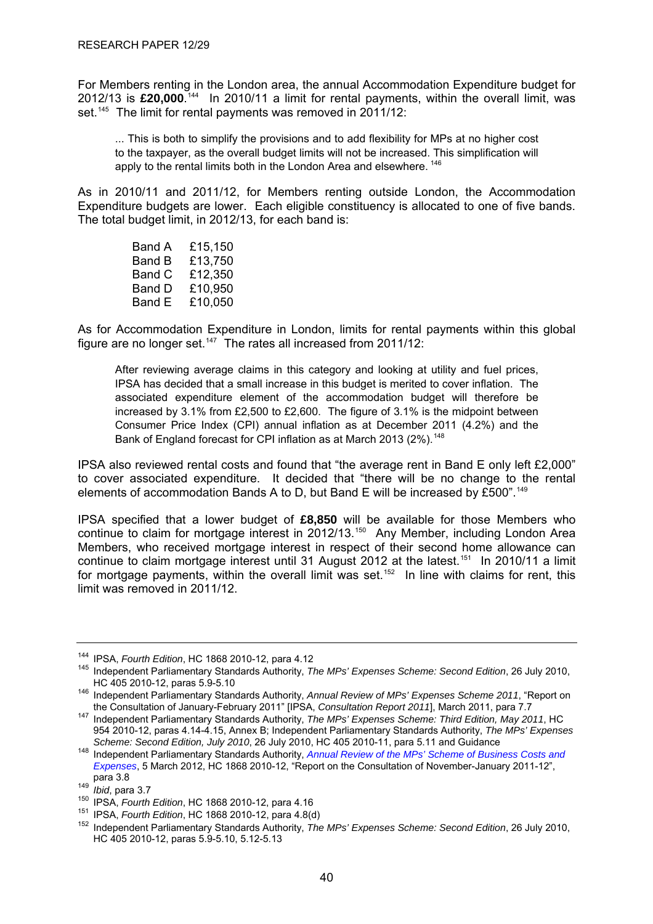<span id="page-44-0"></span>For Members renting in the London area, the annual Accommodation Expenditure budget for 2012/13 is **£20,000**. [144](#page-44-0) In 2010/11 a limit for rental payments, within the overall limit, was set.<sup>[145](#page-44-0)</sup> The limit for rental payments was removed in 2011/12:

... This is both to simplify the provisions and to add flexibility for MPs at no higher cost to the taxpayer, as the overall budget limits will not be increased. This simplification will apply to the rental limits both in the London Area and elsewhere.<sup>[146](#page-44-0)</sup>

As in 2010/11 and 2011/12, for Members renting outside London, the Accommodation Expenditure budgets are lower. Each eligible constituency is allocated to one of five bands. The total budget limit, in 2012/13, for each band is:

> Band A £15,150 Band B £13,750 Band C £12,350 Band D £10,950 Band E £10,050

As for Accommodation Expenditure in London, limits for rental payments within this global figure are no longer set.<sup>[147](#page-44-0)</sup> The rates all increased from 2011/12:

After reviewing average claims in this category and looking at utility and fuel prices, IPSA has decided that a small increase in this budget is merited to cover inflation. The associated expenditure element of the accommodation budget will therefore be increased by 3.1% from £2,500 to £2,600. The figure of 3.1% is the midpoint between Consumer Price Index (CPI) annual inflation as at December 2011 (4.2%) and the Bank of England forecast for CPI inflation as at March 2013 (2%).<sup>[148](#page-44-0)</sup>

IPSA also reviewed rental costs and found that "the average rent in Band E only left £2,000" to cover associated expenditure. It decided that "there will be no change to the rental elements of accommodation Bands A to D, but Band E will be increased by £500".<sup>[149](#page-44-0)</sup>

IPSA specified that a lower budget of **£8,850** will be available for those Members who continue to claim for mortgage interest in 2012/13.<sup>[150](#page-44-0)</sup> Any Member, including London Area Members, who received mortgage interest in respect of their second home allowance can continue to claim mortgage interest until 31 August 2012 at the latest.<sup>[151](#page-44-0)</sup> In 2010/11 a limit for mortgage payments, within the overall limit was set.<sup>[152](#page-44-0)</sup> In line with claims for rent, this limit was removed in 2011/12.

<sup>&</sup>lt;sup>144</sup> IPSA, *Fourth Edition*, HC 1868 2010-12, para 4.12<br><sup>145</sup> Independent Parliamentary Standards Authority, *The MPs' Expenses Scheme: Second Edition*, 26 July 2010,

HC 405 2010-12, paras 5.9-5.10<br><sup>146</sup> Independent Parliamentary Standards Authority, *Annual Review of MPs' Expenses Scheme 2011*, "Report on<br>the Consultation of January-February 2011" [IPSA, *Consultation Report 2011*], Ma

the Consultation of January February 2011 [IPSA, *Consultation Report 2011*, *Independent Parliamentary Standards Authority, The MPs' Expenses Scheme: Third Edition, May 2011*, HC 954 2010-12, paras 4.14-4.15, Annex B; Independent Parliamentary Standards Authority, *The MPs' Expenses* 

<sup>&</sup>lt;sup>148</sup> Independent Parliamentary Standards Authority, Annual Review of the MPs' Scheme of Business Costs and *[Expenses](http://www.parliamentarystandards.org.uk/transparency/Our%20consultations/2012%20Annual%20Review%20of%20the%20MPs%27%20Scheme%20of%20Business%20Costs%20and%20Expenses.pdf)*, 5 March 2012, HC 1868 2010-12, "Report on the Consultation of November-January 2011-12",

<sup>149</sup> Ibid, para 3.7<br>
150 IPSA, *Fourth Edition*, HC 1868 2010-12, para 4.16<br>
151 IPSA, *Fourth Edition*, HC 1868 2010-12, para 4.8(d)<br>
152 Independent Parliamentary Standards Authority, *The MPs' Expenses Scheme: Second Edi* HC 405 2010-12, paras 5.9-5.10, 5.12-5.13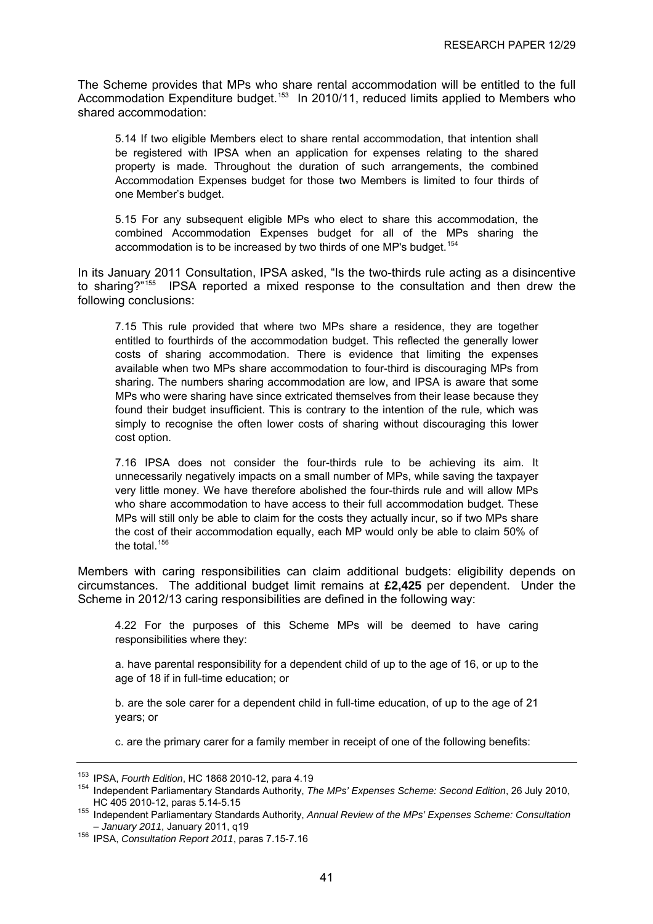<span id="page-45-0"></span>The Scheme provides that MPs who share rental accommodation will be entitled to the full Accommodation Expenditure budget.<sup>[153](#page-45-0)</sup> In 2010/11, reduced limits applied to Members who shared accommodation:

5.14 If two eligible Members elect to share rental accommodation, that intention shall be registered with IPSA when an application for expenses relating to the shared property is made. Throughout the duration of such arrangements, the combined Accommodation Expenses budget for those two Members is limited to four thirds of one Member's budget.

5.15 For any subsequent eligible MPs who elect to share this accommodation, the combined Accommodation Expenses budget for all of the MPs sharing the accommodation is to be increased by two thirds of one MP's budget.<sup>[154](#page-45-0)</sup>

In its January 2011 Consultation, IPSA asked, "Is the two-thirds rule acting as a disincentive to sharing?"<sup>[155](#page-45-0)</sup> IPSA reported a mixed response to the consultation and then drew the following conclusions:

7.15 This rule provided that where two MPs share a residence, they are together entitled to fourthirds of the accommodation budget. This reflected the generally lower costs of sharing accommodation. There is evidence that limiting the expenses available when two MPs share accommodation to four-third is discouraging MPs from sharing. The numbers sharing accommodation are low, and IPSA is aware that some MPs who were sharing have since extricated themselves from their lease because they found their budget insufficient. This is contrary to the intention of the rule, which was simply to recognise the often lower costs of sharing without discouraging this lower cost option.

7.16 IPSA does not consider the four-thirds rule to be achieving its aim. It unnecessarily negatively impacts on a small number of MPs, while saving the taxpayer very little money. We have therefore abolished the four-thirds rule and will allow MPs who share accommodation to have access to their full accommodation budget. These MPs will still only be able to claim for the costs they actually incur, so if two MPs share the cost of their accommodation equally, each MP would only be able to claim 50% of the total. $156$ 

Members with caring responsibilities can claim additional budgets: eligibility depends on circumstances. The additional budget limit remains at **£2,425** per dependent. Under the Scheme in 2012/13 caring responsibilities are defined in the following way:

4.22 For the purposes of this Scheme MPs will be deemed to have caring responsibilities where they:

a. have parental responsibility for a dependent child of up to the age of 16, or up to the age of 18 if in full-time education; or

b. are the sole carer for a dependent child in full-time education, of up to the age of 21 years; or

c. are the primary carer for a family member in receipt of one of the following benefits:

<sup>&</sup>lt;sup>153</sup> IPSA, *Fourth Edition*, HC 1868 2010-12, para 4.19<br><sup>154</sup> Independent Parliamentary Standards Authority, *The MPs' Expenses Scheme: Second Edition*, 26 July 2010, HC 405 2010-12, paras 5.14-5.15

<sup>155</sup> Independent Parliamentary Standards Authority, *Annual Review of the MPs' Expenses Scheme: Consultation* 

<sup>&</sup>lt;sup>156</sup> IPSA, *Consultation Report 2011*, paras 7.15-7.16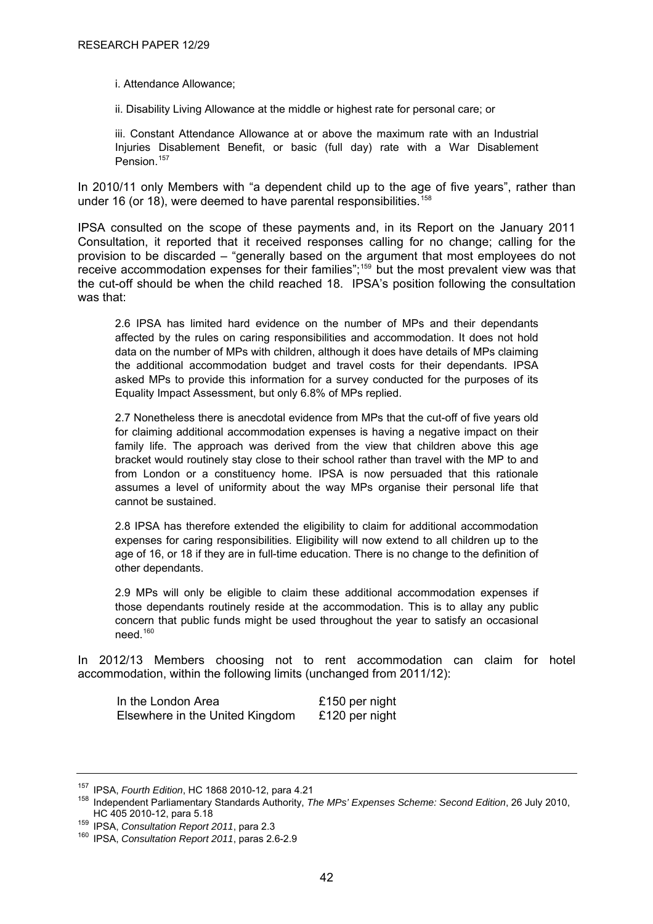- <span id="page-46-0"></span>i. Attendance Allowance;
- ii. Disability Living Allowance at the middle or highest rate for personal care; or

iii. Constant Attendance Allowance at or above the maximum rate with an Industrial Injuries Disablement Benefit, or basic (full day) rate with a War Disablement Pension.<sup>[157](#page-46-0)</sup>

In 2010/11 only Members with "a dependent child up to the age of five years", rather than under 16 (or 18), were deemed to have parental responsibilities.<sup>[158](#page-46-0)</sup>

IPSA consulted on the scope of these payments and, in its Report on the January 2011 Consultation, it reported that it received responses calling for no change; calling for the provision to be discarded – "generally based on the argument that most employees do not receive accommodation expenses for their families";[159](#page-46-0) but the most prevalent view was that the cut-off should be when the child reached 18. IPSA's position following the consultation was that:

2.6 IPSA has limited hard evidence on the number of MPs and their dependants affected by the rules on caring responsibilities and accommodation. It does not hold data on the number of MPs with children, although it does have details of MPs claiming the additional accommodation budget and travel costs for their dependants. IPSA asked MPs to provide this information for a survey conducted for the purposes of its Equality Impact Assessment, but only 6.8% of MPs replied.

2.7 Nonetheless there is anecdotal evidence from MPs that the cut-off of five years old for claiming additional accommodation expenses is having a negative impact on their family life. The approach was derived from the view that children above this age bracket would routinely stay close to their school rather than travel with the MP to and from London or a constituency home. IPSA is now persuaded that this rationale assumes a level of uniformity about the way MPs organise their personal life that cannot be sustained.

2.8 IPSA has therefore extended the eligibility to claim for additional accommodation expenses for caring responsibilities. Eligibility will now extend to all children up to the age of 16, or 18 if they are in full-time education. There is no change to the definition of other dependants.

2.9 MPs will only be eligible to claim these additional accommodation expenses if those dependants routinely reside at the accommodation. This is to allay any public concern that public funds might be used throughout the year to satisfy an occasional need.[160](#page-46-0)

In 2012/13 Members choosing not to rent accommodation can claim for hotel accommodation, within the following limits (unchanged from 2011/12):

| In the London Area              | £150 per night |
|---------------------------------|----------------|
| Elsewhere in the United Kingdom | £120 per night |

<sup>&</sup>lt;sup>157</sup> IPSA, *Fourth Edition*, HC 1868 2010-12, para 4.21<br><sup>158</sup> Independent Parliamentary Standards Authority, *The MPs' Expenses Scheme: Second Edition*, 26 July 2010,<br>HC 405 2010-12, para 5.18

<sup>&</sup>lt;sup>159</sup> IPSA, *Consultation Report 2011*, para 2.3<br><sup>160</sup> IPSA, *Consultation Report 2011*, paras 2.6-2.9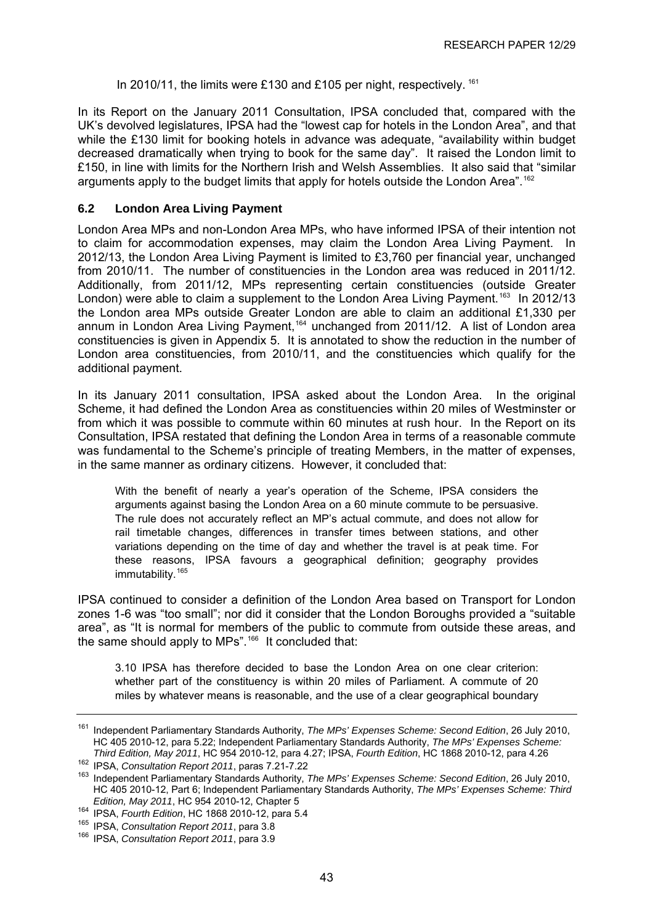In 2010/11, the limits were £130 and £105 per night, respectively. <sup>[161](#page-47-0)</sup>

<span id="page-47-0"></span>In its Report on the January 2011 Consultation, IPSA concluded that, compared with the UK's devolved legislatures, IPSA had the "lowest cap for hotels in the London Area", and that while the £130 limit for booking hotels in advance was adequate, "availability within budget decreased dramatically when trying to book for the same day". It raised the London limit to £150, in line with limits for the Northern Irish and Welsh Assemblies. It also said that "similar arguments apply to the budget limits that apply for hotels outside the London Area".<sup>[162](#page-47-0)</sup>

#### **6.2 London Area Living Payment**

London Area MPs and non-London Area MPs, who have informed IPSA of their intention not to claim for accommodation expenses, may claim the London Area Living Payment. In 2012/13, the London Area Living Payment is limited to £3,760 per financial year, unchanged from 2010/11. The number of constituencies in the London area was reduced in 2011/12. Additionally, from 2011/12, MPs representing certain constituencies (outside Greater London) were able to claim a supplement to the London Area Living Payment.<sup>[163](#page-47-0)</sup> In 2012/13 the London area MPs outside Greater London are able to claim an additional £1,330 per annum in London Area Living Payment,<sup>[164](#page-47-0)</sup> unchanged from 2011/12. A list of London area constituencies is given in Appendix 5. It is annotated to show the reduction in the number of London area constituencies, from 2010/11, and the constituencies which qualify for the additional payment.

In its January 2011 consultation, IPSA asked about the London Area. In the original Scheme, it had defined the London Area as constituencies within 20 miles of Westminster or from which it was possible to commute within 60 minutes at rush hour. In the Report on its Consultation, IPSA restated that defining the London Area in terms of a reasonable commute was fundamental to the Scheme's principle of treating Members, in the matter of expenses, in the same manner as ordinary citizens. However, it concluded that:

With the benefit of nearly a year's operation of the Scheme, IPSA considers the arguments against basing the London Area on a 60 minute commute to be persuasive. The rule does not accurately reflect an MP's actual commute, and does not allow for rail timetable changes, differences in transfer times between stations, and other variations depending on the time of day and whether the travel is at peak time. For these reasons, IPSA favours a geographical definition; geography provides immutability.<sup>[165](#page-47-0)</sup>

IPSA continued to consider a definition of the London Area based on Transport for London zones 1-6 was "too small"; nor did it consider that the London Boroughs provided a "suitable area", as "It is normal for members of the public to commute from outside these areas, and the same should apply to MPs".<sup>[166](#page-47-0)</sup> It concluded that:

3.10 IPSA has therefore decided to base the London Area on one clear criterion: whether part of the constituency is within 20 miles of Parliament. A commute of 20 miles by whatever means is reasonable, and the use of a clear geographical boundary

<sup>161</sup> Independent Parliamentary Standards Authority, *The MPs' Expenses Scheme: Second Edition*, 26 July 2010, HC 405 2010-12, para 5.22; Independent Parliamentary Standards Authority, *The MPs' Expenses Scheme:* 

<sup>162</sup> IPSA, Consultation Report 2011, paras 7.21-7.22<br><sup>163</sup> Independent Parliamentary Standards Authority, The MPs' Expenses Scheme: Second Edition, 26 July 2010, HC 405 2010-12, Part 6; Independent Parliamentary Standards Authority, *The MPs' Expenses Scheme: Third* 

<sup>&</sup>lt;sup>164</sup> IPSA, *Fourth Edition*, HC 1868 2010-12, para 5.4<br><sup>165</sup> IPSA, *Consultation Report 2011*, para 3.8<br><sup>166</sup> IPSA, *Consultation Report 2011*, para 3.9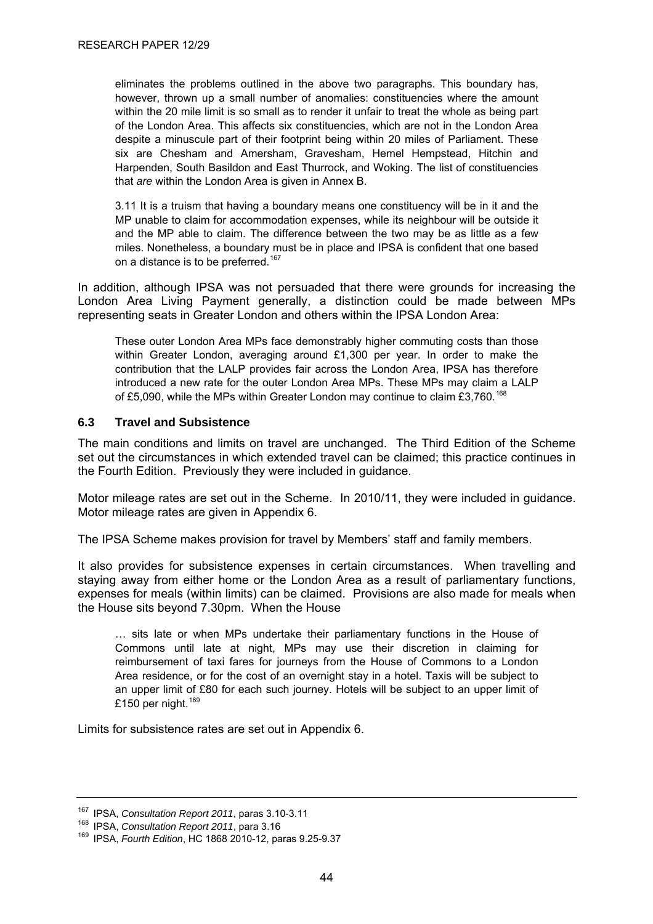<span id="page-48-0"></span>eliminates the problems outlined in the above two paragraphs. This boundary has, however, thrown up a small number of anomalies: constituencies where the amount within the 20 mile limit is so small as to render it unfair to treat the whole as being part of the London Area. This affects six constituencies, which are not in the London Area despite a minuscule part of their footprint being within 20 miles of Parliament. These six are Chesham and Amersham, Gravesham, Hemel Hempstead, Hitchin and Harpenden, South Basildon and East Thurrock, and Woking. The list of constituencies that *are* within the London Area is given in Annex B.

3.11 It is a truism that having a boundary means one constituency will be in it and the MP unable to claim for accommodation expenses, while its neighbour will be outside it and the MP able to claim. The difference between the two may be as little as a few miles. Nonetheless, a boundary must be in place and IPSA is confident that one based on a distance is to be preferred.<sup>[167](#page-48-0)</sup>

In addition, although IPSA was not persuaded that there were grounds for increasing the London Area Living Payment generally, a distinction could be made between MPs representing seats in Greater London and others within the IPSA London Area:

These outer London Area MPs face demonstrably higher commuting costs than those within Greater London, averaging around £1,300 per year. In order to make the contribution that the LALP provides fair across the London Area, IPSA has therefore introduced a new rate for the outer London Area MPs. These MPs may claim a LALP of £5,090, while the MPs within Greater London may continue to claim £3,760.<sup>[168](#page-48-0)</sup>

#### **6.3 Travel and Subsistence**

The main conditions and limits on travel are unchanged. The Third Edition of the Scheme set out the circumstances in which extended travel can be claimed; this practice continues in the Fourth Edition. Previously they were included in guidance.

Motor mileage rates are set out in the Scheme. In 2010/11, they were included in guidance. Motor mileage rates are given in Appendix 6.

The IPSA Scheme makes provision for travel by Members' staff and family members.

It also provides for subsistence expenses in certain circumstances. When travelling and staying away from either home or the London Area as a result of parliamentary functions, expenses for meals (within limits) can be claimed. Provisions are also made for meals when the House sits beyond 7.30pm. When the House

… sits late or when MPs undertake their parliamentary functions in the House of Commons until late at night, MPs may use their discretion in claiming for reimbursement of taxi fares for journeys from the House of Commons to a London Area residence, or for the cost of an overnight stay in a hotel. Taxis will be subject to an upper limit of £80 for each such journey. Hotels will be subject to an upper limit of £150 per night. $169$ 

Limits for subsistence rates are set out in Appendix 6.

<sup>&</sup>lt;sup>167</sup> IPSA, *Consultation Report 2011*, paras 3.10-3.11<br><sup>168</sup> IPSA, *Consultation Report 2011*, para 3.16<br><sup>169</sup> IPSA, *Fourth Edition*, HC 1868 2010-12, paras 9.25-9.37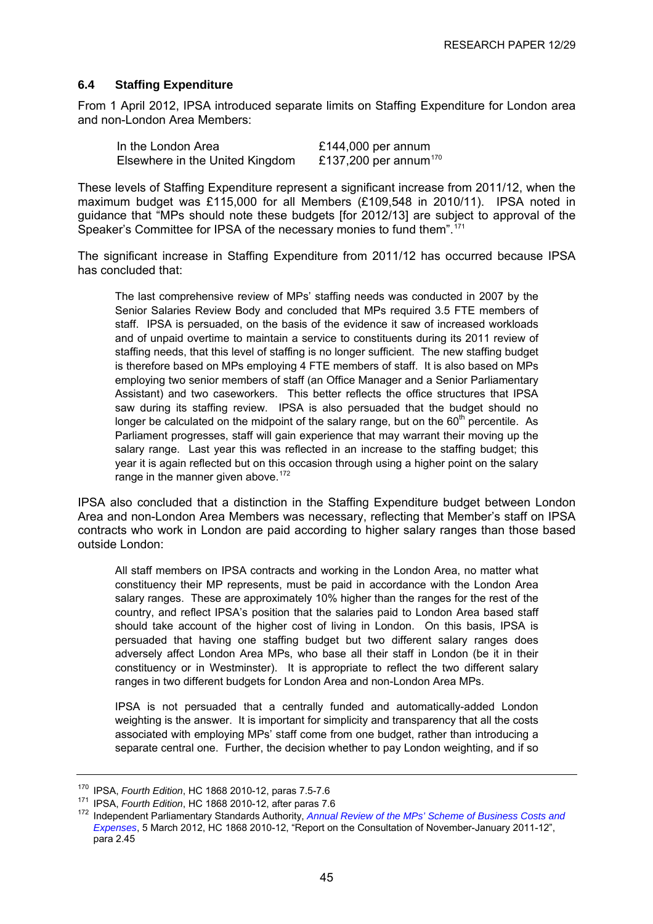#### <span id="page-49-0"></span>**6.4 Staffing Expenditure**

From 1 April 2012, IPSA introduced separate limits on Staffing Expenditure for London area and non-London Area Members:

In the London Area **E144,000** per annum<br>Elsewhere in the United Kingdom **E137.200** per annum<sup>170</sup> Elsewhere in the United Kingdom

These levels of Staffing Expenditure represent a significant increase from 2011/12, when the maximum budget was £115,000 for all Members (£109,548 in 2010/11). IPSA noted in guidance that "MPs should note these budgets [for 2012/13] are subject to approval of the Speaker's Committee for IPSA of the necessary monies to fund them".<sup>[171](#page-49-0)</sup>

The significant increase in Staffing Expenditure from 2011/12 has occurred because IPSA has concluded that:

The last comprehensive review of MPs' staffing needs was conducted in 2007 by the Senior Salaries Review Body and concluded that MPs required 3.5 FTE members of staff. IPSA is persuaded, on the basis of the evidence it saw of increased workloads and of unpaid overtime to maintain a service to constituents during its 2011 review of staffing needs, that this level of staffing is no longer sufficient. The new staffing budget is therefore based on MPs employing 4 FTE members of staff. It is also based on MPs employing two senior members of staff (an Office Manager and a Senior Parliamentary Assistant) and two caseworkers. This better reflects the office structures that IPSA saw during its staffing review. IPSA is also persuaded that the budget should no longer be calculated on the midpoint of the salary range, but on the  $60<sup>th</sup>$  percentile. As Parliament progresses, staff will gain experience that may warrant their moving up the salary range. Last year this was reflected in an increase to the staffing budget; this year it is again reflected but on this occasion through using a higher point on the salary range in the manner given above.  $172$ 

IPSA also concluded that a distinction in the Staffing Expenditure budget between London Area and non-London Area Members was necessary, reflecting that Member's staff on IPSA contracts who work in London are paid according to higher salary ranges than those based outside London:

All staff members on IPSA contracts and working in the London Area, no matter what constituency their MP represents, must be paid in accordance with the London Area salary ranges. These are approximately 10% higher than the ranges for the rest of the country, and reflect IPSA's position that the salaries paid to London Area based staff should take account of the higher cost of living in London. On this basis, IPSA is persuaded that having one staffing budget but two different salary ranges does adversely affect London Area MPs, who base all their staff in London (be it in their constituency or in Westminster). It is appropriate to reflect the two different salary ranges in two different budgets for London Area and non-London Area MPs.

IPSA is not persuaded that a centrally funded and automatically-added London weighting is the answer. It is important for simplicity and transparency that all the costs associated with employing MPs' staff come from one budget, rather than introducing a separate central one. Further, the decision whether to pay London weighting, and if so

<sup>&</sup>lt;sup>170</sup> IPSA, *Fourth Edition*, HC 1868 2010-12, paras 7.5-7.6<br><sup>171</sup> IPSA, *Fourth Edition*, HC 1868 2010-12, after paras 7.6<br><sup>172</sup> Independent Parliamentary Standards Authority, *Annual Review of the MPs' Scheme of Business [Expenses](http://www.parliamentarystandards.org.uk/transparency/Our%20consultations/2012%20Annual%20Review%20of%20the%20MPs%27%20Scheme%20of%20Business%20Costs%20and%20Expenses.pdf)*, 5 March 2012, HC 1868 2010-12, "Report on the Consultation of November-January 2011-12", para 2.45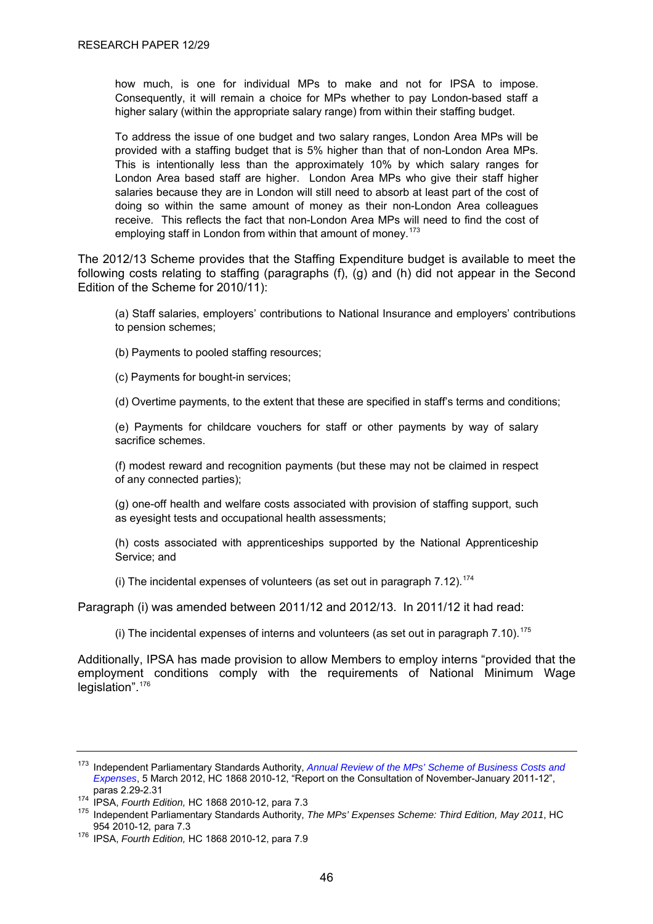<span id="page-50-0"></span>how much, is one for individual MPs to make and not for IPSA to impose. Consequently, it will remain a choice for MPs whether to pay London-based staff a higher salary (within the appropriate salary range) from within their staffing budget.

To address the issue of one budget and two salary ranges, London Area MPs will be provided with a staffing budget that is 5% higher than that of non-London Area MPs. This is intentionally less than the approximately 10% by which salary ranges for London Area based staff are higher. London Area MPs who give their staff higher salaries because they are in London will still need to absorb at least part of the cost of doing so within the same amount of money as their non-London Area colleagues receive. This reflects the fact that non-London Area MPs will need to find the cost of employing staff in London from within that amount of monev.<sup>[173](#page-50-0)</sup>

The 2012/13 Scheme provides that the Staffing Expenditure budget is available to meet the following costs relating to staffing (paragraphs (f), (g) and (h) did not appear in the Second Edition of the Scheme for 2010/11):

(a) Staff salaries, employers' contributions to National Insurance and employers' contributions to pension schemes;

(b) Payments to pooled staffing resources;

(c) Payments for bought-in services;

(d) Overtime payments, to the extent that these are specified in staff's terms and conditions;

(e) Payments for childcare vouchers for staff or other payments by way of salary sacrifice schemes.

(f) modest reward and recognition payments (but these may not be claimed in respect of any connected parties);

(g) one-off health and welfare costs associated with provision of staffing support, such as eyesight tests and occupational health assessments;

(h) costs associated with apprenticeships supported by the National Apprenticeship Service; and

(i) The incidental expenses of volunteers (as set out in paragraph  $7.12$ ).<sup>[174](#page-50-0)</sup>

Paragraph (i) was amended between 2011/12 and 2012/13. In 2011/12 it had read:

(i) The incidental expenses of interns and volunteers (as set out in paragraph  $7.10$ ).<sup>[175](#page-50-0)</sup>

Additionally, IPSA has made provision to allow Members to employ interns "provided that the employment conditions comply with the requirements of National Minimum Wage legislation".<sup>[176](#page-50-0)</sup>

<sup>173</sup> Independent Parliamentary Standards Authority, *[Annual Review of the MPs' Scheme of Business Costs and](http://www.parliamentarystandards.org.uk/transparency/Our%20consultations/2012%20Annual%20Review%20of%20the%20MPs%27%20Scheme%20of%20Business%20Costs%20and%20Expenses.pdf)  [Expenses](http://www.parliamentarystandards.org.uk/transparency/Our%20consultations/2012%20Annual%20Review%20of%20the%20MPs%27%20Scheme%20of%20Business%20Costs%20and%20Expenses.pdf)*, 5 March 2012, HC 1868 2010-12, "Report on the Consultation of November-January 2011-12",

paras 2.29-2.31<br><sup>174</sup> IPSA, *Fourth Edition*, HC 1868 2010-12, para 7.3<br><sup>175</sup> Independent Parliamentary Standards Authority, *The MPs' Expenses Scheme: Third Edition, May 2011*, HC<br>954 2010-12, para 7.3

<sup>954 2010-12</sup>*,* para 7.3 176 IPSA, *Fourth Edition,* HC 1868 2010-12, para 7.9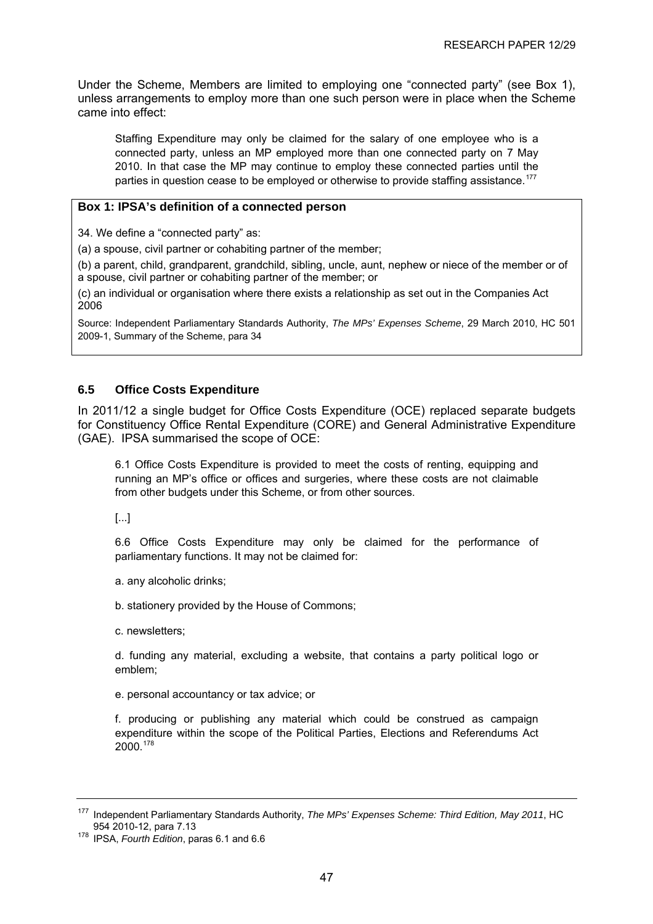<span id="page-51-0"></span>Under the Scheme, Members are limited to employing one "connected party" (see Box 1), unless arrangements to employ more than one such person were in place when the Scheme came into effect:

Staffing Expenditure may only be claimed for the salary of one employee who is a connected party, unless an MP employed more than one connected party on 7 May 2010. In that case the MP may continue to employ these connected parties until the parties in question cease to be employed or otherwise to provide staffing assistance.<sup>[177](#page-51-0)</sup>

#### **Box 1: IPSA's definition of a connected person**

34. We define a "connected party" as:

(a) a spouse, civil partner or cohabiting partner of the member;

(b) a parent, child, grandparent, grandchild, sibling, uncle, aunt, nephew or niece of the member or of a spouse, civil partner or cohabiting partner of the member; or

(c) an individual or organisation where there exists a relationship as set out in the Companies Act 2006

Source: Independent Parliamentary Standards Authority, *The MPs' Expenses Scheme*, 29 March 2010, HC 501 2009-1, Summary of the Scheme, para 34

#### **6.5 Office Costs Expenditure**

In 2011/12 a single budget for Office Costs Expenditure (OCE) replaced separate budgets for Constituency Office Rental Expenditure (CORE) and General Administrative Expenditure (GAE). IPSA summarised the scope of OCE:

6.1 Office Costs Expenditure is provided to meet the costs of renting, equipping and running an MP's office or offices and surgeries, where these costs are not claimable from other budgets under this Scheme, or from other sources.

[...]

6.6 Office Costs Expenditure may only be claimed for the performance of parliamentary functions. It may not be claimed for:

a. any alcoholic drinks;

b. stationery provided by the House of Commons;

c. newsletters;

d. funding any material, excluding a website, that contains a party political logo or emblem;

e. personal accountancy or tax advice; or

f. producing or publishing any material which could be construed as campaign expenditure within the scope of the Political Parties, Elections and Referendums Act 2000.[178](#page-51-0)

<sup>177</sup> Independent Parliamentary Standards Authority, *The MPs' Expenses Scheme: Third Edition, May 2011*, HC

<sup>&</sup>lt;sup>178</sup> IPSA. Fourth Edition, paras 6.1 and 6.6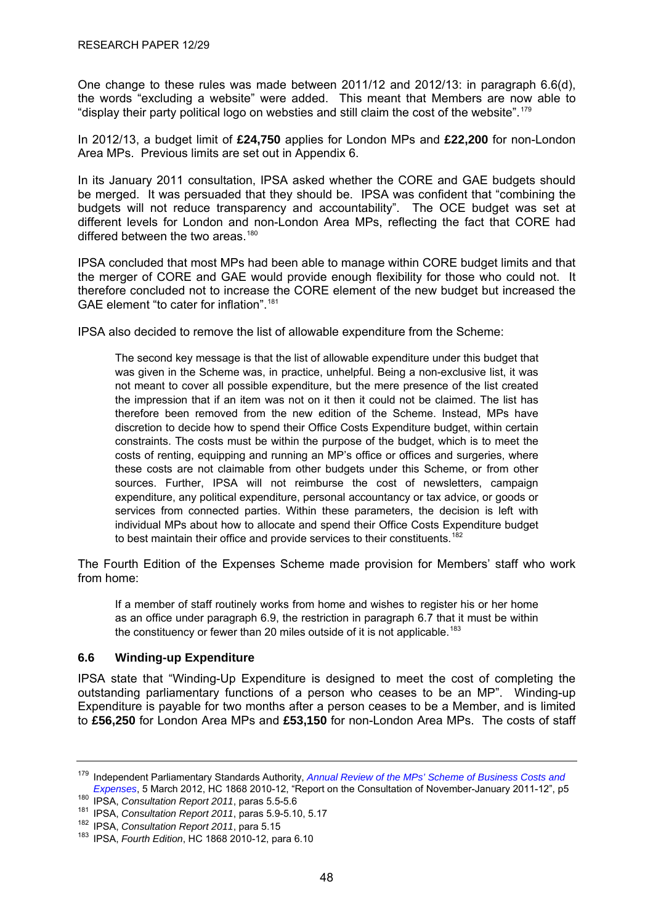<span id="page-52-0"></span>One change to these rules was made between 2011/12 and 2012/13: in paragraph 6.6(d), the words "excluding a website" were added. This meant that Members are now able to "display their party political logo on websties and still claim the cost of the website".<sup>[179](#page-52-0)</sup>

In 2012/13, a budget limit of **£24,750** applies for London MPs and **£22,200** for non-London Area MPs. Previous limits are set out in Appendix 6.

In its January 2011 consultation, IPSA asked whether the CORE and GAE budgets should be merged. It was persuaded that they should be. IPSA was confident that "combining the budgets will not reduce transparency and accountability". The OCE budget was set at different levels for London and non-London Area MPs, reflecting the fact that CORE had differed between the two areas.<sup>[180](#page-52-0)</sup>

IPSA concluded that most MPs had been able to manage within CORE budget limits and that the merger of CORE and GAE would provide enough flexibility for those who could not. It therefore concluded not to increase the CORE element of the new budget but increased the GAE element "to cater for inflation".<sup>[181](#page-52-0)</sup>

IPSA also decided to remove the list of allowable expenditure from the Scheme:

The second key message is that the list of allowable expenditure under this budget that was given in the Scheme was, in practice, unhelpful. Being a non-exclusive list, it was not meant to cover all possible expenditure, but the mere presence of the list created the impression that if an item was not on it then it could not be claimed. The list has therefore been removed from the new edition of the Scheme. Instead, MPs have discretion to decide how to spend their Office Costs Expenditure budget, within certain constraints. The costs must be within the purpose of the budget, which is to meet the costs of renting, equipping and running an MP's office or offices and surgeries, where these costs are not claimable from other budgets under this Scheme, or from other sources. Further, IPSA will not reimburse the cost of newsletters, campaign expenditure, any political expenditure, personal accountancy or tax advice, or goods or services from connected parties. Within these parameters, the decision is left with individual MPs about how to allocate and spend their Office Costs Expenditure budget to best maintain their office and provide services to their constituents.<sup>[182](#page-52-0)</sup>

The Fourth Edition of the Expenses Scheme made provision for Members' staff who work from home:

If a member of staff routinely works from home and wishes to register his or her home as an office under paragraph 6.9, the restriction in paragraph 6.7 that it must be within the constituency or fewer than 20 miles outside of it is not applicable.<sup>[183](#page-52-0)</sup>

#### **6.6 Winding-up Expenditure**

IPSA state that "Winding-Up Expenditure is designed to meet the cost of completing the outstanding parliamentary functions of a person who ceases to be an MP". Winding-up Expenditure is payable for two months after a person ceases to be a Member, and is limited to **£56,250** for London Area MPs and **£53,150** for non-London Area MPs. The costs of staff

<sup>179</sup> Independent Parliamentary Standards Authority, *[Annual Review of the MPs' Scheme of Business Costs and](http://www.parliamentarystandards.org.uk/transparency/Our%20consultations/2012%20Annual%20Review%20of%20the%20MPs%27%20Scheme%20of%20Business%20Costs%20and%20Expenses.pdf)*  Expenses[,](http://www.parliamentarystandards.org.uk/transparency/Our%20consultations/2012%20Annual%20Review%20of%20the%20MPs%27%20Scheme%20of%20Business%20Costs%20and%20Expenses.pdf) 5 March 2012, HC 1868 2010-12, "Report on the Consultation of November-January 2011-12", p5<br>
<sup>180</sup> IPSA, Consultation Report 2011, paras 5.5-5.6<br>
<sup>181</sup> IPSA, Consultation Report 2011, paras 5.9-5.10, 5.17<br>
<sup>182</sup>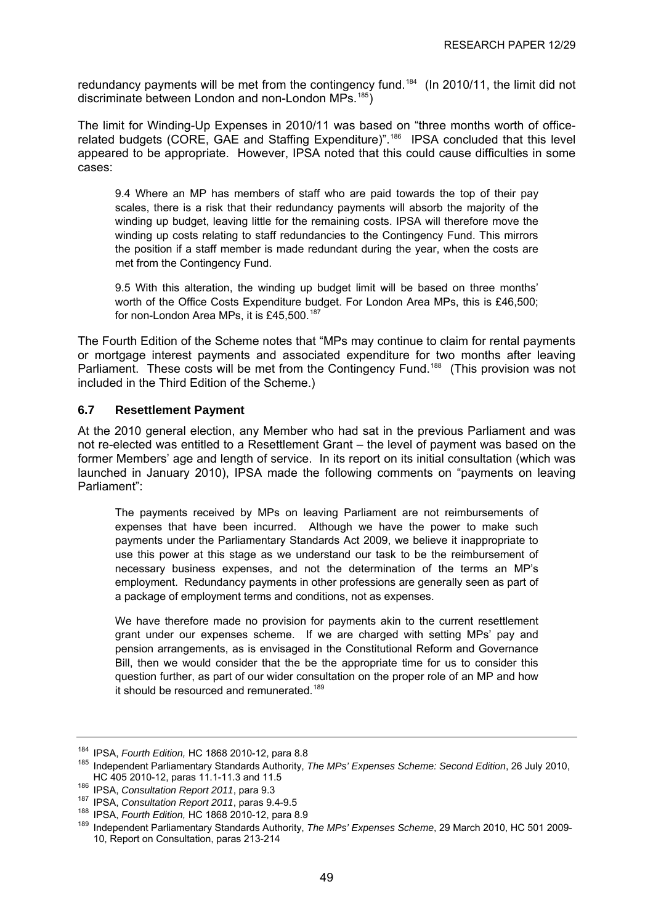<span id="page-53-0"></span>redundancy payments will be met from the contingency fund.<sup>[184](#page-53-0)</sup> (In 2010/11, the limit did not discriminate between London and non-London MPs.<sup>[185](#page-53-0)</sup>)

The limit for Winding-Up Expenses in 2010/11 was based on "three months worth of office-related budgets (CORE, GAE and Staffing Expenditure)".<sup>[186](#page-53-0)</sup> IPSA concluded that this level appeared to be appropriate. However, IPSA noted that this could cause difficulties in some cases:

9.4 Where an MP has members of staff who are paid towards the top of their pay scales, there is a risk that their redundancy payments will absorb the majority of the winding up budget, leaving little for the remaining costs. IPSA will therefore move the winding up costs relating to staff redundancies to the Contingency Fund. This mirrors the position if a staff member is made redundant during the year, when the costs are met from the Contingency Fund.

9.5 With this alteration, the winding up budget limit will be based on three months' worth of the Office Costs Expenditure budget. For London Area MPs, this is £46,500; for non-London Area MPs, it is £45,500.<sup>[187](#page-53-0)</sup>

The Fourth Edition of the Scheme notes that "MPs may continue to claim for rental payments or mortgage interest payments and associated expenditure for two months after leaving Parliament. These costs will be met from the Contingency Fund.<sup>[188](#page-53-0)</sup> (This provision was not included in the Third Edition of the Scheme.)

#### **6.7 Resettlement Payment**

At the 2010 general election, any Member who had sat in the previous Parliament and was not re-elected was entitled to a Resettlement Grant – the level of payment was based on the former Members' age and length of service. In its report on its initial consultation (which was launched in January 2010), IPSA made the following comments on "payments on leaving Parliament":

The payments received by MPs on leaving Parliament are not reimbursements of expenses that have been incurred. Although we have the power to make such payments under the Parliamentary Standards Act 2009, we believe it inappropriate to use this power at this stage as we understand our task to be the reimbursement of necessary business expenses, and not the determination of the terms an MP's employment. Redundancy payments in other professions are generally seen as part of a package of employment terms and conditions, not as expenses.

We have therefore made no provision for payments akin to the current resettlement grant under our expenses scheme. If we are charged with setting MPs' pay and pension arrangements, as is envisaged in the Constitutional Reform and Governance Bill, then we would consider that the be the appropriate time for us to consider this question further, as part of our wider consultation on the proper role of an MP and how it should be resourced and remunerated.<sup>[189](#page-53-0)</sup>

<sup>&</sup>lt;sup>184</sup> IPSA, *Fourth Edition,* HC 1868 2010-12, para 8.8<br><sup>185</sup> Independent Parliamentary Standards Authority, *The MPs' Expenses Scheme: Second Edition*, 26 July 2010,<br>HC 405 2010-12, paras 11.1-11.3 and 11.5

<sup>&</sup>lt;sup>186</sup> IPSA, Consultation Report 2011, para 9.3<br><sup>187</sup> IPSA, Consultation Report 2011, paras 9.4-9.5<br><sup>188</sup> IPSA, *Fourth Edition*, HC 1868 2010-12, para 8.9<br><sup>189</sup> Independent Parliamentary Standards Authority, *The MPs' Expe* 10, Report on Consultation, paras 213-214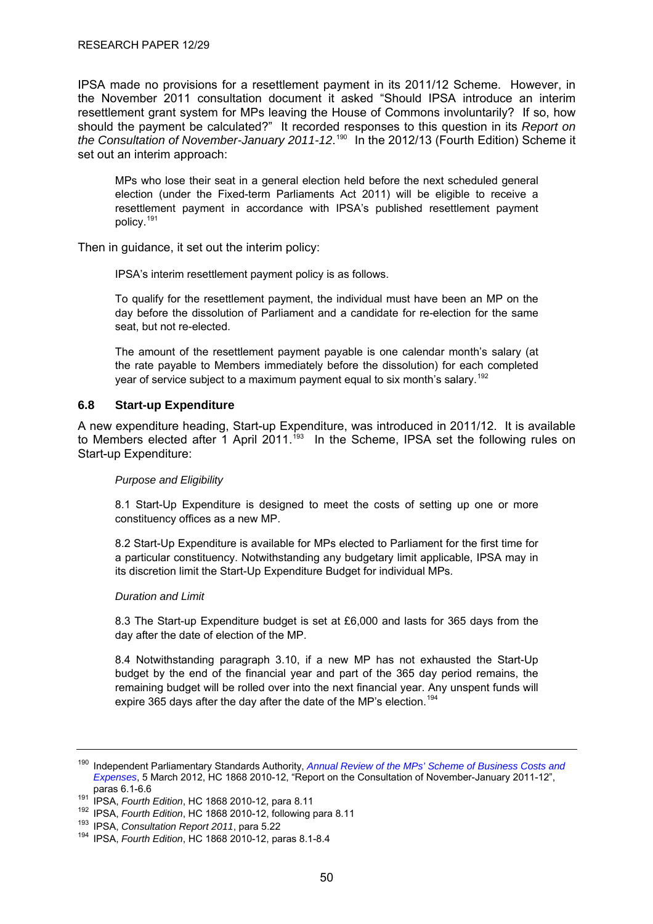<span id="page-54-0"></span>IPSA made no provisions for a resettlement payment in its 2011/12 Scheme. However, in the November 2011 consultation document it asked "Should IPSA introduce an interim resettlement grant system for MPs leaving the House of Commons involuntarily? If so, how should the payment be calculated?" It recorded responses to this question in its *Report on*  the Consultation of November-January 2011-12.<sup>[190](#page-54-0)</sup> In the 2012/13 (Fourth Edition) Scheme it set out an interim approach:

MPs who lose their seat in a general election held before the next scheduled general election (under the Fixed-term Parliaments Act 2011) will be eligible to receive a resettlement payment in accordance with IPSA's published resettlement payment policy.[191](#page-54-0)

Then in guidance, it set out the interim policy:

IPSA's interim resettlement payment policy is as follows.

To qualify for the resettlement payment, the individual must have been an MP on the day before the dissolution of Parliament and a candidate for re-election for the same seat, but not re-elected.

The amount of the resettlement payment payable is one calendar month's salary (at the rate payable to Members immediately before the dissolution) for each completed year of service subject to a maximum payment equal to six month's salary.<sup>[192](#page-54-0)</sup>

#### **6.8 Start-up Expenditure**

A new expenditure heading, Start-up Expenditure, was introduced in 2011/12. It is available to Members elected after 1 April 2011.<sup>[193](#page-54-0)</sup> In the Scheme, IPSA set the following rules on Start-up Expenditure:

#### *Purpose and Eligibility*

8.1 Start-Up Expenditure is designed to meet the costs of setting up one or more constituency offices as a new MP.

8.2 Start-Up Expenditure is available for MPs elected to Parliament for the first time for a particular constituency. Notwithstanding any budgetary limit applicable, IPSA may in its discretion limit the Start-Up Expenditure Budget for individual MPs.

#### *Duration and Limit*

8.3 The Start-up Expenditure budget is set at £6,000 and lasts for 365 days from the day after the date of election of the MP.

8.4 Notwithstanding paragraph 3.10, if a new MP has not exhausted the Start-Up budget by the end of the financial year and part of the 365 day period remains, the remaining budget will be rolled over into the next financial year. Any unspent funds will expire 365 days after the day after the date of the MP's election.<sup>[194](#page-54-0)</sup>

<sup>190</sup> Independent Parliamentary Standards Authority, *[Annual Review of the MPs' Scheme of Business Costs and](http://www.parliamentarystandards.org.uk/transparency/Our%20consultations/2012%20Annual%20Review%20of%20the%20MPs%27%20Scheme%20of%20Business%20Costs%20and%20Expenses.pdf)  [Expenses](http://www.parliamentarystandards.org.uk/transparency/Our%20consultations/2012%20Annual%20Review%20of%20the%20MPs%27%20Scheme%20of%20Business%20Costs%20and%20Expenses.pdf)*, 5 March 2012, HC 1868 2010-12, "Report on the Consultation of November-January 2011-12",

paras 6.1-6.6<br>
<sup>191</sup> IPSA, *Fourth Edition*, HC 1868 2010-12, para 8.11<br>
<sup>192</sup> IPSA, *Fourth Edition*, HC 1868 2010-12, following para 8.11<br>
<sup>193</sup> IPSA, *Consultation Report 2011*, para 5.22<br>
<sup>194</sup> IPSA, *Fourth Edition*,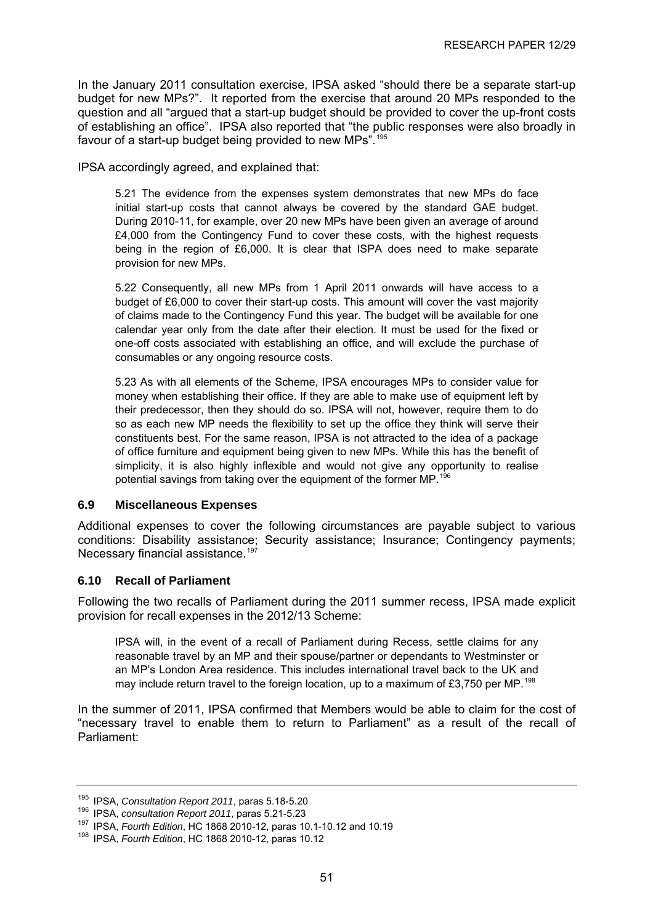<span id="page-55-0"></span>In the January 2011 consultation exercise, IPSA asked "should there be a separate start-up budget for new MPs?". It reported from the exercise that around 20 MPs responded to the question and all "argued that a start-up budget should be provided to cover the up-front costs of establishing an office". IPSA also reported that "the public responses were also broadly in favour of a start-up budget being provided to new MPs".<sup>[195](#page-55-0)</sup>

IPSA accordingly agreed, and explained that:

5.21 The evidence from the expenses system demonstrates that new MPs do face initial start-up costs that cannot always be covered by the standard GAE budget. During 2010-11, for example, over 20 new MPs have been given an average of around £4,000 from the Contingency Fund to cover these costs, with the highest requests being in the region of £6,000. It is clear that ISPA does need to make separate provision for new MPs.

5.22 Consequently, all new MPs from 1 April 2011 onwards will have access to a budget of £6,000 to cover their start-up costs. This amount will cover the vast majority of claims made to the Contingency Fund this year. The budget will be available for one calendar year only from the date after their election. It must be used for the fixed or one-off costs associated with establishing an office, and will exclude the purchase of consumables or any ongoing resource costs.

5.23 As with all elements of the Scheme, IPSA encourages MPs to consider value for money when establishing their office. If they are able to make use of equipment left by their predecessor, then they should do so. IPSA will not, however, require them to do so as each new MP needs the flexibility to set up the office they think will serve their constituents best. For the same reason, IPSA is not attracted to the idea of a package of office furniture and equipment being given to new MPs. While this has the benefit of simplicity, it is also highly inflexible and would not give any opportunity to realise potential savings from taking over the equipment of the former MP.[196](#page-55-0)

#### **6.9 Miscellaneous Expenses**

Additional expenses to cover the following circumstances are payable subject to various conditions: Disability assistance; Security assistance; Insurance; Contingency payments; Necessary financial assistance.<sup>[197](#page-55-0)</sup>

#### **6.10 Recall of Parliament**

Following the two recalls of Parliament during the 2011 summer recess, IPSA made explicit provision for recall expenses in the 2012/13 Scheme:

IPSA will, in the event of a recall of Parliament during Recess, settle claims for any reasonable travel by an MP and their spouse/partner or dependants to Westminster or an MP's London Area residence. This includes international travel back to the UK and may include return travel to the foreign location, up to a maximum of £3,750 per MP.<sup>[198](#page-55-0)</sup>

In the summer of 2011, IPSA confirmed that Members would be able to claim for the cost of "necessary travel to enable them to return to Parliament" as a result of the recall of Parliament:

<sup>&</sup>lt;sup>195</sup> IPSA, *Consultation Report 2011*, paras 5.18-5.20<br><sup>196</sup> IPSA, *consultation Report 2011*, paras 5.21-5.23<br><sup>197</sup> IPSA, *Fourth Edition*, HC 1868 2010-12, paras 10.1-10.12 and 10.19<br><sup>198</sup> IPSA, *Fourth Edition*, HC 18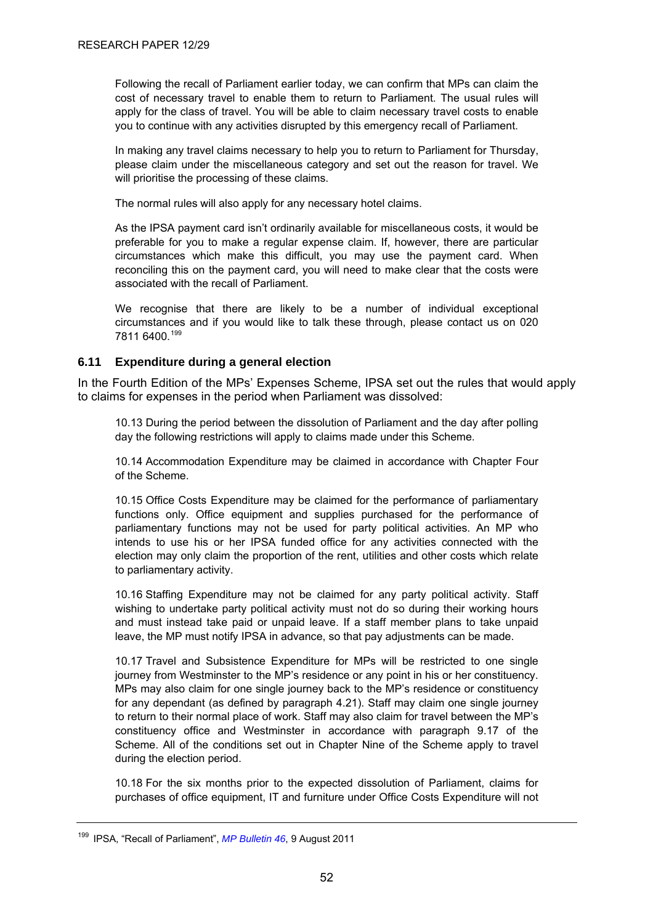<span id="page-56-0"></span>Following the recall of Parliament earlier today, we can confirm that MPs can claim the cost of necessary travel to enable them to return to Parliament. The usual rules will apply for the class of travel. You will be able to claim necessary travel costs to enable you to continue with any activities disrupted by this emergency recall of Parliament.

In making any travel claims necessary to help you to return to Parliament for Thursday, please claim under the miscellaneous category and set out the reason for travel. We will prioritise the processing of these claims.

The normal rules will also apply for any necessary hotel claims.

As the IPSA payment card isn't ordinarily available for miscellaneous costs, it would be preferable for you to make a regular expense claim. If, however, there are particular circumstances which make this difficult, you may use the payment card. When reconciling this on the payment card, you will need to make clear that the costs were associated with the recall of Parliament.

We recognise that there are likely to be a number of individual exceptional circumstances and if you would like to talk these through, please contact us on 020 7811 6400.[199](#page-56-0)

#### **6.11 Expenditure during a general election**

In the Fourth Edition of the MPs' Expenses Scheme, IPSA set out the rules that would apply to claims for expenses in the period when Parliament was dissolved:

10.13 During the period between the dissolution of Parliament and the day after polling day the following restrictions will apply to claims made under this Scheme.

10.14 Accommodation Expenditure may be claimed in accordance with Chapter Four of the Scheme.

10.15 Office Costs Expenditure may be claimed for the performance of parliamentary functions only. Office equipment and supplies purchased for the performance of parliamentary functions may not be used for party political activities. An MP who intends to use his or her IPSA funded office for any activities connected with the election may only claim the proportion of the rent, utilities and other costs which relate to parliamentary activity.

10.16 Staffing Expenditure may not be claimed for any party political activity. Staff wishing to undertake party political activity must not do so during their working hours and must instead take paid or unpaid leave. If a staff member plans to take unpaid leave, the MP must notify IPSA in advance, so that pay adjustments can be made.

10.17 Travel and Subsistence Expenditure for MPs will be restricted to one single journey from Westminster to the MP's residence or any point in his or her constituency. MPs may also claim for one single journey back to the MP's residence or constituency for any dependant (as defined by paragraph 4.21). Staff may claim one single journey to return to their normal place of work. Staff may also claim for travel between the MP's constituency office and Westminster in accordance with paragraph 9.17 of the Scheme. All of the conditions set out in Chapter Nine of the Scheme apply to travel during the election period.

10.18 For the six months prior to the expected dissolution of Parliament, claims for purchases of office equipment, IT and furniture under Office Costs Expenditure will not

<sup>199</sup> IPSA, "Recall of Parliament", *[MP Bulletin 46](http://parliamentarystandards.org.uk/IPSAMPs/MP%20Bulletins%20and%20other%20communications/MP%20Bulletins/IPSA%20MP%20Bulletin%2046%20090811.pdf)*, 9 August 2011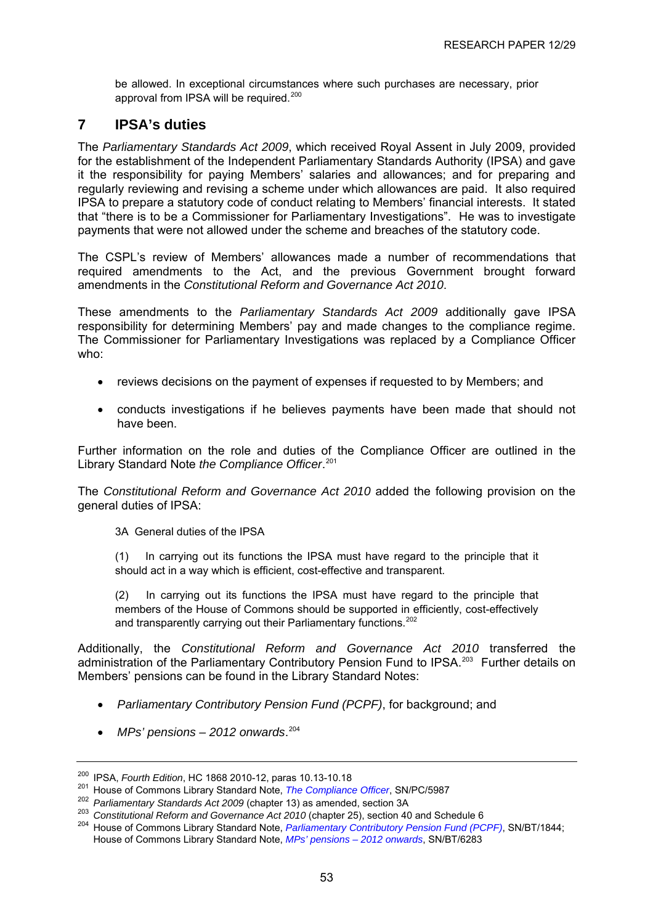<span id="page-57-0"></span>be allowed. In exceptional circumstances where such purchases are necessary, prior approval from IPSA will be required.<sup>[200](#page-57-0)</sup>

### **7 IPSA's duties**

The *Parliamentary Standards Act 2009*, which received Royal Assent in July 2009, provided for the establishment of the Independent Parliamentary Standards Authority (IPSA) and gave it the responsibility for paying Members' salaries and allowances; and for preparing and regularly reviewing and revising a scheme under which allowances are paid. It also required IPSA to prepare a statutory code of conduct relating to Members' financial interests. It stated that "there is to be a Commissioner for Parliamentary Investigations". He was to investigate payments that were not allowed under the scheme and breaches of the statutory code.

The CSPL's review of Members' allowances made a number of recommendations that required amendments to the Act, and the previous Government brought forward amendments in the *Constitutional Reform and Governance Act 2010*.

These amendments to the *Parliamentary Standards Act 2009* additionally gave IPSA responsibility for determining Members' pay and made changes to the compliance regime. The Commissioner for Parliamentary Investigations was replaced by a Compliance Officer who:

- reviews decisions on the payment of expenses if requested to by Members; and
- conducts investigations if he believes payments have been made that should not have been.

Further information on the role and duties of the Compliance Officer are outlined in the Library Standard Note *the Compliance Officer*. [201](#page-57-0)

The *Constitutional Reform and Governance Act 2010* added the following provision on the general duties of IPSA:

3A General duties of the IPSA

(1) In carrying out its functions the IPSA must have regard to the principle that it should act in a way which is efficient, cost-effective and transparent.

(2) In carrying out its functions the IPSA must have regard to the principle that members of the House of Commons should be supported in efficiently, cost-effectively and transparently carrying out their Parliamentary functions.<sup>[202](#page-57-0)</sup>

Additionally, the *Constitutional Reform and Governance Act 2010* transferred the administration of the Parliamentary Contributory Pension Fund to IPSA.<sup>[203](#page-57-0)</sup> Further details on Members' pensions can be found in the Library Standard Notes:

- *Parliamentary Contributory Pension Fund (PCPF)*, for background; and
- *MPs' pensions 2012 onwards*. [204](#page-57-0)

<sup>&</sup>lt;sup>200</sup> IPSA[,](http://www.parliament.uk/briefing-papers/SN05987)*Fourth Edition*, HC 1868 2010-12, paras 10.13-10.18<br><sup>201</sup> House of Commons Library Standard Note, *The Compliance Officer*, SN/PC/5987<br><sup>202</sup> *Parliamentary Standards Act 2009* (chapter 13) as amended, section House of Commons Library Standard Note, *[MPs' pensions – 2012 onwards](http://www.parliament.uk/briefing-papers/SN06283)*, SN/BT/6283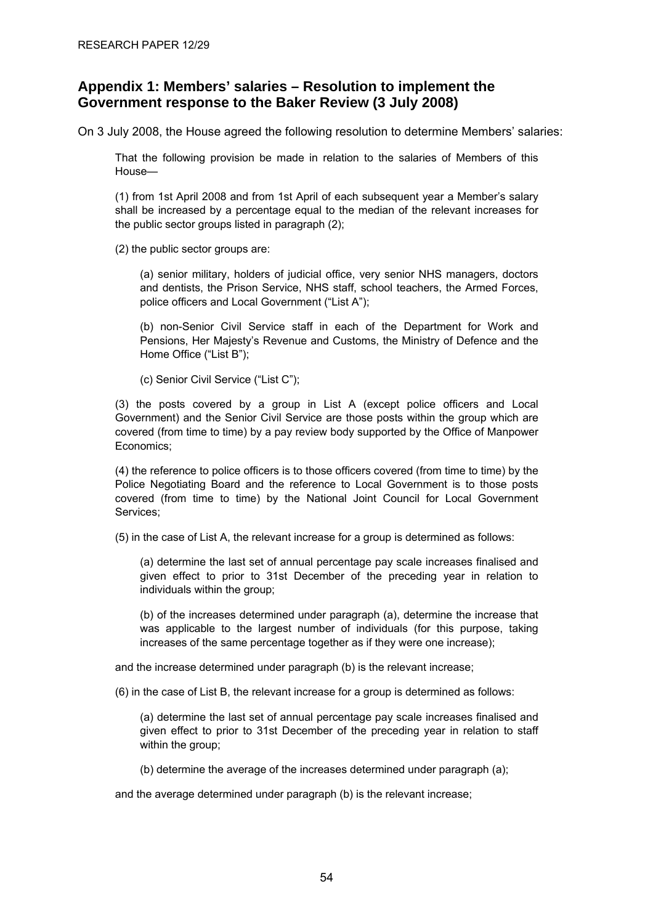# <span id="page-58-0"></span>**Appendix 1: Members' salaries – Resolution to implement the Government response to the Baker Review (3 July 2008)**

On 3 July 2008, the House agreed the following resolution to determine Members' salaries:

That the following provision be made in relation to the salaries of Members of this House—

(1) from 1st April 2008 and from 1st April of each subsequent year a Member's salary shall be increased by a percentage equal to the median of the relevant increases for the public sector groups listed in paragraph (2);

(2) the public sector groups are:

(a) senior military, holders of judicial office, very senior NHS managers, doctors and dentists, the Prison Service, NHS staff, school teachers, the Armed Forces, police officers and Local Government ("List A");

(b) non-Senior Civil Service staff in each of the Department for Work and Pensions, Her Majesty's Revenue and Customs, the Ministry of Defence and the Home Office ("List B");

(c) Senior Civil Service ("List C");

(3) the posts covered by a group in List A (except police officers and Local Government) and the Senior Civil Service are those posts within the group which are covered (from time to time) by a pay review body supported by the Office of Manpower Economics;

(4) the reference to police officers is to those officers covered (from time to time) by the Police Negotiating Board and the reference to Local Government is to those posts covered (from time to time) by the National Joint Council for Local Government Services;

(5) in the case of List A, the relevant increase for a group is determined as follows:

(a) determine the last set of annual percentage pay scale increases finalised and given effect to prior to 31st December of the preceding year in relation to individuals within the group;

(b) of the increases determined under paragraph (a), determine the increase that was applicable to the largest number of individuals (for this purpose, taking increases of the same percentage together as if they were one increase);

and the increase determined under paragraph (b) is the relevant increase;

(6) in the case of List B, the relevant increase for a group is determined as follows:

(a) determine the last set of annual percentage pay scale increases finalised and given effect to prior to 31st December of the preceding year in relation to staff within the group;

(b) determine the average of the increases determined under paragraph (a);

and the average determined under paragraph (b) is the relevant increase;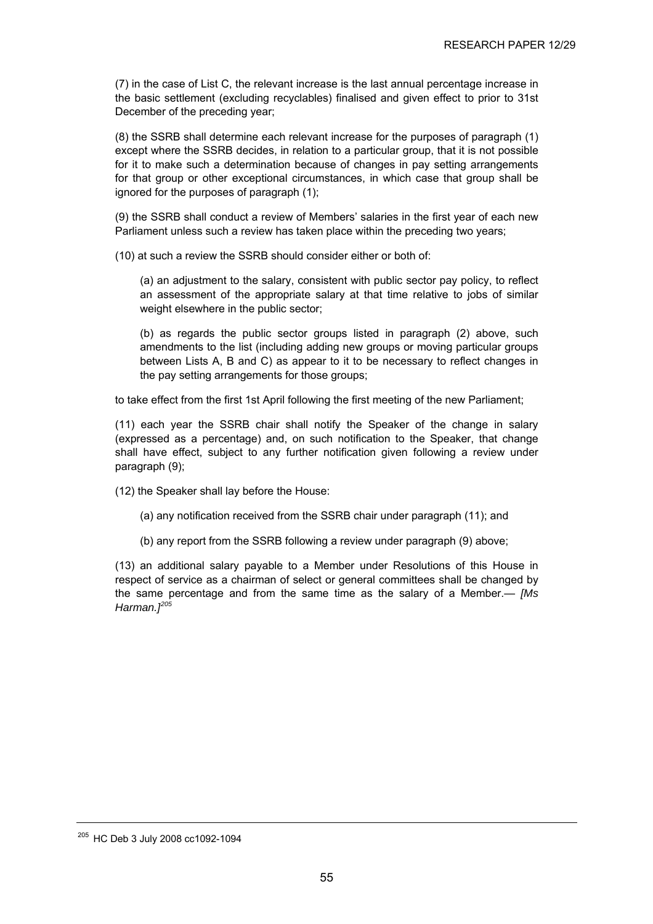<span id="page-59-0"></span>(7) in the case of List C, the relevant increase is the last annual percentage increase in the basic settlement (excluding recyclables) finalised and given effect to prior to 31st December of the preceding year;

(8) the SSRB shall determine each relevant increase for the purposes of paragraph (1) except where the SSRB decides, in relation to a particular group, that it is not possible for it to make such a determination because of changes in pay setting arrangements for that group or other exceptional circumstances, in which case that group shall be ignored for the purposes of paragraph (1);

(9) the SSRB shall conduct a review of Members' salaries in the first year of each new Parliament unless such a review has taken place within the preceding two years;

(10) at such a review the SSRB should consider either or both of:

(a) an adjustment to the salary, consistent with public sector pay policy, to reflect an assessment of the appropriate salary at that time relative to jobs of similar weight elsewhere in the public sector:

(b) as regards the public sector groups listed in paragraph (2) above, such amendments to the list (including adding new groups or moving particular groups between Lists A, B and C) as appear to it to be necessary to reflect changes in the pay setting arrangements for those groups;

to take effect from the first 1st April following the first meeting of the new Parliament;

(11) each year the SSRB chair shall notify the Speaker of the change in salary (expressed as a percentage) and, on such notification to the Speaker, that change shall have effect, subject to any further notification given following a review under paragraph (9);

(12) the Speaker shall lay before the House:

- (a) any notification received from the SSRB chair under paragraph (11); and
- (b) any report from the SSRB following a review under paragraph (9) above;

(13) an additional salary payable to a Member under Resolutions of this House in respect of service as a chairman of select or general committees shall be changed by the same percentage and from the same time as the salary of a Member.— *[Ms Harman.][205](#page-59-0)*

<sup>&</sup>lt;sup>205</sup> HC Deb 3 July 2008 cc1092-1094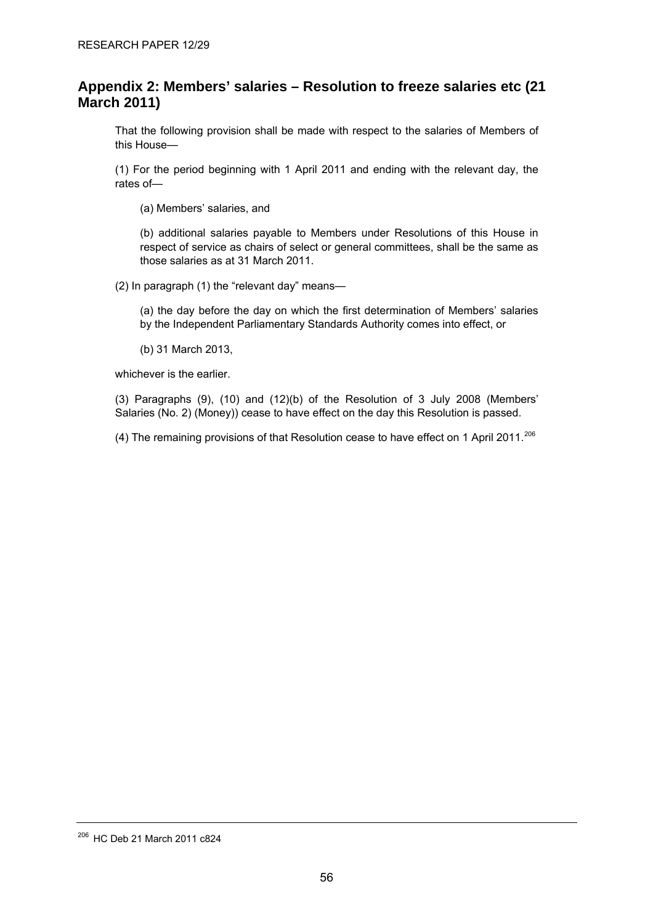# <span id="page-60-0"></span>**Appendix 2: Members' salaries – Resolution to freeze salaries etc (21 March 2011)**

That the following provision shall be made with respect to the salaries of Members of this House—

(1) For the period beginning with 1 April 2011 and ending with the relevant day, the rates of—

(a) Members' salaries, and

(b) additional salaries payable to Members under Resolutions of this House in respect of service as chairs of select or general committees, shall be the same as those salaries as at 31 March 2011.

(2) In paragraph (1) the "relevant day" means—

(a) the day before the day on which the first determination of Members' salaries by the Independent Parliamentary Standards Authority comes into effect, or

(b) 31 March 2013,

whichever is the earlier.

(3) Paragraphs (9), (10) and (12)(b) of the Resolution of 3 July 2008 (Members' Salaries (No. 2) (Money)) cease to have effect on the day this Resolution is passed.

(4) The remaining provisions of that Resolution cease to have effect on 1 April 2011.<sup>[206](#page-60-0)</sup>

<sup>206</sup> HC Deb 21 March 2011 c824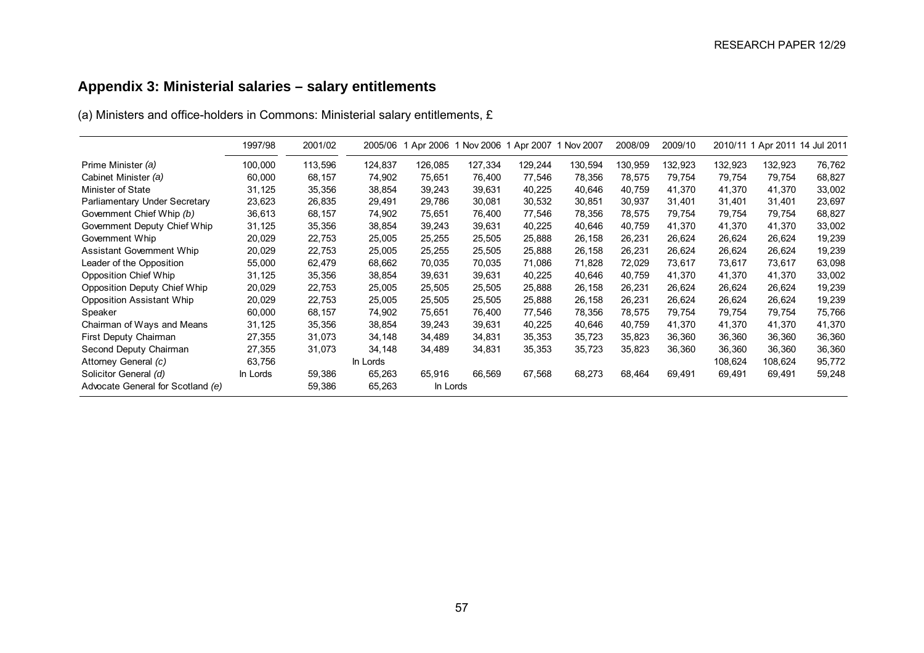# **Appendix 3: Ministerial salaries – salary entitlements**

(a) Ministers and office-holders in Commons: Ministerial salary entitlements, £

<span id="page-61-0"></span>

|                                     | 1997/98  | 2001/02 | 2005/06  | Apr 2006 | 1 Nov 2006 1 Apr 2007 |         | 1 Nov 2007 | 2008/09 | 2009/10 |         | 2010/11 1 Apr 2011 14 Jul 2011 |        |
|-------------------------------------|----------|---------|----------|----------|-----------------------|---------|------------|---------|---------|---------|--------------------------------|--------|
| Prime Minister (a)                  | 100,000  | 113,596 | 124,837  | 126,085  | 127,334               | 129,244 | 130,594    | 130,959 | 132,923 | 132,923 | 132,923                        | 76,762 |
| Cabinet Minister (a)                | 60,000   | 68,157  | 74,902   | 75,651   | 76,400                | 77,546  | 78,356     | 78,575  | 79,754  | 79,754  | 79,754                         | 68,827 |
| Minister of State                   | 31,125   | 35,356  | 38,854   | 39,243   | 39,631                | 40,225  | 40,646     | 40,759  | 41,370  | 41,370  | 41,370                         | 33,002 |
| Parliamentary Under Secretary       | 23,623   | 26,835  | 29,491   | 29,786   | 30,081                | 30,532  | 30,851     | 30,937  | 31,401  | 31,401  | 31,401                         | 23,697 |
| Government Chief Whip (b)           | 36,613   | 68,157  | 74,902   | 75,651   | 76,400                | 77,546  | 78,356     | 78,575  | 79,754  | 79,754  | 79,754                         | 68,827 |
| Government Deputy Chief Whip        | 31,125   | 35,356  | 38,854   | 39,243   | 39,631                | 40,225  | 40,646     | 40,759  | 41,370  | 41,370  | 41,370                         | 33,002 |
| Government Whip                     | 20,029   | 22,753  | 25,005   | 25,255   | 25,505                | 25,888  | 26,158     | 26,231  | 26,624  | 26,624  | 26,624                         | 19,239 |
| Assistant Government Whip           | 20,029   | 22,753  | 25,005   | 25,255   | 25,505                | 25,888  | 26,158     | 26,231  | 26,624  | 26,624  | 26,624                         | 19,239 |
| Leader of the Opposition            | 55,000   | 62,479  | 68,662   | 70,035   | 70,035                | 71,086  | 71,828     | 72,029  | 73,617  | 73,617  | 73,617                         | 63,098 |
| Opposition Chief Whip               | 31,125   | 35,356  | 38,854   | 39,631   | 39,631                | 40,225  | 40,646     | 40,759  | 41,370  | 41,370  | 41,370                         | 33,002 |
| <b>Opposition Deputy Chief Whip</b> | 20,029   | 22,753  | 25,005   | 25,505   | 25,505                | 25,888  | 26,158     | 26,231  | 26,624  | 26,624  | 26,624                         | 19,239 |
| Opposition Assistant Whip           | 20,029   | 22,753  | 25,005   | 25,505   | 25,505                | 25,888  | 26,158     | 26,231  | 26,624  | 26,624  | 26,624                         | 19,239 |
| Speaker                             | 60,000   | 68,157  | 74,902   | 75,651   | 76,400                | 77,546  | 78,356     | 78,575  | 79,754  | 79,754  | 79,754                         | 75,766 |
| Chairman of Ways and Means          | 31,125   | 35,356  | 38,854   | 39,243   | 39,631                | 40,225  | 40,646     | 40,759  | 41,370  | 41,370  | 41,370                         | 41,370 |
| First Deputy Chairman               | 27,355   | 31,073  | 34,148   | 34,489   | 34,831                | 35,353  | 35,723     | 35,823  | 36,360  | 36,360  | 36,360                         | 36,360 |
| Second Deputy Chairman              | 27,355   | 31,073  | 34,148   | 34,489   | 34,831                | 35,353  | 35,723     | 35,823  | 36,360  | 36,360  | 36,360                         | 36,360 |
| Attorney General (c)                | 63.756   |         | In Lords |          |                       |         |            |         |         | 108,624 | 108.624                        | 95,772 |
| Solicitor General (d)               | In Lords | 59,386  | 65,263   | 65,916   | 66,569                | 67,568  | 68,273     | 68,464  | 69,491  | 69,491  | 69,491                         | 59,248 |
| Advocate General for Scotland (e)   |          | 59,386  | 65,263   | In Lords |                       |         |            |         |         |         |                                |        |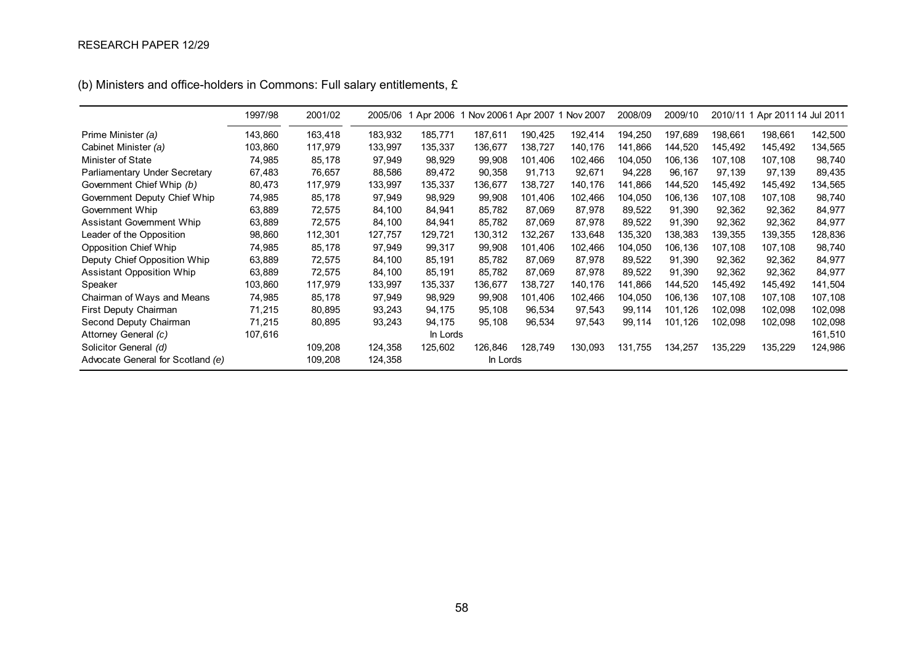|                                   | 1997/98 | 2001/02 | 2005/06 | Apr 2006 |          |         | Nov 20061 Apr 2007 1 Nov 2007 | 2008/09 | 2009/10 |         | 2010/11 1 Apr 2011 14 Jul 2011 |         |
|-----------------------------------|---------|---------|---------|----------|----------|---------|-------------------------------|---------|---------|---------|--------------------------------|---------|
| Prime Minister (a)                | 143,860 | 163,418 | 183,932 | 185,771  | 187,611  | 190,425 | 192,414                       | 194,250 | 197,689 | 198,661 | 198,661                        | 142,500 |
| Cabinet Minister (a)              | 103,860 | 117,979 | 133,997 | 135,337  | 136,677  | 138,727 | 140,176                       | 141,866 | 144,520 | 145,492 | 145,492                        | 134,565 |
| Minister of State                 | 74,985  | 85,178  | 97,949  | 98,929   | 99,908   | 101,406 | 102,466                       | 104,050 | 106,136 | 107,108 | 107,108                        | 98,740  |
| Parliamentary Under Secretary     | 67,483  | 76,657  | 88,586  | 89,472   | 90,358   | 91,713  | 92,671                        | 94,228  | 96,167  | 97,139  | 97,139                         | 89,435  |
| Government Chief Whip (b)         | 80,473  | 117,979 | 133,997 | 135,337  | 136,677  | 138,727 | 140,176                       | 141,866 | 144,520 | 145,492 | 145,492                        | 134,565 |
| Government Deputy Chief Whip      | 74,985  | 85,178  | 97,949  | 98,929   | 99,908   | 101,406 | 102,466                       | 104,050 | 106,136 | 107,108 | 107,108                        | 98,740  |
| Government Whip                   | 63,889  | 72,575  | 84,100  | 84,941   | 85,782   | 87,069  | 87,978                        | 89,522  | 91,390  | 92,362  | 92,362                         | 84,977  |
| <b>Assistant Government Whip</b>  | 63,889  | 72,575  | 84,100  | 84,941   | 85,782   | 87,069  | 87,978                        | 89,522  | 91,390  | 92,362  | 92,362                         | 84,977  |
| Leader of the Opposition          | 98,860  | 112,301 | 127,757 | 129,721  | 130,312  | 132,267 | 133,648                       | 135,320 | 138,383 | 139,355 | 139,355                        | 128,836 |
| <b>Opposition Chief Whip</b>      | 74,985  | 85,178  | 97,949  | 99,317   | 99,908   | 101,406 | 102,466                       | 104,050 | 106,136 | 107,108 | 107,108                        | 98,740  |
| Deputy Chief Opposition Whip      | 63,889  | 72,575  | 84,100  | 85,191   | 85,782   | 87,069  | 87,978                        | 89,522  | 91,390  | 92,362  | 92,362                         | 84,977  |
| <b>Assistant Opposition Whip</b>  | 63,889  | 72,575  | 84,100  | 85,191   | 85,782   | 87,069  | 87,978                        | 89,522  | 91,390  | 92,362  | 92,362                         | 84,977  |
| Speaker                           | 103,860 | 117,979 | 133,997 | 135,337  | 136,677  | 138,727 | 140,176                       | 141,866 | 144,520 | 145,492 | 145,492                        | 141,504 |
| Chairman of Ways and Means        | 74,985  | 85,178  | 97,949  | 98,929   | 99,908   | 101,406 | 102,466                       | 104,050 | 106,136 | 107,108 | 107,108                        | 107,108 |
| First Deputy Chairman             | 71,215  | 80,895  | 93,243  | 94,175   | 95,108   | 96,534  | 97,543                        | 99,114  | 101,126 | 102,098 | 102,098                        | 102,098 |
| Second Deputy Chairman            | 71,215  | 80,895  | 93,243  | 94,175   | 95,108   | 96,534  | 97,543                        | 99,114  | 101,126 | 102,098 | 102,098                        | 102,098 |
| Attorney General (c)              | 107,616 |         |         | In Lords |          |         |                               |         |         |         |                                | 161,510 |
| Solicitor General (d)             |         | 109,208 | 124,358 | 125,602  | 126,846  | 128,749 | 130,093                       | 131,755 | 134,257 | 135,229 | 135,229                        | 124,986 |
| Advocate General for Scotland (e) |         | 109,208 | 124,358 |          | In Lords |         |                               |         |         |         |                                |         |

(b) Ministers and office-holders in Commons: Full salary entitlements, £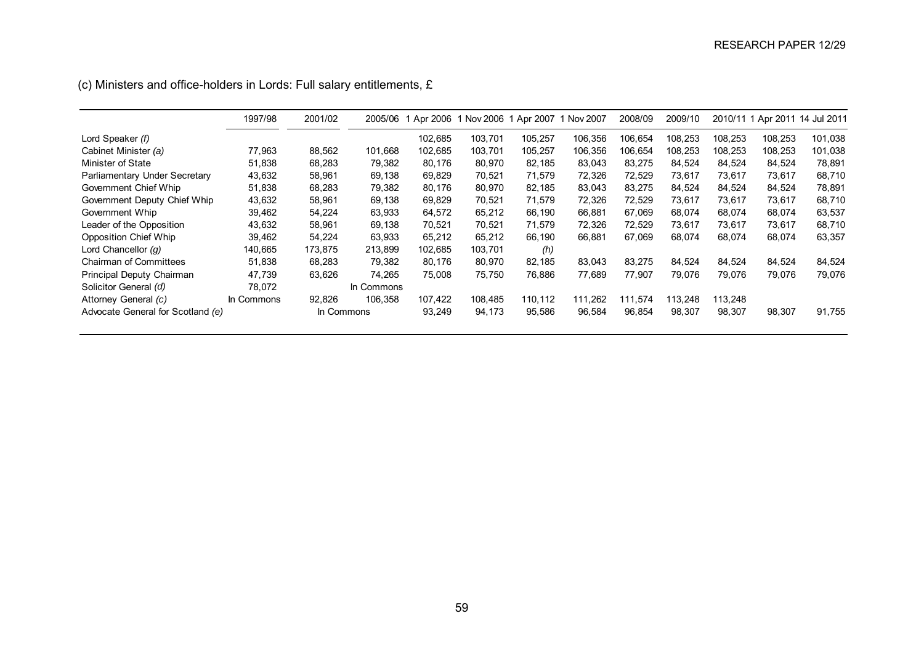|                                   | 1997/98    | 2001/02 | 2005/06    | Apr 2006 | 1 Nov 2006 1 Apr 2007 |         | Nov 2007 | 2008/09 | 2009/10 |         |         | 2010/11 1 Apr 2011 14 Jul 2011 |
|-----------------------------------|------------|---------|------------|----------|-----------------------|---------|----------|---------|---------|---------|---------|--------------------------------|
| Lord Speaker (f)                  |            |         |            | 102,685  | 103,701               | 105.257 | 106,356  | 106.654 | 108,253 | 108,253 | 108.253 | 101,038                        |
| Cabinet Minister (a)              | 77.963     | 88,562  | 101,668    | 102,685  | 103,701               | 105,257 | 106,356  | 106.654 | 108,253 | 108.253 | 108,253 | 101,038                        |
| Minister of State                 | 51,838     | 68,283  | 79,382     | 80,176   | 80,970                | 82,185  | 83,043   | 83,275  | 84,524  | 84,524  | 84,524  | 78,891                         |
| Parliamentary Under Secretary     | 43,632     | 58,961  | 69,138     | 69,829   | 70,521                | 71,579  | 72,326   | 72,529  | 73,617  | 73,617  | 73,617  | 68,710                         |
| Government Chief Whip             | 51,838     | 68,283  | 79,382     | 80,176   | 80,970                | 82,185  | 83,043   | 83,275  | 84,524  | 84,524  | 84,524  | 78,891                         |
| Government Deputy Chief Whip      | 43,632     | 58,961  | 69,138     | 69,829   | 70.521                | 71.579  | 72,326   | 72.529  | 73.617  | 73.617  | 73.617  | 68,710                         |
| Government Whip                   | 39,462     | 54.224  | 63,933     | 64.572   | 65.212                | 66.190  | 66,881   | 67.069  | 68.074  | 68.074  | 68.074  | 63,537                         |
| Leader of the Opposition          | 43.632     | 58.961  | 69.138     | 70.521   | 70.521                | 71.579  | 72,326   | 72.529  | 73.617  | 73.617  | 73.617  | 68,710                         |
| Opposition Chief Whip             | 39,462     | 54,224  | 63,933     | 65,212   | 65,212                | 66,190  | 66,881   | 67,069  | 68,074  | 68,074  | 68,074  | 63,357                         |
| Lord Chancellor $(q)$             | 140,665    | 173,875 | 213,899    | 102,685  | 103,701               | (h)     |          |         |         |         |         |                                |
| <b>Chairman of Committees</b>     | 51,838     | 68,283  | 79,382     | 80,176   | 80,970                | 82.185  | 83,043   | 83,275  | 84,524  | 84,524  | 84.524  | 84,524                         |
| Principal Deputy Chairman         | 47,739     | 63,626  | 74.265     | 75.008   | 75.750                | 76,886  | 77,689   | 77.907  | 79,076  | 79.076  | 79.076  | 79,076                         |
| Solicitor General (d)             | 78.072     |         | In Commons |          |                       |         |          |         |         |         |         |                                |
| Attorney General (c)              | In Commons | 92.826  | 106.358    | 107,422  | 108.485               | 110.112 | 111.262  | 111.574 | 113.248 | 113.248 |         |                                |
| Advocate General for Scotland (e) |            |         | In Commons | 93,249   | 94,173                | 95,586  | 96,584   | 96,854  | 98,307  | 98,307  | 98,307  | 91,755                         |

(c) Ministers and office-holders in Lords: Full salary entitlements,  $E$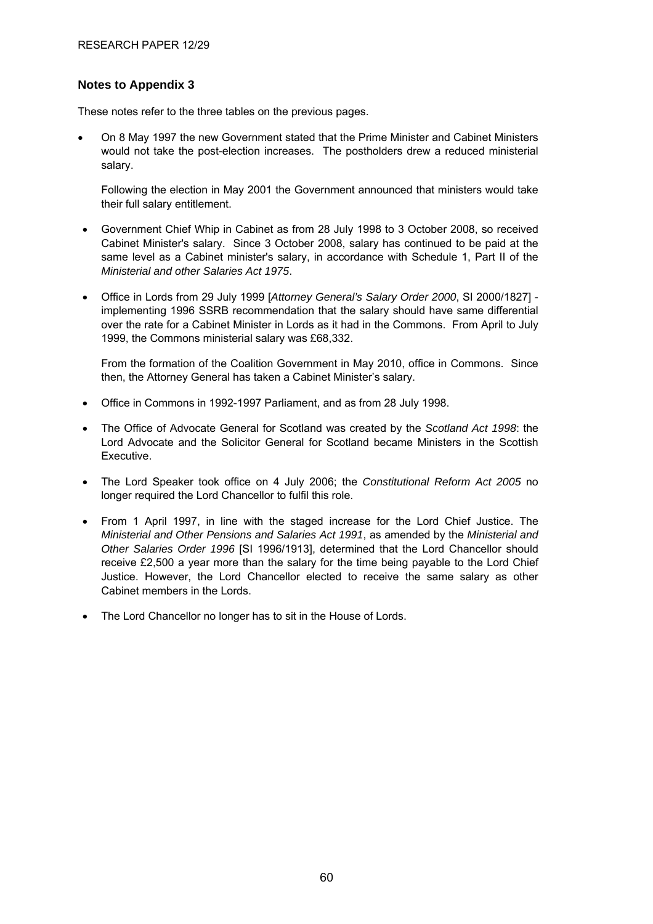#### **Notes to Appendix 3**

These notes refer to the three tables on the previous pages.

• On 8 May 1997 the new Government stated that the Prime Minister and Cabinet Ministers would not take the post-election increases. The postholders drew a reduced ministerial salary.

Following the election in May 2001 the Government announced that ministers would take their full salary entitlement.

- Government Chief Whip in Cabinet as from 28 July 1998 to 3 October 2008, so received Cabinet Minister's salary. Since 3 October 2008, salary has continued to be paid at the same level as a Cabinet minister's salary, in accordance with Schedule 1, Part II of the *Ministerial and other Salaries Act 1975*.
- Office in Lords from 29 July 1999 [*Attorney General's Salary Order 2000*, SI 2000/1827] implementing 1996 SSRB recommendation that the salary should have same differential over the rate for a Cabinet Minister in Lords as it had in the Commons. From April to July 1999, the Commons ministerial salary was £68,332.

From the formation of the Coalition Government in May 2010, office in Commons. Since then, the Attorney General has taken a Cabinet Minister's salary.

- Office in Commons in 1992-1997 Parliament, and as from 28 July 1998.
- The Office of Advocate General for Scotland was created by the *Scotland Act 1998*: the Lord Advocate and the Solicitor General for Scotland became Ministers in the Scottish Executive.
- The Lord Speaker took office on 4 July 2006; the *Constitutional Reform Act 2005* no longer required the Lord Chancellor to fulfil this role.
- From 1 April 1997, in line with the staged increase for the Lord Chief Justice. The *Ministerial and Other Pensions and Salaries Act 1991*, as amended by the *Ministerial and Other Salaries Order 1996* [SI 1996/1913], determined that the Lord Chancellor should receive £2,500 a year more than the salary for the time being payable to the Lord Chief Justice. However, the Lord Chancellor elected to receive the same salary as other Cabinet members in the Lords.
- The Lord Chancellor no longer has to sit in the House of Lords.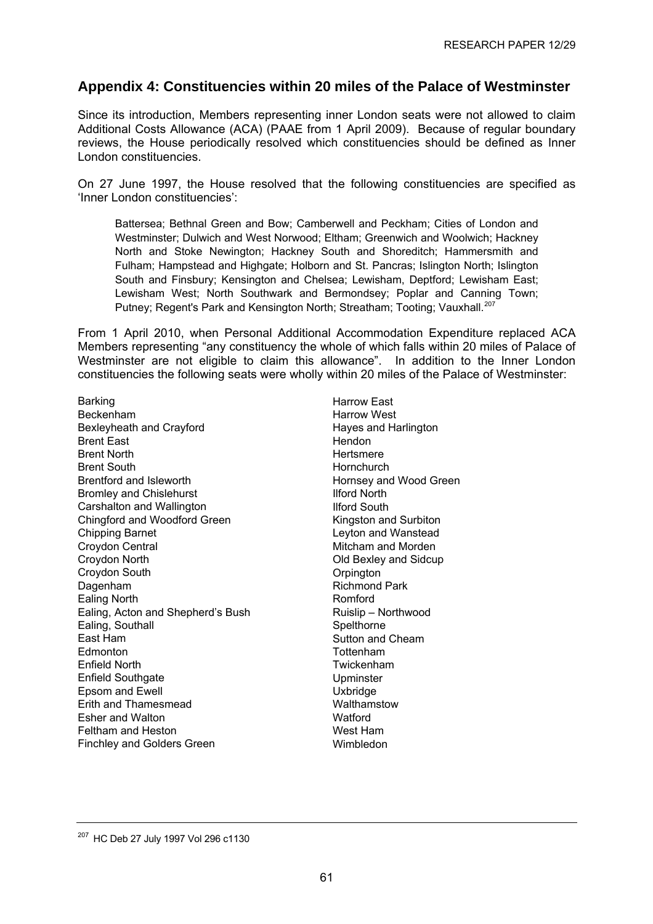# <span id="page-65-0"></span>**Appendix 4: Constituencies within 20 miles of the Palace of Westminster**

Since its introduction, Members representing inner London seats were not allowed to claim Additional Costs Allowance (ACA) (PAAE from 1 April 2009). Because of regular boundary reviews, the House periodically resolved which constituencies should be defined as Inner London constituencies.

On 27 June 1997, the House resolved that the following constituencies are specified as 'Inner London constituencies':

Battersea; Bethnal Green and Bow; Camberwell and Peckham; Cities of London and Westminster; Dulwich and West Norwood; Eltham; Greenwich and Woolwich; Hackney North and Stoke Newington; Hackney South and Shoreditch; Hammersmith and Fulham; Hampstead and Highgate; Holborn and St. Pancras; Islington North; Islington South and Finsbury; Kensington and Chelsea; Lewisham, Deptford; Lewisham East; Lewisham West; North Southwark and Bermondsey; Poplar and Canning Town; Putney; Regent's Park and Kensington North; Streatham; Tooting; Vauxhall.<sup>[207](#page-65-0)</sup>

From 1 April 2010, when Personal Additional Accommodation Expenditure replaced ACA Members representing "any constituency the whole of which falls within 20 miles of Palace of Westminster are not eligible to claim this allowance". In addition to the Inner London constituencies the following seats were wholly within 20 miles of the Palace of Westminster:

Barking Beckenham Bexleyheath and Crayford Brent East Brent North Brent South Brentford and Isleworth Bromley and Chislehurst Carshalton and Wallington Chingford and Woodford Green Chipping Barnet Croydon Central Croydon North Croydon South Dagenham Ealing North Ealing, Acton and Shepherd's Bush Ealing, Southall East Ham Edmonton Enfield North Enfield Southgate Epsom and Ewell Erith and Thamesmead Esher and Walton Feltham and Heston Finchley and Golders Green

Harrow East Harrow West Hayes and Harlington **Hendon** Hertsmere **Hornchurch** Hornsey and Wood Green Ilford North Ilford South Kingston and Surbiton Leyton and Wanstead Mitcham and Morden Old Bexley and Sidcup **Orpington** Richmond Park Romford Ruislip – Northwood **Spelthorne** Sutton and Cheam Tottenham Twickenham Upminster Uxbridge **Walthamstow Watford** West Ham Wimbledon

<sup>207</sup> HC Deb 27 July 1997 Vol 296 c1130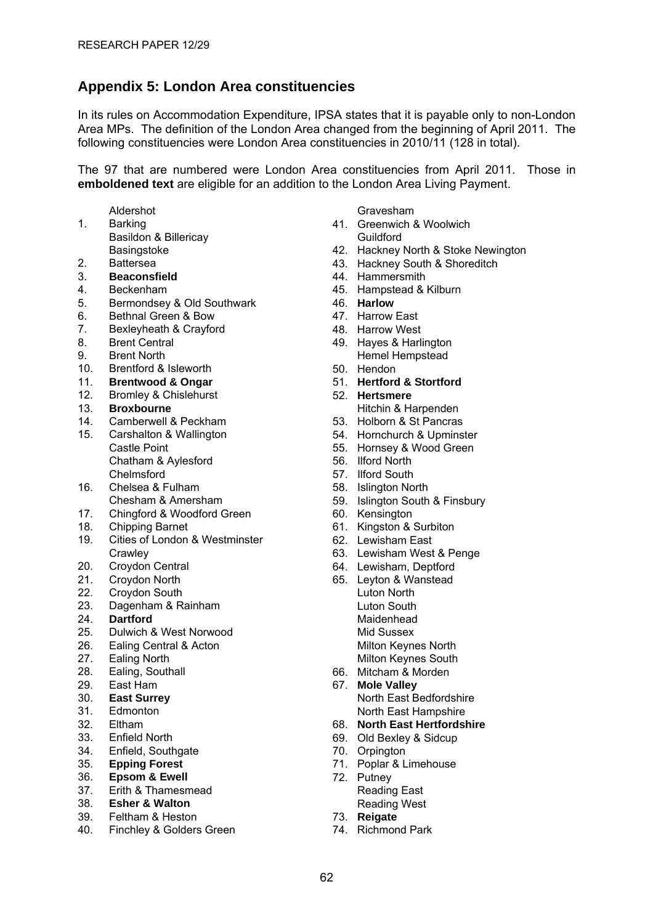# <span id="page-66-0"></span>**Appendix 5: London Area constituencies**

In its rules on Accommodation Expenditure, IPSA states that it is payable only to non-London Area MPs. The definition of the London Area changed from the beginning of April 2011. The following constituencies were London Area constituencies in 2010/11 (128 in total).

The 97 that are numbered were London Area constituencies from April 2011. Those in **emboldened text** are eligible for an addition to the London Area Living Payment.

- Aldershot
- 1. Barking
- Basildon & Billericay Basingstoke
- 2. Battersea
- 3. **Beaconsfield**
- 4. Beckenham
- 5. Bermondsey & Old Southwark
- 6. Bethnal Green & Bow
- 7. Bexleyheath & Crayford
- 8. Brent Central
- 9. Brent North
- 10. Brentford & Isleworth
- 11. **Brentwood & Ongar**
- 12. Bromley & Chislehurst
- 13. **Broxbourne**
- 14. Camberwell & Peckham
- 15. Carshalton & Wallington Castle Point Chatham & Aylesford Chelmsford
- 16. Chelsea & Fulham Chesham & Amersham
- 17. Chingford & Woodford Green
- 18. Chipping Barnet
- 19. Cities of London & Westminster **Crawley**
- 20. Croydon Central
- 21. Croydon North
- 22. Croydon South
- 23. Dagenham & Rainham
- 24. **Dartford**
- 25. Dulwich & West Norwood
- 26. Ealing Central & Acton
- 27. Ealing North
- 28. Ealing, Southall
- 29. East Ham
- 30. **East Surrey**
- 31. Edmonton
- 32. Eltham
- 33. Enfield North
- 34. Enfield, Southgate
- 35. **Epping Forest**
- 36. **Epsom & Ewell**
- 37. Erith & Thamesmead
- 38. **Esher & Walton**
- 39. Feltham & Heston
- 40. Finchley & Golders Green

Gravesham

- 41. Greenwich & Woolwich Guildford
- 42. Hackney North & Stoke Newington
- 43. Hackney South & Shoreditch
- 44. Hammersmith
- 45. Hampstead & Kilburn
- 46. **Harlow**
- 47. Harrow East
- 48. Harrow West
- 49. Hayes & Harlington Hemel Hempstead
- 50. Hendon
- 51. **Hertford & Stortford**
- 52. **Hertsmere** Hitchin & Harpenden
- 53. Holborn & St Pancras
- 54. Hornchurch & Upminster
- 55. Hornsey & Wood Green
- 56. Ilford North
- 57. Ilford South
- 58. Islington North
- 59. Islington South & Finsbury
- 60. Kensington
- 61. Kingston & Surbiton
- 62. Lewisham East
- 63. Lewisham West & Penge
- 64. Lewisham, Deptford
- 65. Leyton & Wanstead Luton North Luton South Maidenhead Mid Sussex Milton Keynes North Milton Keynes South
- 66. Mitcham & Morden
- 67. **Mole Valley** North East Bedfordshire North East Hampshire
- 68. **North East Hertfordshire**
- 69. Old Bexley & Sidcup
- 70. Orpington
- 71. Poplar & Limehouse
- 72. Putney Reading East Reading West
- 73. **Reigate**
- 74. Richmond Park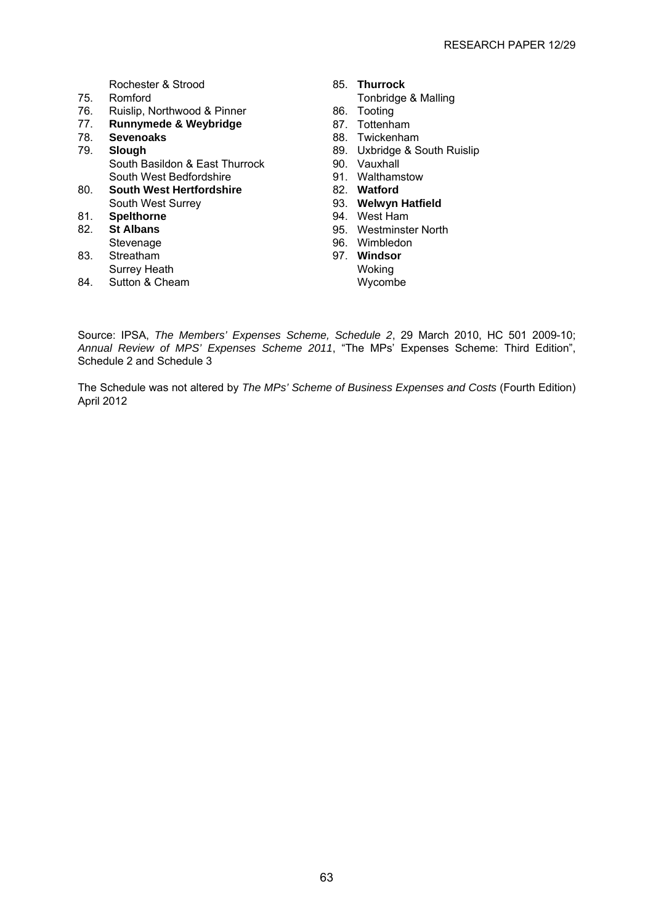Rochester & Strood<br>75. Romford

- Romford
- 76. Ruislip, Northwood & Pinner
- 77. **Runnymede & Weybridge**
- 78. **Sevenoaks**
- 79. **Slough** South Basildon & East Thurrock South West Bedfordshire
- 80. **South West Hertfordshire** South West Surrey
- 81. **Spelthorne**
- 82. **St Albans** Stevenage
- 83. Streatham
- Surrey Heath
- 84. Sutton & Cheam
- 85. **Thurrock** 
	- Tonbridge & Malling
- 86. Tooting
- 87. Tottenham
- 88. Twickenham
- 89. Uxbridge & South Ruislip
- 90. Vauxhall
- 91. Walthamstow
- 82. **Watford**
- 93. **Welwyn Hatfield**
- 94. West Ham
- 95. Westminster North
- 96. Wimbledon
- 97. **Windsor** Woking Wycombe

Source: IPSA, *The Members' Expenses Scheme, Schedule 2*, 29 March 2010, HC 501 2009-10; *Annual Review of MPS' Expenses Scheme 2011*, "The MPs' Expenses Scheme: Third Edition", Schedule 2 and Schedule 3

The Schedule was not altered by *The MPs' Scheme of Business Expenses and Costs* (Fourth Edition) April 2012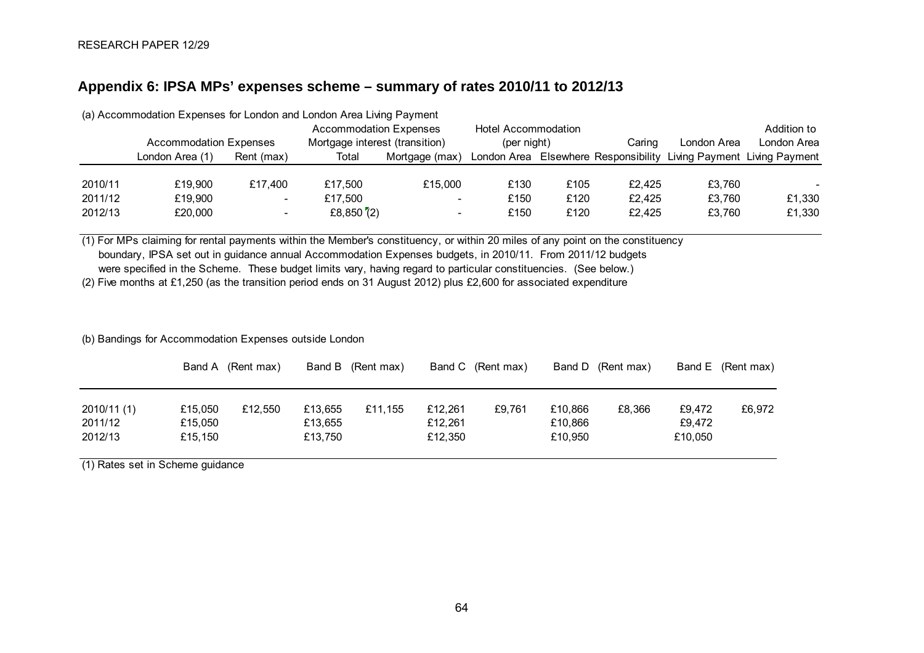### **Appendix 6: IPSA MPs' expenses scheme – summary of rates 2010/11 to 2012/13**

| (a) Accommodation Expenses for London and London Area Living Payment |                               |                                |                               |                          |                     |        |             |             |                                                                    |  |  |
|----------------------------------------------------------------------|-------------------------------|--------------------------------|-------------------------------|--------------------------|---------------------|--------|-------------|-------------|--------------------------------------------------------------------|--|--|
|                                                                      |                               |                                | <b>Accommodation Expenses</b> |                          | Hotel Accommodation |        |             |             | Addition to                                                        |  |  |
|                                                                      | <b>Accommodation Expenses</b> | Mortgage interest (transition) |                               | (per night)              |                     | Caring | London Area | London Area |                                                                    |  |  |
|                                                                      | London Area (1)               | Rent (max)                     | Total                         | Mortgage (max)           |                     |        |             |             | London Area Elsewhere Responsibility Living Payment Living Payment |  |  |
|                                                                      |                               |                                |                               |                          |                     |        |             |             |                                                                    |  |  |
| 2010/11                                                              | £19.900                       | £17.400                        | £17,500                       | £15,000                  | £130                | £105   | £2.425      | £3.760      | $\overline{\phantom{0}}$                                           |  |  |
| 2011/12                                                              | £19,900                       | $\overline{\phantom{0}}$       | £17,500                       | $\overline{\phantom{0}}$ | £150                | £120   | £2.425      | £3.760      | £1,330                                                             |  |  |
| 2012/13                                                              | £20,000                       |                                | £8,850 $(2)$                  | $\overline{\phantom{0}}$ | £150                | £120   | £2.425      | £3.760      | £1,330                                                             |  |  |

(1) For MPs claiming for rental payments within the Member's constituency, or within 20 miles of any point on the constituency

boundary, IPSA set out in guidance annual Accommodation Expenses budgets, in 2010/11. From 2011/12 budgets

were specified in the Scheme. These budget limits vary, having regard to particular constituencies. (See below.)

(2) Five months at £1,250 (as the transition period ends on 31 August 2012) plus £2,600 for associated expenditure

#### (b) Bandings for Accommodation Expenses outside London

|                                   |                               | Band A (Rent max) |                               | Band B (Rent max) |                               | Band C (Rent max) |                               | Band D (Rent max) |                             | Band E (Rent max) |
|-----------------------------------|-------------------------------|-------------------|-------------------------------|-------------------|-------------------------------|-------------------|-------------------------------|-------------------|-----------------------------|-------------------|
| 2010/11 (1)<br>2011/12<br>2012/13 | £15,050<br>£15,050<br>£15,150 | £12,550           | £13.655<br>£13,655<br>£13,750 | £11.155           | £12,261<br>£12.261<br>£12,350 | £9.761            | £10.866<br>£10,866<br>£10.950 | £8,366            | £9.472<br>£9.472<br>£10,050 | £6,972            |

<span id="page-68-0"></span>(1) Rates set in Scheme guidance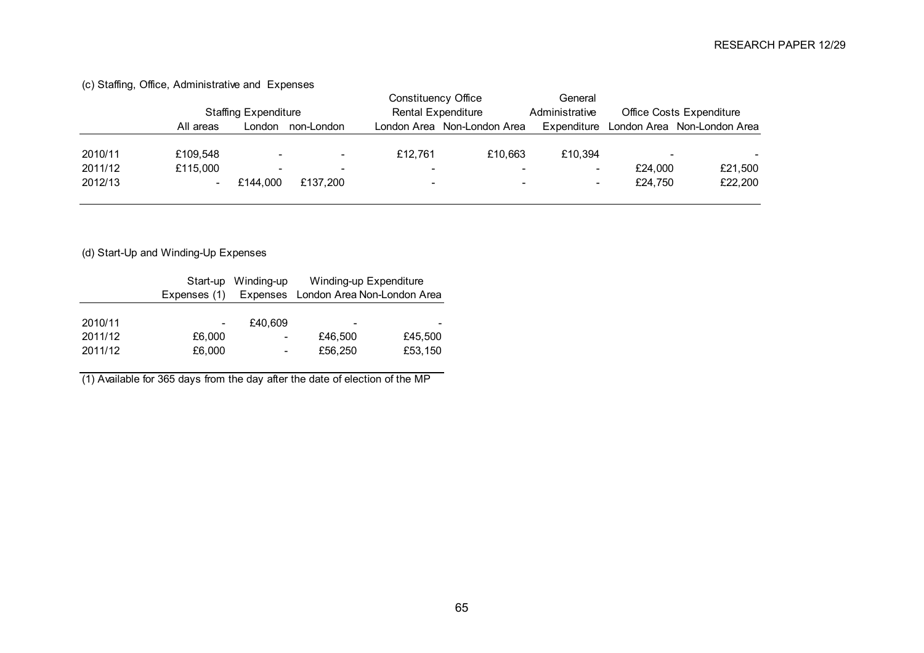|         | <b>Staffing Expenditure</b> |                          |                          | Constituency Office      |                             | General                  |                          |                             |
|---------|-----------------------------|--------------------------|--------------------------|--------------------------|-----------------------------|--------------------------|--------------------------|-----------------------------|
|         |                             |                          |                          |                          | <b>Rental Expenditure</b>   | Administrative           | Office Costs Expenditure |                             |
|         | All areas                   | London                   | non-London               |                          | London Area Non-London Area | Expenditure              |                          | London Area Non-London Area |
|         |                             |                          |                          |                          |                             |                          |                          |                             |
| 2010/11 | £109.548                    | $\overline{\phantom{a}}$ | $\overline{\phantom{a}}$ | £12.761                  | £10.663                     | £10.394                  | -                        |                             |
| 2011/12 | £115,000                    | $\overline{\phantom{0}}$ |                          | $\overline{\phantom{0}}$ |                             |                          | £24.000                  | £21,500                     |
| 2012/13 | $\overline{\phantom{a}}$    | £144.000                 | £137.200                 | $\overline{\phantom{0}}$ | $\overline{\phantom{0}}$    | $\overline{\phantom{0}}$ | £24.750                  | £22,200                     |
|         |                             |                          |                          |                          |                             |                          |                          |                             |

(c) Staffing, Office, Administrative and Expenses

(d) Start-Up and Winding-Up Expenses

|         | Expenses (1) | Start-up Winding-up      | Winding-up Expenditure<br>Expenses London Area Non-London Area |         |  |  |
|---------|--------------|--------------------------|----------------------------------------------------------------|---------|--|--|
| 2010/11 |              | £40.609                  |                                                                |         |  |  |
| 2011/12 | £6,000       | $\overline{\phantom{a}}$ | £46,500                                                        | £45,500 |  |  |
| 2011/12 | £6,000       |                          | £56,250                                                        | £53,150 |  |  |

(1) Available for 365 days from the day after the date of election of the MP